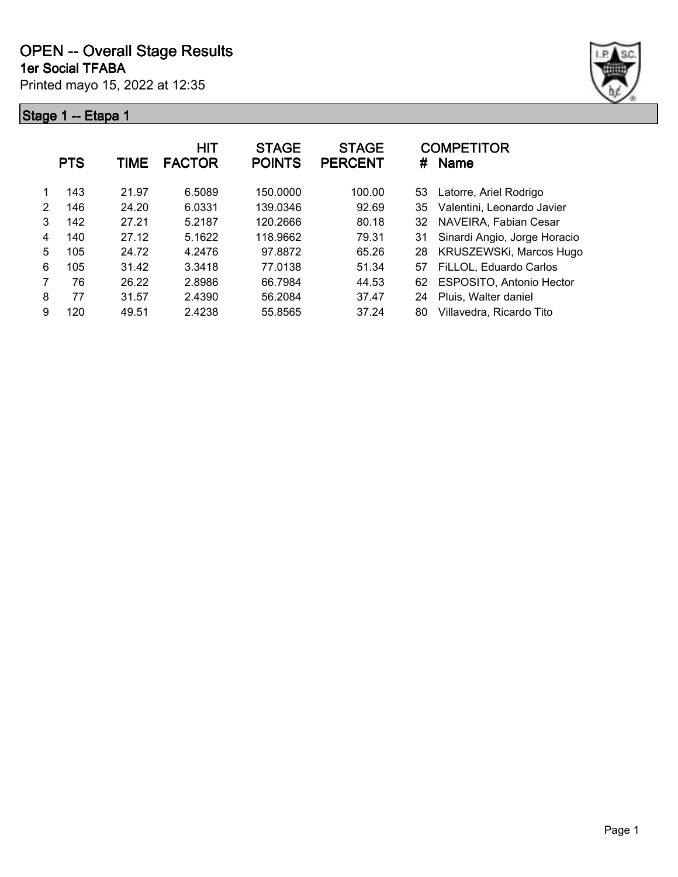



|                | <b>PTS</b> | TIME  | HIT<br><b>FACTOR</b> | <b>STAGE</b><br><b>POINTS</b> | <b>STAGE</b><br><b>PERCENT</b> | <b>COMPETITOR</b><br><b>Name</b><br># |  |
|----------------|------------|-------|----------------------|-------------------------------|--------------------------------|---------------------------------------|--|
|                | 143        | 21.97 | 6.5089               | 150.0000                      | 100.00                         | Latorre, Ariel Rodrigo<br>53          |  |
| $\mathfrak{p}$ | 146        | 24.20 | 6.0331               | 139.0346                      | 92.69                          | Valentini, Leonardo Javier<br>35      |  |
| 3              | 142        | 27.21 | 5.2187               | 120.2666                      | 80.18                          | NAVEIRA, Fabian Cesar<br>32           |  |
| 4              | 140        | 27.12 | 5.1622               | 118.9662                      | 79.31                          | Sinardi Angio, Jorge Horacio<br>31    |  |
| 5              | 105        | 24.72 | 4.2476               | 97.8872                       | 65.26                          | KRUSZEWSKi, Marcos Hugo<br>28         |  |
| 6              | 105        | 31.42 | 3.3418               | 77.0138                       | 51.34                          | FiLLOL, Eduardo Carlos<br>57          |  |
| 7              | 76         | 26.22 | 2.8986               | 66.7984                       | 44.53                          | ESPOSITO, Antonio Hector<br>62        |  |
| 8              | 77         | 31.57 | 2.4390               | 56.2084                       | 37.47                          | Pluis, Walter daniel<br>24            |  |
| 9              | 120        | 49.51 | 2.4238               | 55.8565                       | 37.24                          | Villavedra, Ricardo Tito<br>80        |  |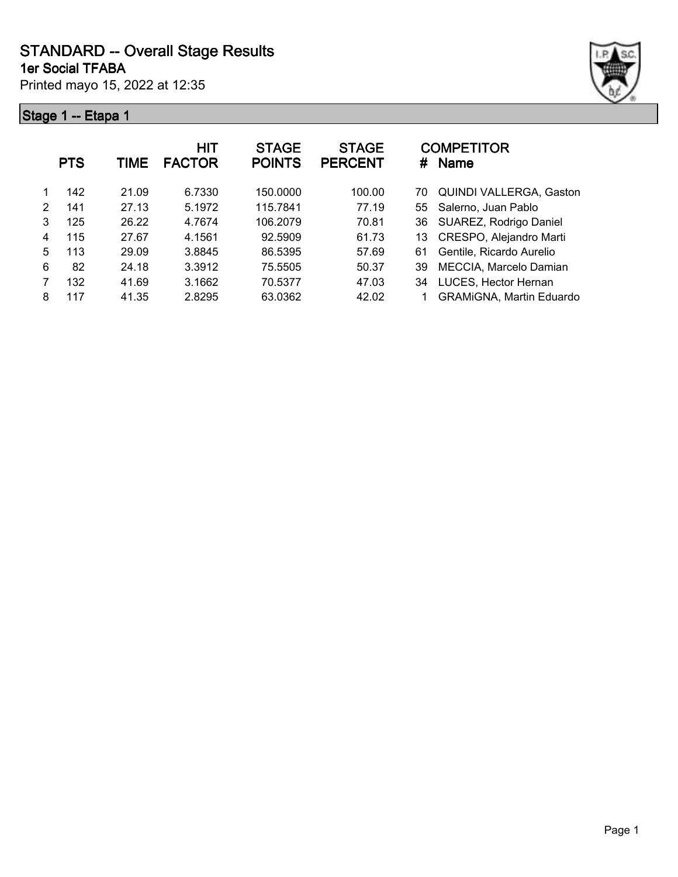# **STANDARD -- Overall Stage Results**

**1er Social TFABA**

Printed mayo 15, 2022 at 12:35



|   | <b>PTS</b> | TIME  | <b>HIT</b><br><b>FACTOR</b> | <b>STAGE</b><br><b>POINTS</b> | <b>STAGE</b><br><b>PERCENT</b> | <b>COMPETITOR</b><br>#<br><b>Name</b> |
|---|------------|-------|-----------------------------|-------------------------------|--------------------------------|---------------------------------------|
|   | 142        | 21.09 | 6.7330                      | 150.0000                      | 100.00                         | <b>QUINDI VALLERGA, Gaston</b><br>70  |
| 2 | 141        | 27.13 | 5.1972                      | 115.7841                      | 77.19                          | Salerno, Juan Pablo<br>55             |
| 3 | 125        | 26.22 | 4.7674                      | 106.2079                      | 70.81                          | SUAREZ, Rodrigo Daniel<br>36          |
| 4 | 115        | 27.67 | 4.1561                      | 92.5909                       | 61.73                          | CRESPO, Alejandro Marti<br>13         |
| 5 | 113        | 29.09 | 3.8845                      | 86.5395                       | 57.69                          | Gentile, Ricardo Aurelio<br>61        |
| 6 | 82         | 24.18 | 3.3912                      | 75.5505                       | 50.37                          | MECCIA, Marcelo Damian<br>39          |
|   | 132        | 41.69 | 3.1662                      | 70.5377                       | 47.03                          | LUCES, Hector Hernan<br>34            |
| 8 | 117        | 41.35 | 2.8295                      | 63.0362                       | 42.02                          | <b>GRAMIGNA, Martin Eduardo</b>       |
|   |            |       |                             |                               |                                |                                       |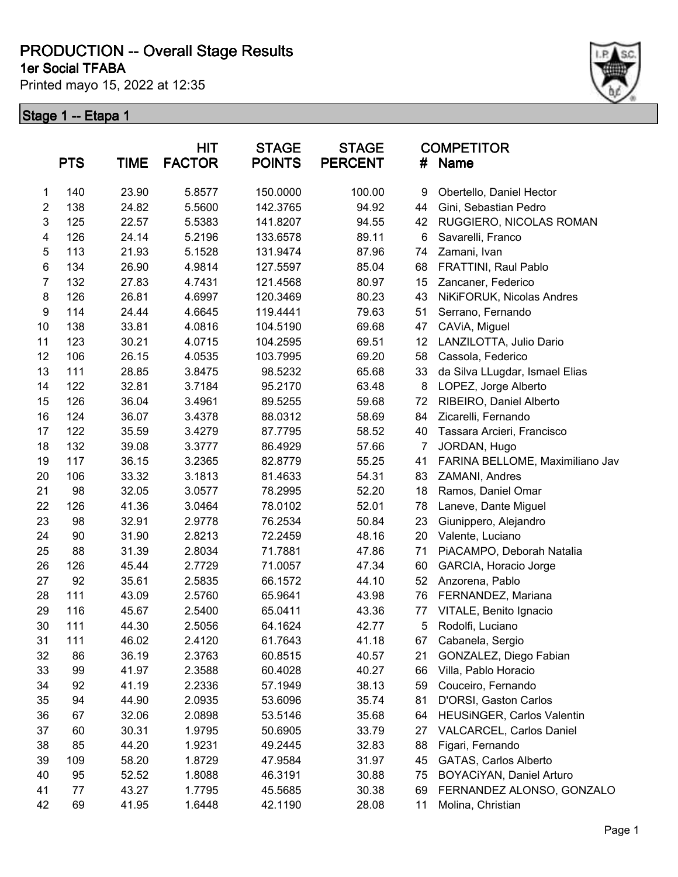**1er Social TFABA**

Printed mayo 15, 2022 at 12:35



|                  | <b>PTS</b> | <b>TIME</b> | HIT<br><b>FACTOR</b> | <b>STAGE</b><br><b>POINTS</b> | <b>STAGE</b><br><b>PERCENT</b> | <b>COMPETITOR</b><br><b>Name</b><br># |                                 |
|------------------|------------|-------------|----------------------|-------------------------------|--------------------------------|---------------------------------------|---------------------------------|
| 1                | 140        | 23.90       | 5.8577               | 150.0000                      | 100.00                         | 9                                     | Obertello, Daniel Hector        |
| 2                | 138        | 24.82       | 5.5600               | 142.3765                      | 94.92                          | 44                                    | Gini, Sebastian Pedro           |
| 3                | 125        | 22.57       | 5.5383               | 141.8207                      | 94.55                          | 42                                    | RUGGIERO, NICOLAS ROMAN         |
| 4                | 126        | 24.14       | 5.2196               | 133.6578                      | 89.11                          | 6                                     | Savarelli, Franco               |
| 5                | 113        | 21.93       | 5.1528               | 131.9474                      | 87.96                          | 74                                    | Zamani, Ivan                    |
| 6                | 134        | 26.90       | 4.9814               | 127.5597                      | 85.04                          | 68                                    | FRATTINI, Raul Pablo            |
| 7                | 132        | 27.83       | 4.7431               | 121.4568                      | 80.97                          | 15                                    | Zancaner, Federico              |
| $\bf 8$          | 126        | 26.81       | 4.6997               | 120.3469                      | 80.23                          | 43                                    | NiKiFORUK, Nicolas Andres       |
| $\boldsymbol{9}$ | 114        | 24.44       | 4.6645               | 119.4441                      | 79.63                          | 51                                    | Serrano, Fernando               |
| 10               | 138        | 33.81       | 4.0816               | 104.5190                      | 69.68                          | 47                                    | CAViA, Miguel                   |
| 11               | 123        | 30.21       | 4.0715               | 104.2595                      | 69.51                          | 12                                    | LANZILOTTA, Julio Dario         |
| 12               | 106        | 26.15       | 4.0535               | 103.7995                      | 69.20                          | 58                                    | Cassola, Federico               |
| 13               | 111        | 28.85       | 3.8475               | 98.5232                       | 65.68                          | 33                                    | da Silva LLugdar, Ismael Elias  |
| 14               | 122        | 32.81       | 3.7184               | 95.2170                       | 63.48                          | 8                                     | LOPEZ, Jorge Alberto            |
| 15               | 126        | 36.04       | 3.4961               | 89.5255                       | 59.68                          | 72                                    | RIBEIRO, Daniel Alberto         |
| 16               | 124        | 36.07       | 3.4378               | 88.0312                       | 58.69                          | 84                                    | Zicarelli, Fernando             |
| 17               | 122        | 35.59       | 3.4279               | 87.7795                       | 58.52                          | 40                                    | Tassara Arcieri, Francisco      |
| 18               | 132        | 39.08       | 3.3777               | 86.4929                       | 57.66                          | 7                                     | JORDAN, Hugo                    |
| 19               | 117        | 36.15       | 3.2365               | 82.8779                       | 55.25                          | 41                                    | FARINA BELLOME, Maximiliano Jav |
| 20               | 106        | 33.32       | 3.1813               | 81.4633                       | 54.31                          | 83                                    | ZAMANI, Andres                  |
| 21               | 98         | 32.05       | 3.0577               | 78.2995                       | 52.20                          | 18                                    | Ramos, Daniel Omar              |
| 22               | 126        | 41.36       | 3.0464               | 78.0102                       | 52.01                          | 78                                    | Laneve, Dante Miguel            |
| 23               | 98         | 32.91       | 2.9778               | 76.2534                       | 50.84                          | 23                                    | Giunippero, Alejandro           |
| 24               | 90         | 31.90       | 2.8213               | 72.2459                       | 48.16                          | 20                                    | Valente, Luciano                |
| 25               | 88         | 31.39       | 2.8034               | 71.7881                       | 47.86                          | 71                                    | PiACAMPO, Deborah Natalia       |
| 26               | 126        | 45.44       | 2.7729               | 71.0057                       | 47.34                          | 60                                    | GARCIA, Horacio Jorge           |
| 27               | 92         | 35.61       | 2.5835               | 66.1572                       | 44.10                          | 52                                    | Anzorena, Pablo                 |
| 28               | 111        | 43.09       | 2.5760               | 65.9641                       | 43.98                          | 76                                    | FERNANDEZ, Mariana              |
| 29               | 116        | 45.67       | 2.5400               | 65.0411                       | 43.36                          | 77                                    | VITALE, Benito Ignacio          |
| 30               | 111        | 44.30       | 2.5056               | 64.1624                       | 42.77                          | 5                                     | Rodolfi, Luciano                |
| 31               | 111        | 46.02       | 2.4120               | 61.7643                       | 41.18                          | 67                                    | Cabanela, Sergio                |
| 32               | 86         | 36.19       | 2.3763               | 60.8515                       | 40.57                          | 21                                    | GONZALEZ, Diego Fabian          |
| 33               | 99         | 41.97       | 2.3588               | 60.4028                       | 40.27                          | 66                                    | Villa, Pablo Horacio            |
| 34               | 92         | 41.19       | 2.2336               | 57.1949                       | 38.13                          | 59                                    | Couceiro, Fernando              |
| 35               | 94         | 44.90       | 2.0935               | 53.6096                       | 35.74                          | 81                                    | D'ORSI, Gaston Carlos           |
| 36               | 67         | 32.06       | 2.0898               | 53.5146                       | 35.68                          | 64                                    | HEUSINGER, Carlos Valentin      |
| 37               | 60         | 30.31       | 1.9795               | 50.6905                       | 33.79                          | 27                                    | VALCARCEL, Carlos Daniel        |
| 38               | 85         | 44.20       | 1.9231               | 49.2445                       | 32.83                          | 88                                    | Figari, Fernando                |
| 39               | 109        | 58.20       | 1.8729               | 47.9584                       | 31.97                          | 45                                    | GATAS, Carlos Alberto           |
| 40               | 95         | 52.52       | 1.8088               | 46.3191                       | 30.88                          | 75                                    | BOYACiYAN, Daniel Arturo        |
| 41               | 77         | 43.27       | 1.7795               | 45.5685                       | 30.38                          | 69                                    | FERNANDEZ ALONSO, GONZALO       |
| 42               | 69         | 41.95       | 1.6448               | 42.1190                       | 28.08                          | 11                                    | Molina, Christian               |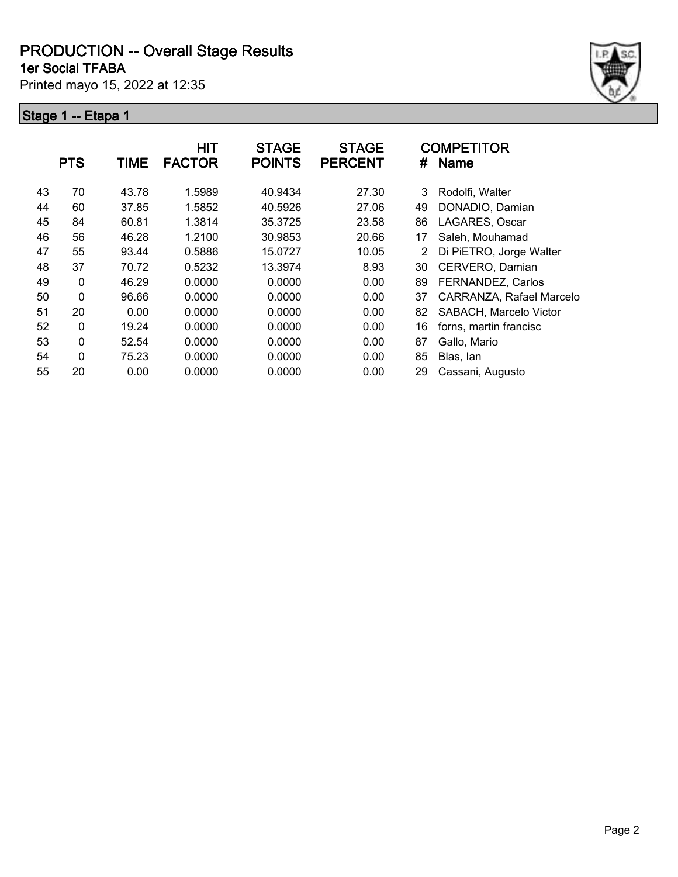**1er Social TFABA**

Printed mayo 15, 2022 at 12:35



|    | <b>PTS</b>   | <b>TIME</b> | <b>HIT</b><br><b>FACTOR</b> | <b>STAGE</b><br><b>POINTS</b> | <b>STAGE</b><br><b>PERCENT</b> | #  | <b>COMPETITOR</b><br>Name |
|----|--------------|-------------|-----------------------------|-------------------------------|--------------------------------|----|---------------------------|
| 43 | 70           | 43.78       | 1.5989                      | 40.9434                       | 27.30                          | 3  | Rodolfi, Walter           |
| 44 | 60           | 37.85       | 1.5852                      | 40.5926                       | 27.06                          | 49 | DONADIO, Damian           |
| 45 | 84           | 60.81       | 1.3814                      | 35.3725                       | 23.58                          | 86 | LAGARES, Oscar            |
| 46 | 56           | 46.28       | 1.2100                      | 30.9853                       | 20.66                          | 17 | Saleh, Mouhamad           |
| 47 | 55           | 93.44       | 0.5886                      | 15.0727                       | 10.05                          | 2  | Di PiETRO, Jorge Walter   |
| 48 | 37           | 70.72       | 0.5232                      | 13.3974                       | 8.93                           | 30 | CERVERO, Damian           |
| 49 | 0            | 46.29       | 0.0000                      | 0.0000                        | 0.00                           | 89 | FERNANDEZ, Carlos         |
| 50 | 0            | 96.66       | 0.0000                      | 0.0000                        | 0.00                           | 37 | CARRANZA, Rafael Marcelo  |
| 51 | 20           | 0.00        | 0.0000                      | 0.0000                        | 0.00                           | 82 | SABACH, Marcelo Victor    |
| 52 | $\mathbf{0}$ | 19.24       | 0.0000                      | 0.0000                        | 0.00                           | 16 | forns, martin francisc    |
| 53 | 0            | 52.54       | 0.0000                      | 0.0000                        | 0.00                           | 87 | Gallo, Mario              |
| 54 | 0            | 75.23       | 0.0000                      | 0.0000                        | 0.00                           | 85 | Blas, Ian                 |
| 55 | 20           | 0.00        | 0.0000                      | 0.0000                        | 0.00                           | 29 | Cassani, Augusto          |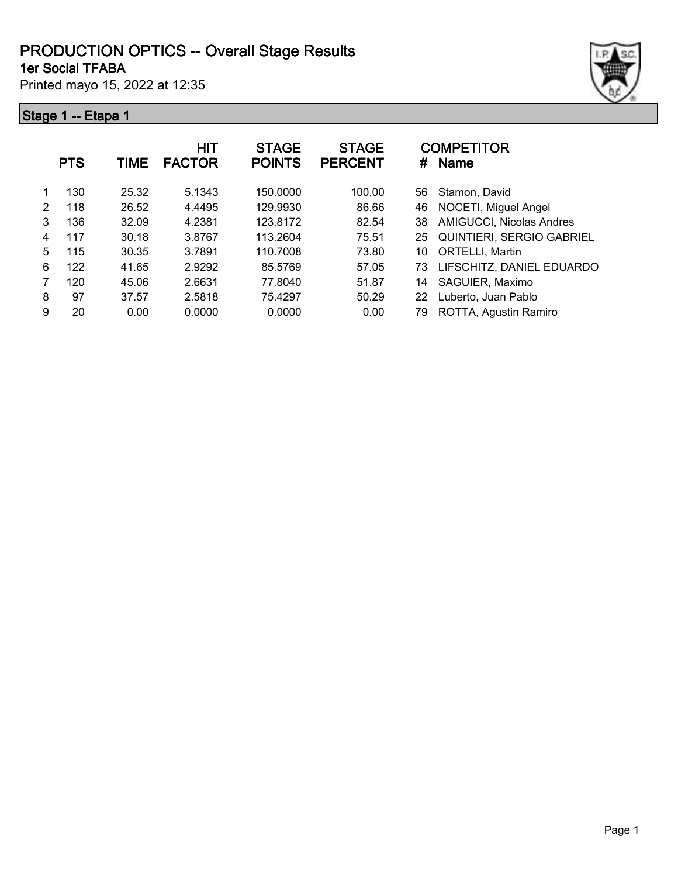#### **1er Social TFABA PRODUCTION OPTICS -- Overall Stage Results**

Printed mayo 15, 2022 at 12:35



|   | <b>PTS</b> | TIME  | <b>HIT</b><br><b>FACTOR</b> | <b>STAGE</b><br><b>POINTS</b> | <b>STAGE</b><br><b>PERCENT</b> | #  | <b>COMPETITOR</b><br><b>Name</b> |
|---|------------|-------|-----------------------------|-------------------------------|--------------------------------|----|----------------------------------|
| 1 | 130        | 25.32 | 5.1343                      | 150.0000                      | 100.00                         | 56 | Stamon, David                    |
| 2 | 118        | 26.52 | 4.4495                      | 129.9930                      | 86.66                          | 46 | NOCETI, Miguel Angel             |
| 3 | 136        | 32.09 | 4.2381                      | 123.8172                      | 82.54                          | 38 | <b>AMIGUCCI, Nicolas Andres</b>  |
| 4 | 117        | 30.18 | 3.8767                      | 113.2604                      | 75.51                          | 25 | <b>QUINTIERI, SERGIO GABRIEL</b> |
| 5 | 115        | 30.35 | 3.7891                      | 110.7008                      | 73.80                          | 10 | <b>ORTELLI, Martin</b>           |
| 6 | 122        | 41.65 | 2.9292                      | 85.5769                       | 57.05                          | 73 | LIFSCHITZ, DANIEL EDUARDO        |
| 7 | 120        | 45.06 | 2.6631                      | 77.8040                       | 51.87                          | 14 | SAGUIER, Maximo                  |
| 8 | 97         | 37.57 | 2.5818                      | 75.4297                       | 50.29                          | 22 | Luberto, Juan Pablo              |
| 9 | 20         | 0.00  | 0.0000                      | 0.0000                        | 0.00                           | 79 | ROTTA, Agustin Ramiro            |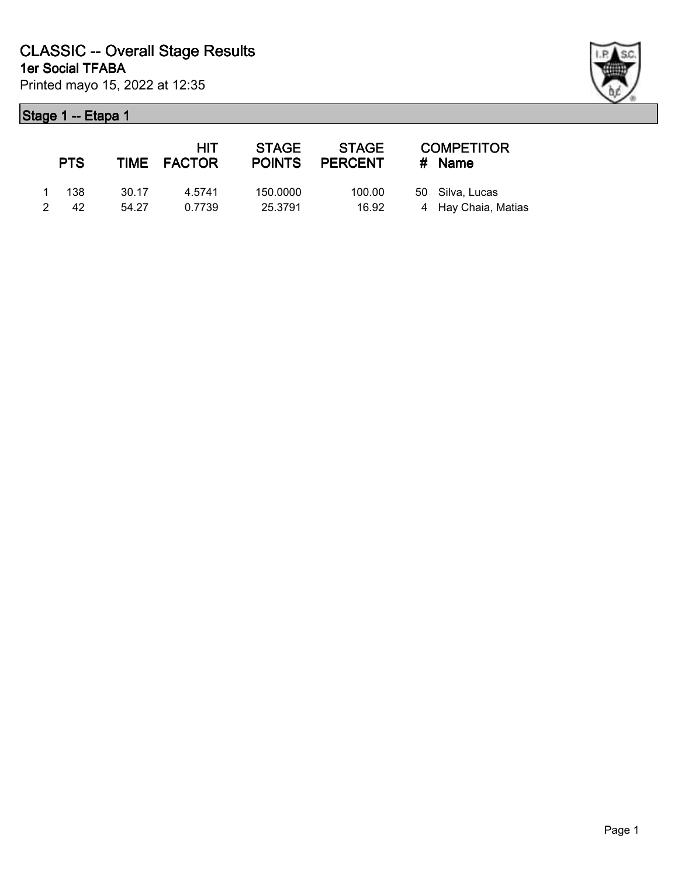|               | <b>PTS</b> |       | <b>HIT</b><br>TIME FACTOR | <b>STAGE</b><br><b>POINTS</b> | STAGE<br><b>PERCENT</b> | <b>COMPETITOR</b><br># Name |
|---------------|------------|-------|---------------------------|-------------------------------|-------------------------|-----------------------------|
|               | 1 138      | 30.17 | 4.5741                    | 150.0000                      | 100.00                  | 50 Silva, Lucas             |
| $\mathcal{P}$ | 42         | 54.27 | 0.7739                    | 25.3791                       | 16.92                   | 4 Hay Chaia, Matias         |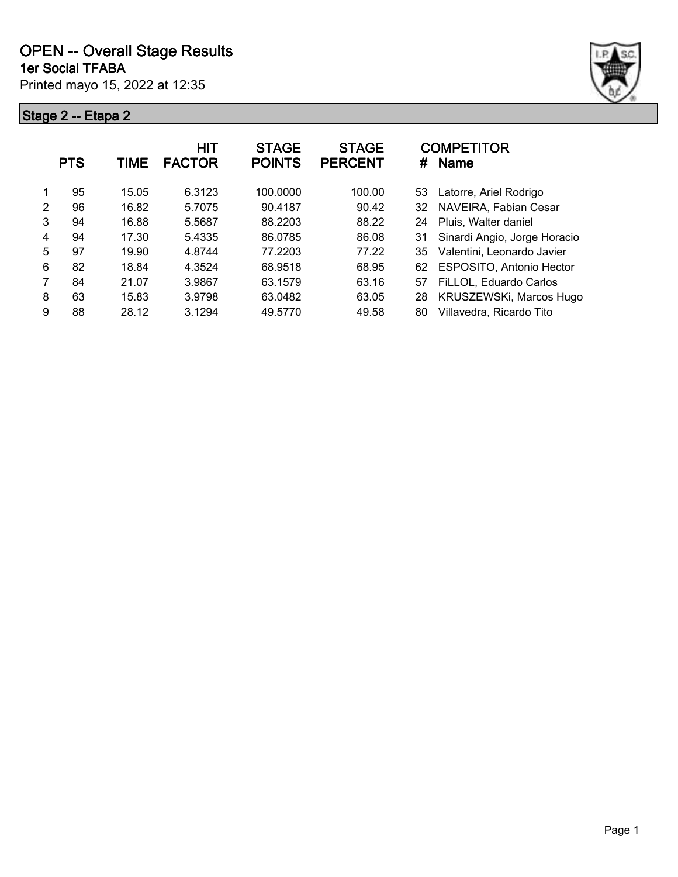

|               | <b>PTS</b> | <b>TIME</b> | <b>HIT</b><br><b>FACTOR</b> | <b>STAGE</b><br><b>POINTS</b> | <b>STAGE</b><br><b>PERCENT</b> | <b>COMPETITOR</b><br><b>Name</b><br># |
|---------------|------------|-------------|-----------------------------|-------------------------------|--------------------------------|---------------------------------------|
|               | 95         | 15.05       | 6.3123                      | 100.0000                      | 100.00                         | Latorre, Ariel Rodrigo<br>53          |
| $\mathcal{P}$ | 96         | 16.82       | 5.7075                      | 90.4187                       | 90.42                          | NAVEIRA, Fabian Cesar<br>32           |
| 3             | 94         | 16.88       | 5.5687                      | 88.2203                       | 88.22                          | Pluis, Walter daniel<br>24            |
| 4             | 94         | 17.30       | 5.4335                      | 86.0785                       | 86.08                          | Sinardi Angio, Jorge Horacio<br>31    |
| 5             | 97         | 19.90       | 4.8744                      | 77.2203                       | 77.22                          | Valentini, Leonardo Javier<br>35      |
| 6             | 82         | 18.84       | 4.3524                      | 68.9518                       | 68.95                          | <b>ESPOSITO, Antonio Hector</b><br>62 |
| 7             | 84         | 21.07       | 3.9867                      | 63.1579                       | 63.16                          | FiLLOL, Eduardo Carlos<br>57          |
| 8             | 63         | 15.83       | 3.9798                      | 63.0482                       | 63.05                          | KRUSZEWSKi, Marcos Hugo<br>28         |
| 9             | 88         | 28.12       | 3.1294                      | 49.5770                       | 49.58                          | Villavedra, Ricardo Tito<br>80        |
|               |            |             |                             |                               |                                |                                       |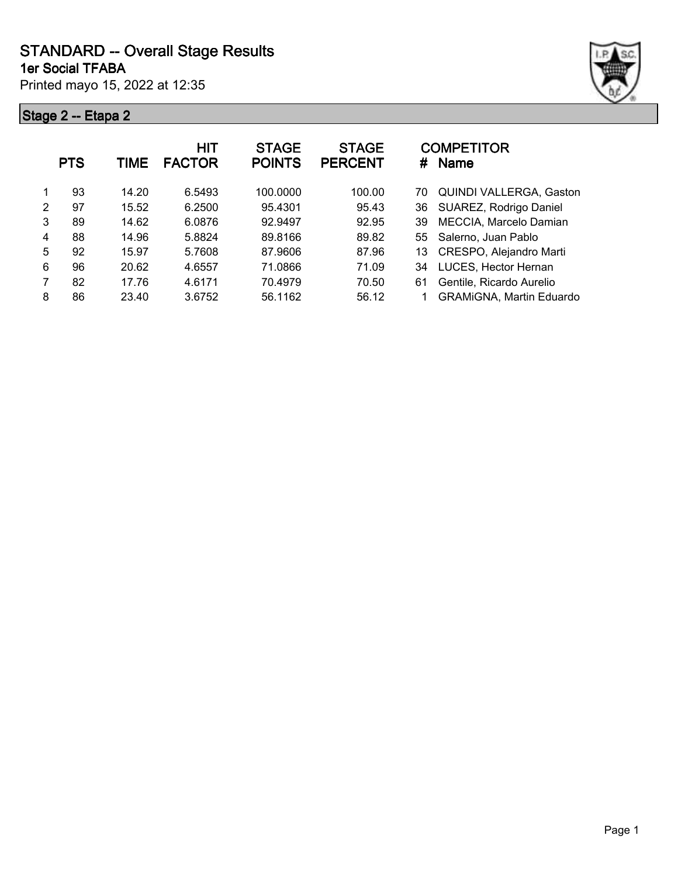Printed mayo 15, 2022 at 12:35 **1er Social TFABA**



|   | <b>PTS</b> | TIME  | <b>HIT</b><br><b>FACTOR</b> | <b>STAGE</b><br><b>POINTS</b> | <b>STAGE</b><br><b>PERCENT</b> | <b>COMPETITOR</b><br>#<br><b>Name</b> |
|---|------------|-------|-----------------------------|-------------------------------|--------------------------------|---------------------------------------|
|   | 93         | 14.20 | 6.5493                      | 100.0000                      | 100.00                         | <b>QUINDI VALLERGA, Gaston</b><br>70  |
| 2 | 97         | 15.52 | 6.2500                      | 95.4301                       | 95.43                          | SUAREZ, Rodrigo Daniel<br>36          |
| 3 | 89         | 14.62 | 6.0876                      | 92.9497                       | 92.95                          | MECCIA, Marcelo Damian<br>39          |
| 4 | 88         | 14.96 | 5.8824                      | 89.8166                       | 89.82                          | Salerno, Juan Pablo<br>55             |
| 5 | 92         | 15.97 | 5.7608                      | 87.9606                       | 87.96                          | CRESPO, Alejandro Marti<br>13         |
| 6 | 96         | 20.62 | 4.6557                      | 71.0866                       | 71.09                          | LUCES, Hector Hernan<br>34            |
| 7 | 82         | 17.76 | 4.6171                      | 70.4979                       | 70.50                          | Gentile, Ricardo Aurelio<br>61        |
| 8 | 86         | 23.40 | 3.6752                      | 56.1162                       | 56.12                          | <b>GRAMiGNA, Martin Eduardo</b>       |
|   |            |       |                             |                               |                                |                                       |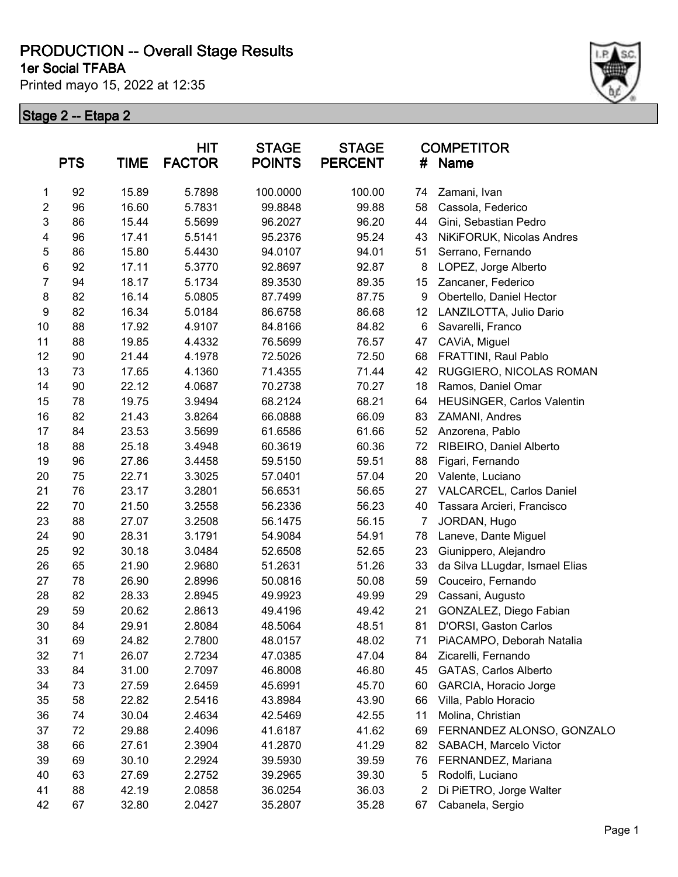**1er Social TFABA**

Printed mayo 15, 2022 at 12:35



|                  | <b>PTS</b> | <b>TIME</b> | <b>HIT</b><br><b>FACTOR</b> | <b>STAGE</b><br><b>POINTS</b> | <b>STAGE</b><br><b>PERCENT</b> | <b>COMPETITOR</b><br>Name<br># |                                |
|------------------|------------|-------------|-----------------------------|-------------------------------|--------------------------------|--------------------------------|--------------------------------|
| 1                | 92         | 15.89       | 5.7898                      | 100.0000                      | 100.00                         | 74                             | Zamani, Ivan                   |
| $\overline{2}$   | 96         | 16.60       | 5.7831                      | 99.8848                       | 99.88                          | 58                             | Cassola, Federico              |
| 3                | 86         | 15.44       | 5.5699                      | 96.2027                       | 96.20                          | 44                             | Gini, Sebastian Pedro          |
| 4                | 96         | 17.41       | 5.5141                      | 95.2376                       | 95.24                          | 43                             | NiKiFORUK, Nicolas Andres      |
| 5                | 86         | 15.80       | 5.4430                      | 94.0107                       | 94.01                          | 51                             | Serrano, Fernando              |
| 6                | 92         | 17.11       | 5.3770                      | 92.8697                       | 92.87                          | 8                              | LOPEZ, Jorge Alberto           |
| $\overline{7}$   | 94         | 18.17       | 5.1734                      | 89.3530                       | 89.35                          | 15                             | Zancaner, Federico             |
| 8                | 82         | 16.14       | 5.0805                      | 87.7499                       | 87.75                          | 9                              | Obertello, Daniel Hector       |
| $\boldsymbol{9}$ | 82         | 16.34       | 5.0184                      | 86.6758                       | 86.68                          | 12                             | LANZILOTTA, Julio Dario        |
| 10               | 88         | 17.92       | 4.9107                      | 84.8166                       | 84.82                          | 6                              | Savarelli, Franco              |
| 11               | 88         | 19.85       | 4.4332                      | 76.5699                       | 76.57                          | 47                             | CAViA, Miguel                  |
| 12               | 90         | 21.44       | 4.1978                      | 72.5026                       | 72.50                          | 68                             | FRATTINI, Raul Pablo           |
| 13               | 73         | 17.65       | 4.1360                      | 71.4355                       | 71.44                          | 42                             | RUGGIERO, NICOLAS ROMAN        |
| 14               | 90         | 22.12       | 4.0687                      | 70.2738                       | 70.27                          | 18                             | Ramos, Daniel Omar             |
| 15               | 78         | 19.75       | 3.9494                      | 68.2124                       | 68.21                          | 64                             | HEUSINGER, Carlos Valentin     |
| 16               | 82         | 21.43       | 3.8264                      | 66.0888                       | 66.09                          | 83                             | ZAMANI, Andres                 |
| 17               | 84         | 23.53       | 3.5699                      | 61.6586                       | 61.66                          | 52                             | Anzorena, Pablo                |
| 18               | 88         | 25.18       | 3.4948                      | 60.3619                       | 60.36                          | 72                             | RIBEIRO, Daniel Alberto        |
| 19               | 96         | 27.86       | 3.4458                      | 59.5150                       | 59.51                          | 88                             | Figari, Fernando               |
| 20               | 75         | 22.71       | 3.3025                      | 57.0401                       | 57.04                          | 20                             | Valente, Luciano               |
| 21               | 76         | 23.17       | 3.2801                      | 56.6531                       | 56.65                          | 27                             | VALCARCEL, Carlos Daniel       |
| 22               | 70         | 21.50       | 3.2558                      | 56.2336                       | 56.23                          | 40                             | Tassara Arcieri, Francisco     |
| 23               | 88         | 27.07       | 3.2508                      | 56.1475                       | 56.15                          | 7                              | JORDAN, Hugo                   |
| 24               | 90         | 28.31       | 3.1791                      | 54.9084                       | 54.91                          | 78                             | Laneve, Dante Miguel           |
| 25               | 92         | 30.18       | 3.0484                      | 52.6508                       | 52.65                          | 23                             | Giunippero, Alejandro          |
| 26               | 65         | 21.90       | 2.9680                      | 51.2631                       | 51.26                          | 33                             | da Silva LLugdar, Ismael Elias |
| 27               | 78         | 26.90       | 2.8996                      | 50.0816                       | 50.08                          | 59                             | Couceiro, Fernando             |
| 28               | 82         | 28.33       | 2.8945                      | 49.9923                       | 49.99                          | 29                             | Cassani, Augusto               |
| 29               | 59         | 20.62       | 2.8613                      | 49.4196                       | 49.42                          | 21                             | GONZALEZ, Diego Fabian         |
| 30               | 84         | 29.91       | 2.8084                      | 48.5064                       | 48.51                          | 81                             | D'ORSI, Gaston Carlos          |
| 31               | 69         | 24.82       | 2.7800                      | 48.0157                       | 48.02                          | 71                             | PiACAMPO, Deborah Natalia      |
| 32               | 71         | 26.07       | 2.7234                      | 47.0385                       | 47.04                          | 84                             | Zicarelli, Fernando            |
| 33               | 84         | 31.00       | 2.7097                      | 46.8008                       | 46.80                          | 45                             | GATAS, Carlos Alberto          |
| 34               | 73         | 27.59       | 2.6459                      | 45.6991                       | 45.70                          | 60                             | GARCIA, Horacio Jorge          |
| 35               | 58         | 22.82       | 2.5416                      | 43.8984                       | 43.90                          | 66                             | Villa, Pablo Horacio           |
| 36               | 74         | 30.04       | 2.4634                      | 42.5469                       | 42.55                          | 11                             | Molina, Christian              |
| 37               | 72         | 29.88       | 2.4096                      | 41.6187                       | 41.62                          | 69                             | FERNANDEZ ALONSO, GONZALO      |
| 38               | 66         | 27.61       | 2.3904                      | 41.2870                       | 41.29                          | 82                             | SABACH, Marcelo Victor         |
| 39               | 69         | 30.10       | 2.2924                      | 39.5930                       | 39.59                          | 76                             | FERNANDEZ, Mariana             |
| 40               | 63         | 27.69       | 2.2752                      | 39.2965                       | 39.30                          | 5                              | Rodolfi, Luciano               |
| 41               | 88         | 42.19       | 2.0858                      | 36.0254                       | 36.03                          | 2                              | Di PiETRO, Jorge Walter        |
| 42               | 67         | 32.80       | 2.0427                      | 35.2807                       | 35.28                          | 67                             | Cabanela, Sergio               |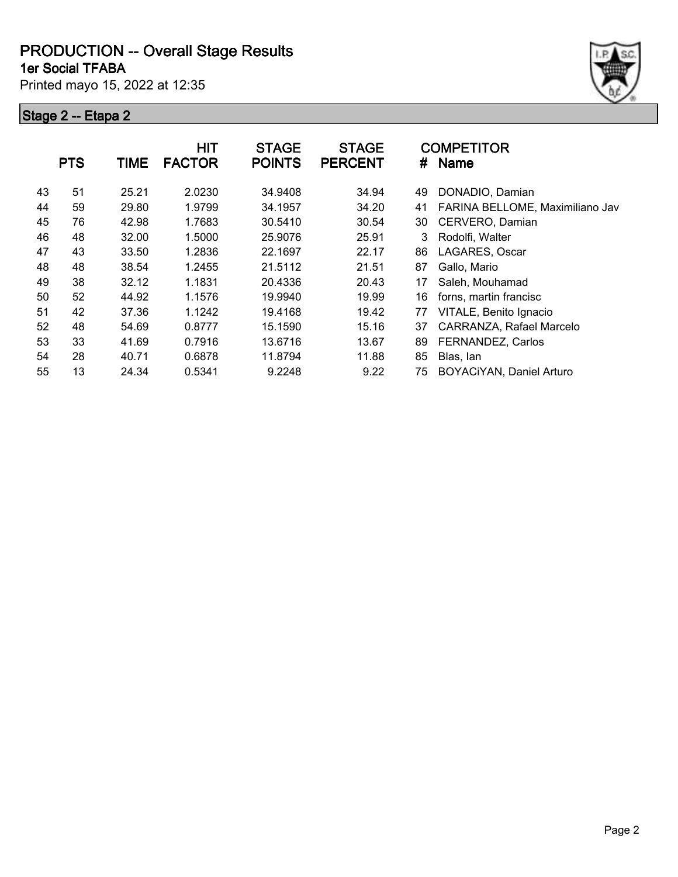**1er Social TFABA**

Printed mayo 15, 2022 at 12:35



|    | <b>PTS</b> | <b>TIME</b> | <b>HIT</b><br><b>FACTOR</b> | <b>STAGE</b><br><b>POINTS</b> | <b>STAGE</b><br><b>PERCENT</b> | #  | <b>COMPETITOR</b><br><b>Name</b> |
|----|------------|-------------|-----------------------------|-------------------------------|--------------------------------|----|----------------------------------|
| 43 | 51         | 25.21       | 2.0230                      | 34.9408                       | 34.94                          | 49 | DONADIO, Damian                  |
| 44 | 59         | 29.80       | 1.9799                      | 34.1957                       | 34.20                          | 41 | FARINA BELLOME, Maximiliano Jav  |
| 45 | 76         | 42.98       | 1.7683                      | 30.5410                       | 30.54                          | 30 | CERVERO, Damian                  |
| 46 | 48         | 32.00       | 1.5000                      | 25,9076                       | 25.91                          | 3  | Rodolfi, Walter                  |
| 47 | 43         | 33.50       | 1.2836                      | 22.1697                       | 22.17                          | 86 | LAGARES, Oscar                   |
| 48 | 48         | 38.54       | 1.2455                      | 21.5112                       | 21.51                          | 87 | Gallo, Mario                     |
| 49 | 38         | 32.12       | 1.1831                      | 20.4336                       | 20.43                          | 17 | Saleh, Mouhamad                  |
| 50 | 52         | 44.92       | 1.1576                      | 19.9940                       | 19.99                          | 16 | forns, martin francisc           |
| 51 | 42         | 37.36       | 1.1242                      | 19.4168                       | 19.42                          | 77 | VITALE, Benito Ignacio           |
| 52 | 48         | 54.69       | 0.8777                      | 15.1590                       | 15.16                          | 37 | CARRANZA, Rafael Marcelo         |
| 53 | 33         | 41.69       | 0.7916                      | 13.6716                       | 13.67                          | 89 | FERNANDEZ, Carlos                |
| 54 | 28         | 40.71       | 0.6878                      | 11.8794                       | 11.88                          | 85 | Blas, lan                        |
| 55 | 13         | 24.34       | 0.5341                      | 9.2248                        | 9.22                           | 75 | BOYACiYAN, Daniel Arturo         |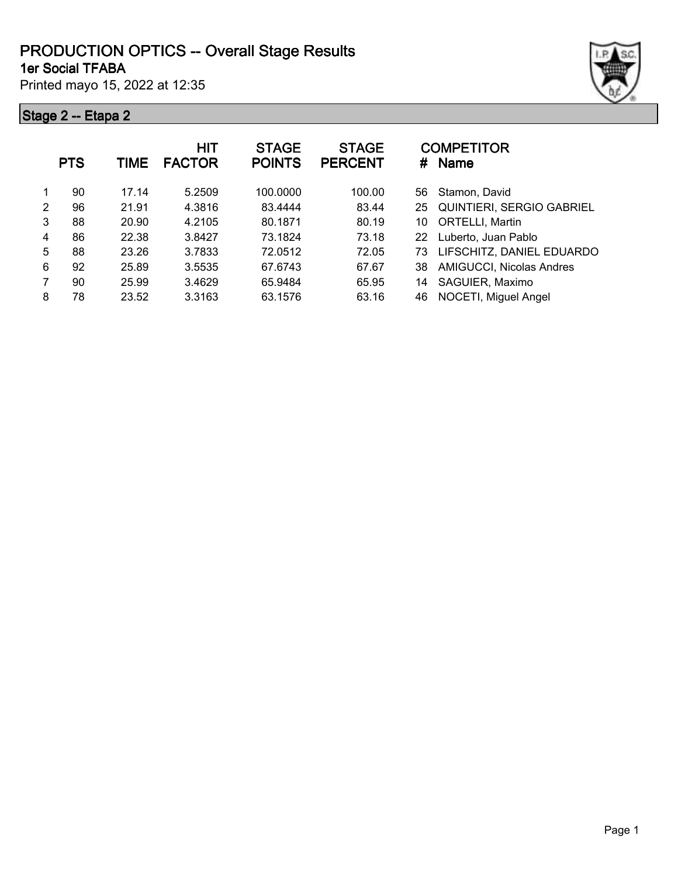#### **1er Social TFABA PRODUCTION OPTICS -- Overall Stage Results**

Printed mayo 15, 2022 at 12:35



|   | <b>PTS</b> | TIME  | HIT<br><b>FACTOR</b> | <b>STAGE</b><br><b>POINTS</b> | <b>STAGE</b><br><b>PERCENT</b> | #  | <b>COMPETITOR</b><br><b>Name</b> |
|---|------------|-------|----------------------|-------------------------------|--------------------------------|----|----------------------------------|
|   | 90         | 17.14 | 5.2509               | 100.0000                      | 100.00                         | 56 | Stamon, David                    |
| 2 | 96         | 21.91 | 4.3816               | 83.4444                       | 83.44                          | 25 | QUINTIERI, SERGIO GABRIEL        |
| 3 | 88         | 20.90 | 4.2105               | 80.1871                       | 80.19                          | 10 | <b>ORTELLI, Martin</b>           |
| 4 | 86         | 22.38 | 3.8427               | 73.1824                       | 73.18                          | 22 | Luberto, Juan Pablo              |
| 5 | 88         | 23.26 | 3.7833               | 72.0512                       | 72.05                          | 73 | LIFSCHITZ, DANIEL EDUARDO        |
| 6 | 92         | 25.89 | 3.5535               | 67.6743                       | 67.67                          | 38 | <b>AMIGUCCI, Nicolas Andres</b>  |
| 7 | 90         | 25.99 | 3.4629               | 65.9484                       | 65.95                          | 14 | SAGUIER, Maximo                  |
| 8 | 78         | 23.52 | 3.3163               | 63.1576                       | 63.16                          | 46 | NOCETI, Miguel Angel             |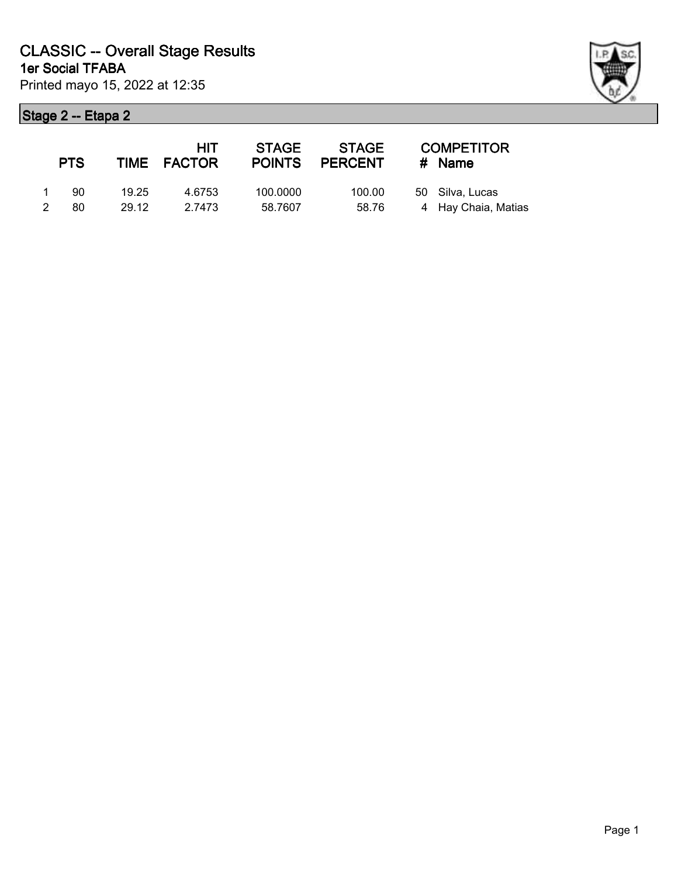|               | <b>PTS</b> |       | <b>HIT</b><br>TIME FACTOR | <b>STAGE</b><br><b>POINTS</b> | STAGE<br>PERCENT | <b>COMPETITOR</b><br># Name |
|---------------|------------|-------|---------------------------|-------------------------------|------------------|-----------------------------|
|               | 90         | 19.25 | 4.6753                    | 100.0000                      | 100.00           | 50 Silva, Lucas             |
| $\mathcal{P}$ | 80         | 29.12 | 2.7473                    | 58.7607                       | 58.76            | 4 Hay Chaia, Matias         |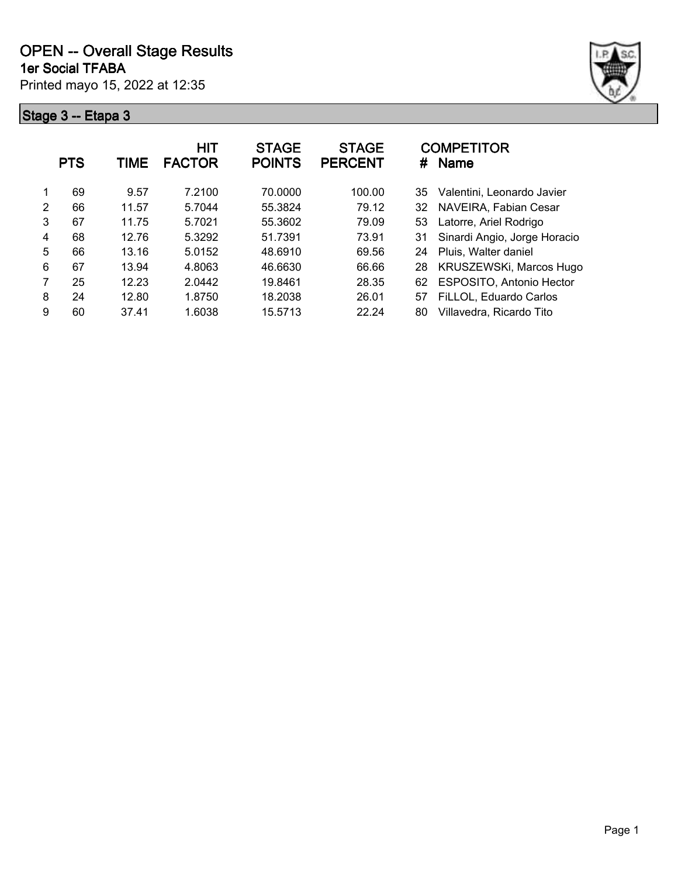



|   | <b>PTS</b> | TIME  | HIT<br><b>FACTOR</b> | <b>STAGE</b><br><b>POINTS</b> | <b>STAGE</b><br><b>PERCENT</b> | <b>COMPETITOR</b><br><b>Name</b><br># |
|---|------------|-------|----------------------|-------------------------------|--------------------------------|---------------------------------------|
|   | 69         | 9.57  | 7.2100               | 70.0000                       | 100.00                         | Valentini, Leonardo Javier<br>35      |
| 2 | 66         | 11.57 | 5.7044               | 55.3824                       | 79.12                          | NAVEIRA, Fabian Cesar<br>32           |
| 3 | 67         | 11.75 | 5.7021               | 55.3602                       | 79.09                          | Latorre, Ariel Rodrigo<br>53          |
| 4 | 68         | 12.76 | 5.3292               | 51.7391                       | 73.91                          | Sinardi Angio, Jorge Horacio<br>31    |
| 5 | 66         | 13.16 | 5.0152               | 48.6910                       | 69.56                          | Pluis, Walter daniel<br>24            |
| 6 | 67         | 13.94 | 4.8063               | 46.6630                       | 66.66                          | KRUSZEWSKi, Marcos Hugo<br>28         |
| 7 | 25         | 12.23 | 2.0442               | 19.8461                       | 28.35                          | <b>ESPOSITO, Antonio Hector</b><br>62 |
| 8 | 24         | 12.80 | 1.8750               | 18.2038                       | 26.01                          | FiLLOL, Eduardo Carlos<br>57          |
| 9 | 60         | 37.41 | 1.6038               | 15.5713                       | 22.24                          | Villavedra, Ricardo Tito<br>80        |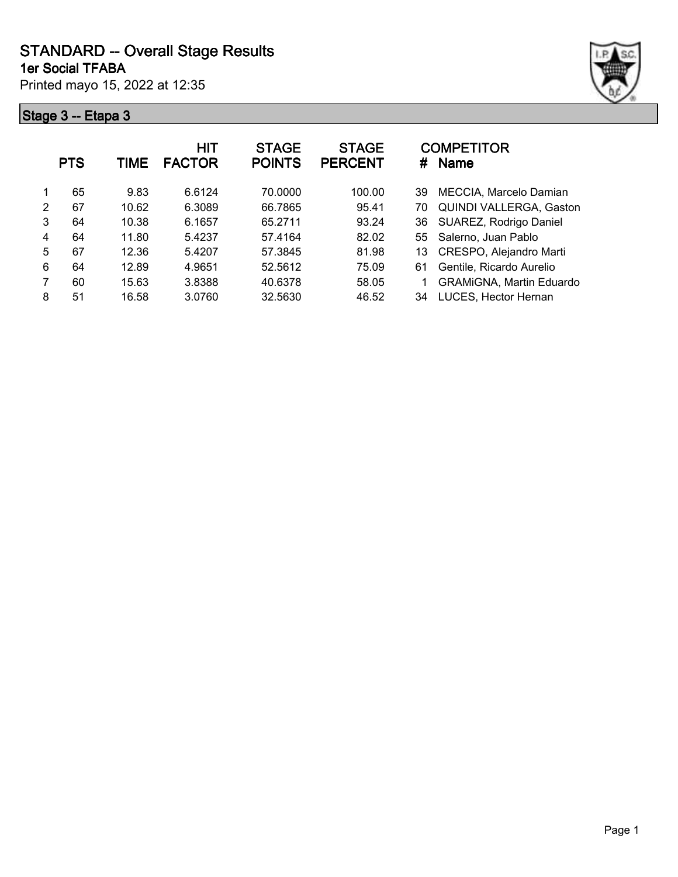**1er Social TFABA**

Printed mayo 15, 2022 at 12:35



| TIME  | <b>HIT</b><br><b>FACTOR</b> | <b>STAGE</b><br><b>POINTS</b> | <b>STAGE</b><br><b>PERCENT</b> | <b>COMPETITOR</b><br><b>Name</b><br># |
|-------|-----------------------------|-------------------------------|--------------------------------|---------------------------------------|
| 9.83  | 6.6124                      | 70,0000                       | 100.00                         | MECCIA, Marcelo Damian<br>39          |
| 10.62 | 6.3089                      | 66.7865                       | 95.41                          | <b>QUINDI VALLERGA, Gaston</b><br>70  |
| 10.38 | 6.1657                      | 65.2711                       | 93.24                          | 36 SUAREZ, Rodrigo Daniel             |
| 11.80 | 5.4237                      | 57.4164                       | 82.02                          | 55 Salerno, Juan Pablo                |
| 12.36 | 5.4207                      | 57.3845                       | 81.98                          | CRESPO, Alejandro Marti<br>13.        |
| 12.89 | 4.9651                      | 52.5612                       | 75.09                          | Gentile, Ricardo Aurelio<br>61        |
| 15.63 | 3.8388                      | 40.6378                       | 58.05                          | <b>GRAMIGNA, Martin Eduardo</b>       |
| 16.58 | 3.0760                      | 32.5630                       | 46.52                          | LUCES, Hector Hernan<br>34            |
|       |                             |                               |                                |                                       |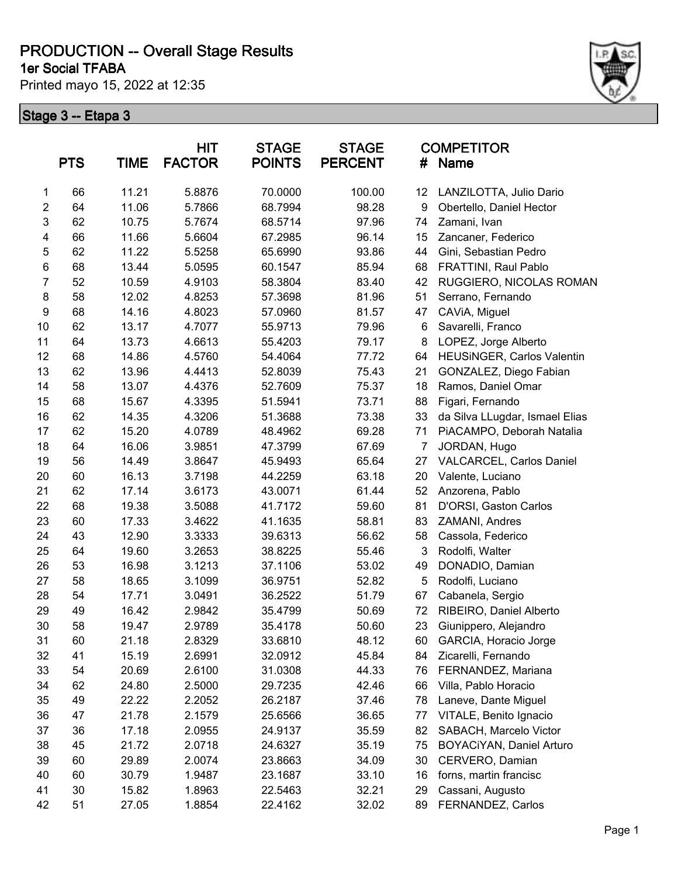**1er Social TFABA**

Printed mayo 15, 2022 at 12:35



|                  | <b>PTS</b> | <b>TIME</b> | HIT<br><b>FACTOR</b> | <b>STAGE</b><br><b>POINTS</b> | <b>STAGE</b><br><b>PERCENT</b> | #              | <b>COMPETITOR</b><br>Name      |
|------------------|------------|-------------|----------------------|-------------------------------|--------------------------------|----------------|--------------------------------|
| $\mathbf{1}$     | 66         | 11.21       | 5.8876               | 70.0000                       | 100.00                         | 12             | LANZILOTTA, Julio Dario        |
| $\overline{2}$   | 64         | 11.06       | 5.7866               | 68.7994                       | 98.28                          | 9              | Obertello, Daniel Hector       |
| 3                | 62         | 10.75       | 5.7674               | 68.5714                       | 97.96                          | 74             | Zamani, Ivan                   |
| 4                | 66         | 11.66       | 5.6604               | 67.2985                       | 96.14                          | 15             | Zancaner, Federico             |
| 5                | 62         | 11.22       | 5.5258               | 65.6990                       | 93.86                          | 44             | Gini, Sebastian Pedro          |
| 6                | 68         | 13.44       | 5.0595               | 60.1547                       | 85.94                          | 68             | FRATTINI, Raul Pablo           |
| $\overline{7}$   | 52         | 10.59       | 4.9103               | 58.3804                       | 83.40                          | 42             | RUGGIERO, NICOLAS ROMAN        |
| 8                | 58         | 12.02       | 4.8253               | 57.3698                       | 81.96                          | 51             | Serrano, Fernando              |
| $\boldsymbol{9}$ | 68         | 14.16       | 4.8023               | 57.0960                       | 81.57                          | 47             | CAViA, Miguel                  |
| 10               | 62         | 13.17       | 4.7077               | 55.9713                       | 79.96                          | 6              | Savarelli, Franco              |
| 11               | 64         | 13.73       | 4.6613               | 55.4203                       | 79.17                          | 8              | LOPEZ, Jorge Alberto           |
| 12               | 68         | 14.86       | 4.5760               | 54.4064                       | 77.72                          | 64             | HEUSINGER, Carlos Valentin     |
| 13               | 62         | 13.96       | 4.4413               | 52.8039                       | 75.43                          | 21             | GONZALEZ, Diego Fabian         |
| 14               | 58         | 13.07       | 4.4376               | 52.7609                       | 75.37                          | 18             | Ramos, Daniel Omar             |
| 15               | 68         | 15.67       | 4.3395               | 51.5941                       | 73.71                          | 88             | Figari, Fernando               |
| 16               | 62         | 14.35       | 4.3206               | 51.3688                       | 73.38                          | 33             | da Silva LLugdar, Ismael Elias |
| 17               | 62         | 15.20       | 4.0789               | 48.4962                       | 69.28                          | 71             | PiACAMPO, Deborah Natalia      |
| 18               | 64         | 16.06       | 3.9851               | 47.3799                       | 67.69                          | $\overline{7}$ | JORDAN, Hugo                   |
| 19               | 56         | 14.49       | 3.8647               | 45.9493                       | 65.64                          | 27             | VALCARCEL, Carlos Daniel       |
| 20               | 60         | 16.13       | 3.7198               | 44.2259                       | 63.18                          | 20             | Valente, Luciano               |
| 21               | 62         | 17.14       | 3.6173               | 43.0071                       | 61.44                          | 52             | Anzorena, Pablo                |
| 22               | 68         | 19.38       | 3.5088               | 41.7172                       | 59.60                          | 81             | D'ORSI, Gaston Carlos          |
| 23               | 60         | 17.33       | 3.4622               | 41.1635                       | 58.81                          | 83             | ZAMANI, Andres                 |
| 24               | 43         | 12.90       | 3.3333               | 39.6313                       | 56.62                          | 58             | Cassola, Federico              |
| 25               | 64         | 19.60       | 3.2653               | 38.8225                       | 55.46                          | $\mathbf{3}$   | Rodolfi, Walter                |
| 26               | 53         | 16.98       | 3.1213               | 37.1106                       | 53.02                          | 49             | DONADIO, Damian                |
| 27               | 58         | 18.65       | 3.1099               | 36.9751                       | 52.82                          | 5              | Rodolfi, Luciano               |
| 28               | 54         | 17.71       | 3.0491               | 36.2522                       | 51.79                          | 67             | Cabanela, Sergio               |
| 29               | 49         | 16.42       | 2.9842               | 35.4799                       | 50.69                          | 72             | RIBEIRO, Daniel Alberto        |
| 30               | 58         | 19.47       | 2.9789               | 35.4178                       | 50.60                          | 23             | Giunippero, Alejandro          |
| 31               | 60         | 21.18       | 2.8329               | 33.6810                       | 48.12                          | 60             | GARCIA, Horacio Jorge          |
| 32               | 41         | 15.19       | 2.6991               | 32.0912                       | 45.84                          | 84             | Zicarelli, Fernando            |
| 33               | 54         | 20.69       | 2.6100               | 31.0308                       | 44.33                          | 76             | FERNANDEZ, Mariana             |
| 34               | 62         | 24.80       | 2.5000               | 29.7235                       | 42.46                          | 66             | Villa, Pablo Horacio           |
| 35               | 49         | 22.22       | 2.2052               | 26.2187                       | 37.46                          | 78             | Laneve, Dante Miguel           |
| 36               | 47         | 21.78       | 2.1579               | 25.6566                       | 36.65                          | 77             | VITALE, Benito Ignacio         |
| 37               | 36         | 17.18       | 2.0955               | 24.9137                       | 35.59                          | 82             | SABACH, Marcelo Victor         |
| 38               | 45         | 21.72       | 2.0718               | 24.6327                       | 35.19                          | 75             | BOYACiYAN, Daniel Arturo       |
| 39               | 60         | 29.89       | 2.0074               | 23.8663                       | 34.09                          | 30             | CERVERO, Damian                |
| 40               | 60         | 30.79       | 1.9487               | 23.1687                       | 33.10                          | 16             | forns, martin francisc         |
| 41               | 30         | 15.82       | 1.8963               | 22.5463                       | 32.21                          | 29             | Cassani, Augusto               |
| 42               | 51         | 27.05       | 1.8854               | 22.4162                       | 32.02                          | 89             | FERNANDEZ, Carlos              |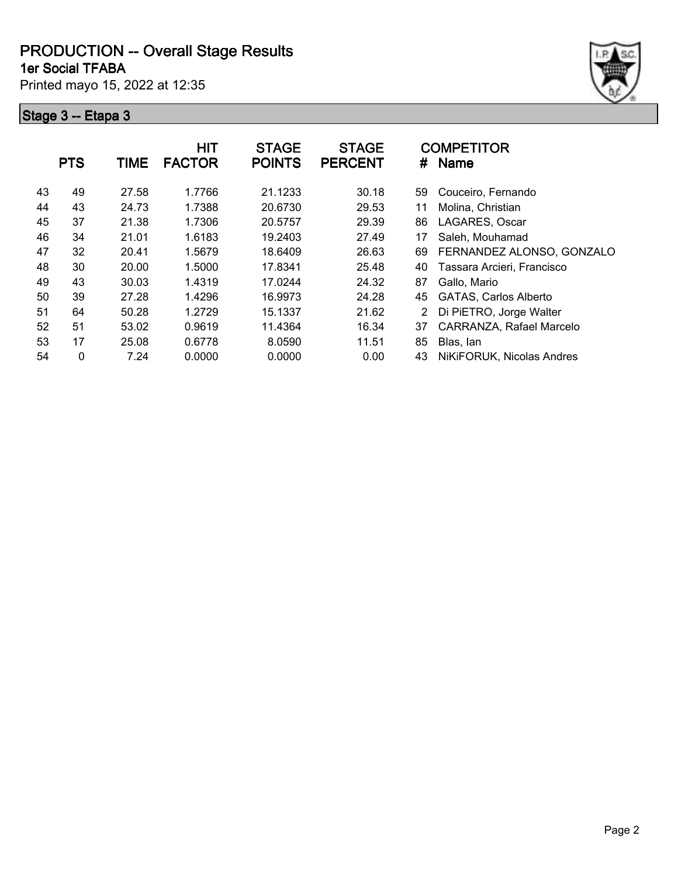**1er Social TFABA**

Printed mayo 15, 2022 at 12:35



|    | <b>PTS</b> | <b>TIME</b> | <b>HIT</b><br><b>FACTOR</b> | <b>STAGE</b><br><b>POINTS</b> | <b>STAGE</b><br><b>PERCENT</b> | #  | <b>COMPETITOR</b><br><b>Name</b> |
|----|------------|-------------|-----------------------------|-------------------------------|--------------------------------|----|----------------------------------|
| 43 | 49         | 27.58       | 1.7766                      | 21.1233                       | 30.18                          | 59 | Couceiro, Fernando               |
| 44 | 43         | 24.73       | 1.7388                      | 20.6730                       | 29.53                          | 11 | Molina, Christian                |
| 45 | 37         | 21.38       | 1.7306                      | 20.5757                       | 29.39                          | 86 | LAGARES, Oscar                   |
| 46 | 34         | 21.01       | 1.6183                      | 19.2403                       | 27.49                          | 17 | Saleh, Mouhamad                  |
| 47 | 32         | 20.41       | 1.5679                      | 18.6409                       | 26.63                          | 69 | FERNANDEZ ALONSO, GONZALO        |
| 48 | 30         | 20.00       | 1.5000                      | 17.8341                       | 25.48                          | 40 | Tassara Arcieri, Francisco       |
| 49 | 43         | 30.03       | 1.4319                      | 17.0244                       | 24.32                          | 87 | Gallo, Mario                     |
| 50 | 39         | 27.28       | 1.4296                      | 16.9973                       | 24.28                          | 45 | <b>GATAS, Carlos Alberto</b>     |
| 51 | 64         | 50.28       | 1.2729                      | 15.1337                       | 21.62                          | 2  | Di PiETRO, Jorge Walter          |
| 52 | 51         | 53.02       | 0.9619                      | 11.4364                       | 16.34                          | 37 | CARRANZA, Rafael Marcelo         |
| 53 | 17         | 25.08       | 0.6778                      | 8.0590                        | 11.51                          | 85 | Blas, lan                        |
| 54 | 0          | 7.24        | 0.0000                      | 0.0000                        | 0.00                           | 43 | NiKiFORUK, Nicolas Andres        |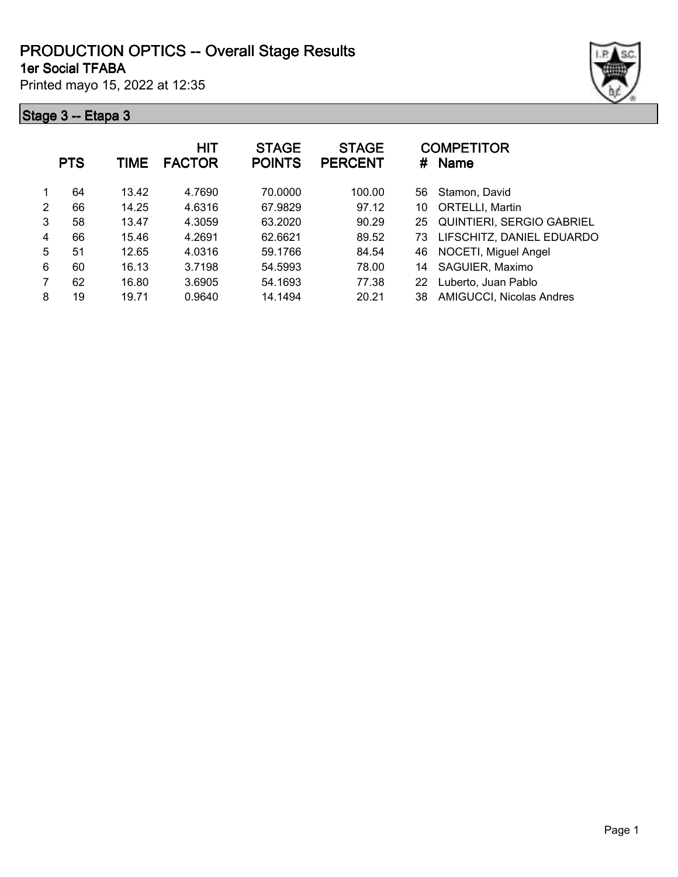#### **1er Social TFABA PRODUCTION OPTICS -- Overall Stage Results**

Printed mayo 15, 2022 at 12:35



|   | <b>PTS</b> | TIME  | <b>HIT</b><br><b>FACTOR</b> | <b>STAGE</b><br><b>POINTS</b> | <b>STAGE</b><br><b>PERCENT</b> | #  | <b>COMPETITOR</b><br><b>Name</b> |
|---|------------|-------|-----------------------------|-------------------------------|--------------------------------|----|----------------------------------|
|   | 64         | 13.42 | 4.7690                      | 70.0000                       | 100.00                         | 56 | Stamon, David                    |
| 2 | 66         | 14.25 | 4.6316                      | 67.9829                       | 97.12                          | 10 | ORTELLI, Martin                  |
| 3 | 58         | 13.47 | 4.3059                      | 63.2020                       | 90.29                          | 25 | <b>QUINTIERI, SERGIO GABRIEL</b> |
| 4 | 66         | 15.46 | 4.2691                      | 62.6621                       | 89.52                          | 73 | LIFSCHITZ, DANIEL EDUARDO        |
| 5 | 51         | 12.65 | 4.0316                      | 59.1766                       | 84.54                          | 46 | NOCETI, Miguel Angel             |
| 6 | 60         | 16.13 | 3.7198                      | 54.5993                       | 78.00                          | 14 | SAGUIER, Maximo                  |
|   | 62         | 16.80 | 3.6905                      | 54.1693                       | 77.38                          | 22 | Luberto, Juan Pablo              |
| 8 | 19         | 19.71 | 0.9640                      | 14.1494                       | 20.21                          | 38 | AMIGUCCI, Nicolas Andres         |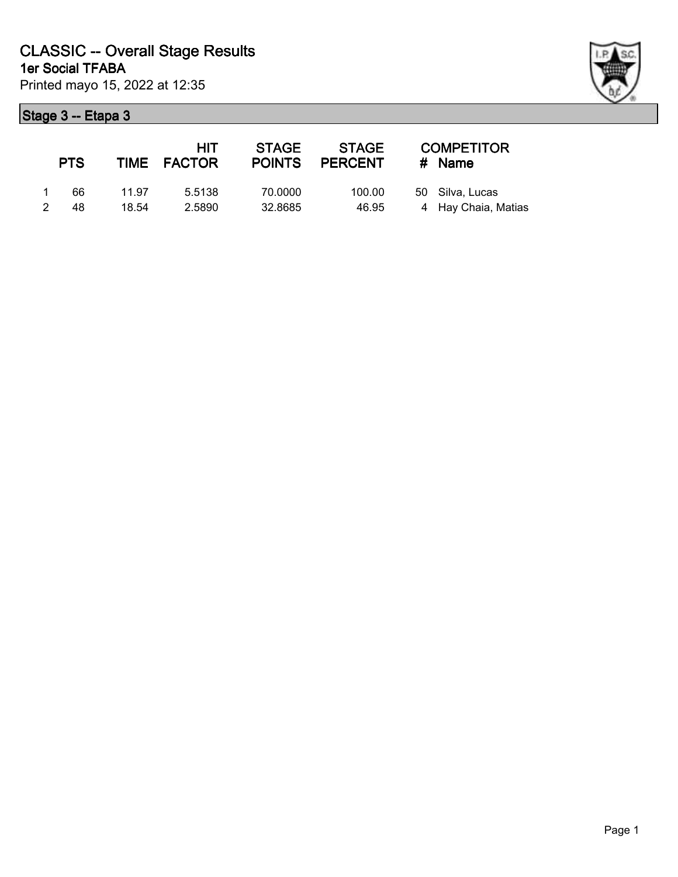| ł |  |
|---|--|

|                | <b>PTS</b> |       | HIT.<br>TIME FACTOR | <b>STAGE</b><br><b>POINTS</b> | STAGE<br>PERCENT | <b>COMPETITOR</b><br># Name |
|----------------|------------|-------|---------------------|-------------------------------|------------------|-----------------------------|
| $\overline{1}$ | 66         | 11.97 | 5.5138              | 70.0000                       | 100.00           | 50 Silva, Lucas             |
|                | 48         | 18.54 | 2.5890              | 32.8685                       | 46.95            | 4 Hay Chaia, Matias         |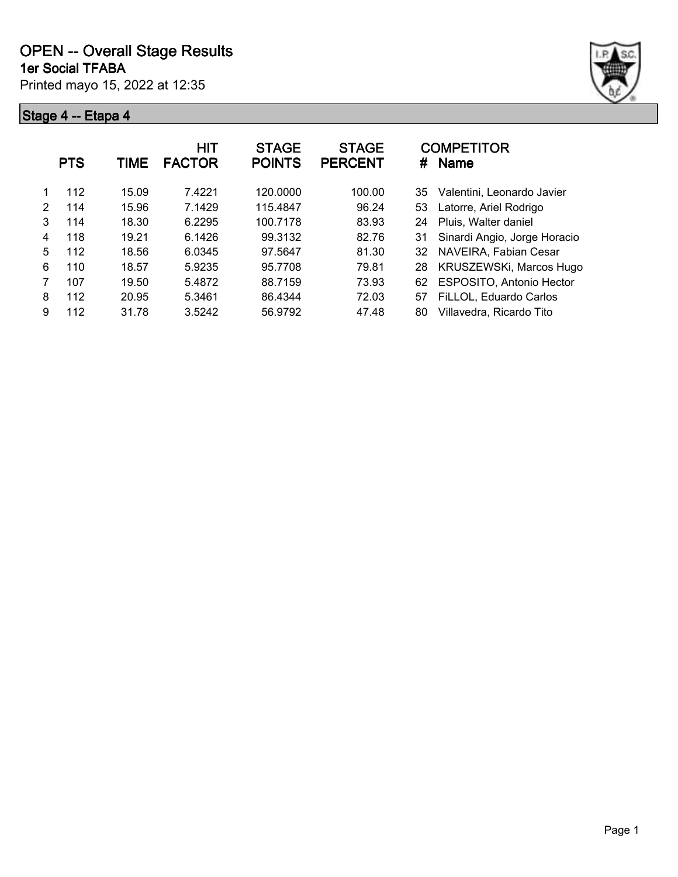

|   | <b>PTS</b> | <b>TIME</b> | HIT<br><b>FACTOR</b> | <b>STAGE</b><br><b>POINTS</b> | <b>STAGE</b><br><b>PERCENT</b> | #  | <b>COMPETITOR</b><br><b>Name</b> |
|---|------------|-------------|----------------------|-------------------------------|--------------------------------|----|----------------------------------|
|   | 112        | 15.09       | 7.4221               | 120.0000                      | 100.00                         | 35 | Valentini, Leonardo Javier       |
| 2 | 114        | 15.96       | 7.1429               | 115.4847                      | 96.24                          | 53 | Latorre, Ariel Rodrigo           |
| 3 | 114        | 18.30       | 6.2295               | 100.7178                      | 83.93                          | 24 | Pluis, Walter daniel             |
| 4 | 118        | 19.21       | 6.1426               | 99.3132                       | 82.76                          | 31 | Sinardi Angio, Jorge Horacio     |
| 5 | 112        | 18.56       | 6.0345               | 97.5647                       | 81.30                          | 32 | NAVEIRA, Fabian Cesar            |
| 6 | 110        | 18.57       | 5.9235               | 95.7708                       | 79.81                          | 28 | KRUSZEWSKi, Marcos Hugo          |
| 7 | 107        | 19.50       | 5.4872               | 88.7159                       | 73.93                          | 62 | <b>ESPOSITO, Antonio Hector</b>  |
| 8 | 112        | 20.95       | 5.3461               | 86.4344                       | 72.03                          | 57 | FiLLOL, Eduardo Carlos           |
| 9 | 112        | 31.78       | 3.5242               | 56.9792                       | 47.48                          | 80 | Villavedra, Ricardo Tito         |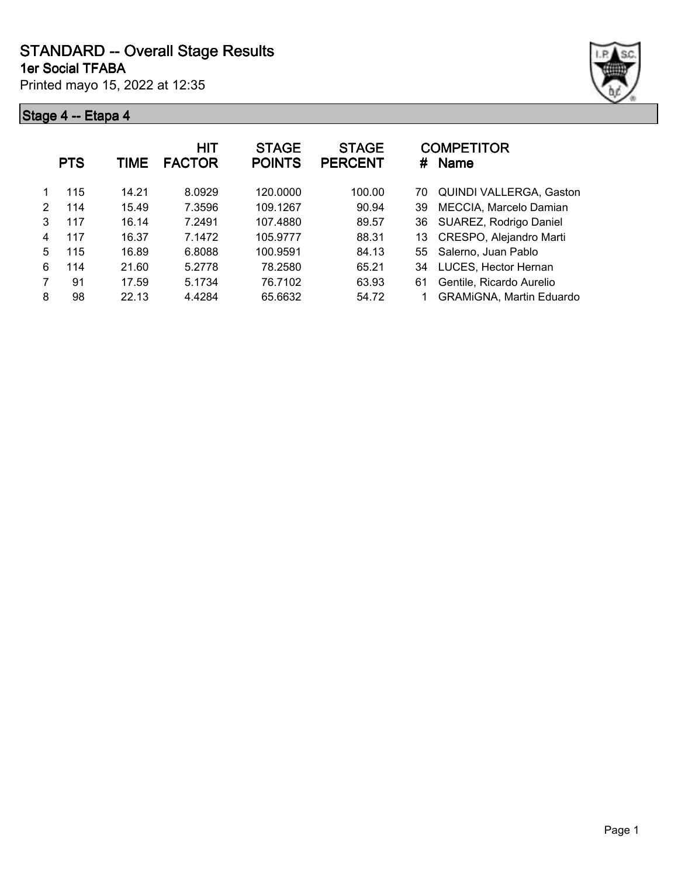**1er Social TFABA**

Printed mayo 15, 2022 at 12:35





|   | <b>PTS</b> | TIME  | <b>HIT</b><br><b>FACTOR</b> | <b>STAGE</b><br><b>POINTS</b> | <b>STAGE</b><br><b>PERCENT</b> | <b>COMPETITOR</b><br><b>Name</b><br># |
|---|------------|-------|-----------------------------|-------------------------------|--------------------------------|---------------------------------------|
|   | 115        | 14.21 | 8.0929                      | 120.0000                      | 100.00                         | <b>QUINDI VALLERGA, Gaston</b><br>70  |
| 2 | 114        | 15.49 | 7.3596                      | 109.1267                      | 90.94                          | MECCIA, Marcelo Damian<br>39          |
| 3 | 117        | 16.14 | 7.2491                      | 107.4880                      | 89.57                          | SUAREZ, Rodrigo Daniel<br>36          |
| 4 | 117        | 16.37 | 7.1472                      | 105.9777                      | 88.31                          | CRESPO, Alejandro Marti<br>13         |
| 5 | 115        | 16.89 | 6.8088                      | 100.9591                      | 84.13                          | 55 Salerno, Juan Pablo                |
| 6 | 114        | 21.60 | 5.2778                      | 78.2580                       | 65.21                          | LUCES, Hector Hernan<br>34            |
|   | 91         | 17.59 | 5.1734                      | 76.7102                       | 63.93                          | Gentile, Ricardo Aurelio<br>61        |
| 8 | 98         | 22.13 | 4.4284                      | 65.6632                       | 54.72                          | <b>GRAMIGNA, Martin Eduardo</b>       |
|   |            |       |                             |                               |                                |                                       |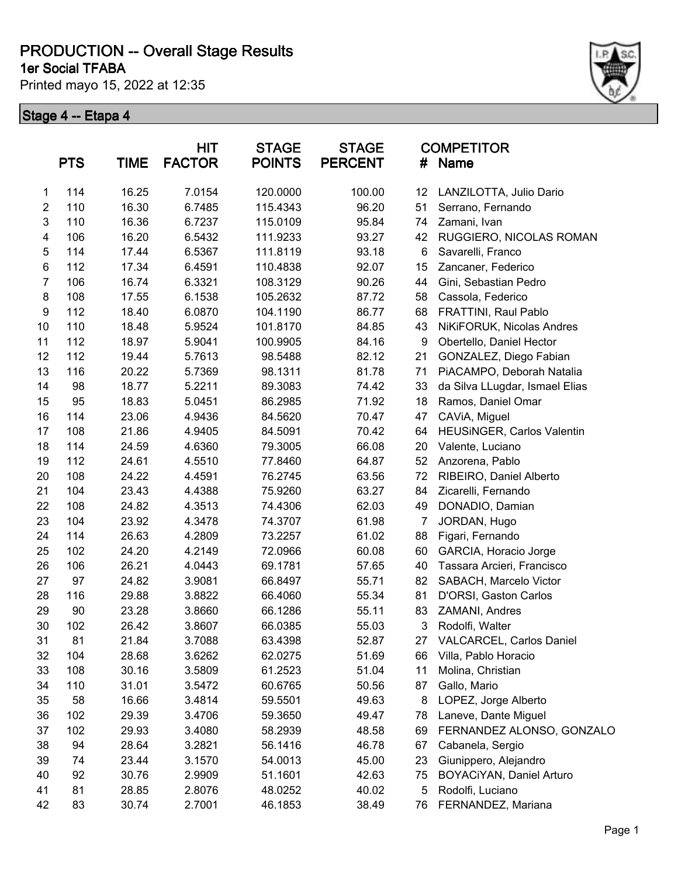**1er Social TFABA**

Printed mayo 15, 2022 at 12:35



|                  | <b>PTS</b> | <b>TIME</b> | HIT<br><b>FACTOR</b> | <b>STAGE</b><br><b>POINTS</b> | <b>STAGE</b><br><b>PERCENT</b> | #  | <b>COMPETITOR</b><br>Name      |
|------------------|------------|-------------|----------------------|-------------------------------|--------------------------------|----|--------------------------------|
| 1                | 114        | 16.25       | 7.0154               | 120.0000                      | 100.00                         | 12 | LANZILOTTA, Julio Dario        |
| $\boldsymbol{2}$ | 110        | 16.30       | 6.7485               | 115.4343                      | 96.20                          | 51 | Serrano, Fernando              |
| 3                | 110        | 16.36       | 6.7237               | 115.0109                      | 95.84                          | 74 | Zamani, Ivan                   |
| 4                | 106        | 16.20       | 6.5432               | 111.9233                      | 93.27                          | 42 | RUGGIERO, NICOLAS ROMAN        |
| 5                | 114        | 17.44       | 6.5367               | 111.8119                      | 93.18                          | 6  | Savarelli, Franco              |
| 6                | 112        | 17.34       | 6.4591               | 110.4838                      | 92.07                          | 15 | Zancaner, Federico             |
| $\overline{7}$   | 106        | 16.74       | 6.3321               | 108.3129                      | 90.26                          | 44 | Gini, Sebastian Pedro          |
| 8                | 108        | 17.55       | 6.1538               | 105.2632                      | 87.72                          | 58 | Cassola, Federico              |
| 9                | 112        | 18.40       | 6.0870               | 104.1190                      | 86.77                          | 68 | FRATTINI, Raul Pablo           |
| 10               | 110        | 18.48       | 5.9524               | 101.8170                      | 84.85                          | 43 | NiKiFORUK, Nicolas Andres      |
| 11               | 112        | 18.97       | 5.9041               | 100.9905                      | 84.16                          | 9  | Obertello, Daniel Hector       |
| 12               | 112        | 19.44       | 5.7613               | 98.5488                       | 82.12                          | 21 | GONZALEZ, Diego Fabian         |
| 13               | 116        | 20.22       | 5.7369               | 98.1311                       | 81.78                          | 71 | PiACAMPO, Deborah Natalia      |
| 14               | 98         | 18.77       | 5.2211               | 89.3083                       | 74.42                          | 33 | da Silva LLugdar, Ismael Elias |
| 15               | 95         | 18.83       | 5.0451               | 86.2985                       | 71.92                          | 18 | Ramos, Daniel Omar             |
| 16               | 114        | 23.06       | 4.9436               | 84.5620                       | 70.47                          | 47 | CAViA, Miguel                  |
| 17               | 108        | 21.86       | 4.9405               | 84.5091                       | 70.42                          | 64 | HEUSINGER, Carlos Valentin     |
| 18               | 114        | 24.59       | 4.6360               | 79.3005                       | 66.08                          | 20 | Valente, Luciano               |
| 19               | 112        | 24.61       | 4.5510               | 77.8460                       | 64.87                          | 52 | Anzorena, Pablo                |
| 20               | 108        | 24.22       | 4.4591               | 76.2745                       | 63.56                          | 72 | RIBEIRO, Daniel Alberto        |
| 21               | 104        | 23.43       | 4.4388               | 75.9260                       | 63.27                          | 84 | Zicarelli, Fernando            |
| 22               | 108        | 24.82       | 4.3513               | 74.4306                       | 62.03                          | 49 | DONADIO, Damian                |
| 23               | 104        | 23.92       | 4.3478               | 74.3707                       | 61.98                          | 7  | JORDAN, Hugo                   |
| 24               | 114        | 26.63       | 4.2809               | 73.2257                       | 61.02                          | 88 | Figari, Fernando               |
| 25               | 102        | 24.20       | 4.2149               | 72.0966                       | 60.08                          | 60 | GARCIA, Horacio Jorge          |
| 26               | 106        | 26.21       | 4.0443               | 69.1781                       | 57.65                          | 40 | Tassara Arcieri, Francisco     |
| 27               | 97         | 24.82       | 3.9081               | 66.8497                       | 55.71                          | 82 | SABACH, Marcelo Victor         |
| 28               | 116        | 29.88       | 3.8822               | 66.4060                       | 55.34                          | 81 | D'ORSI, Gaston Carlos          |
| 29               | 90         | 23.28       | 3.8660               | 66.1286                       | 55.11                          | 83 | ZAMANI, Andres                 |
| 30               | 102        | 26.42       | 3.8607               | 66.0385                       | 55.03                          | 3  | Rodolfi, Walter                |
| 31               | 81         | 21.84       | 3.7088               | 63.4398                       | 52.87                          | 27 | VALCARCEL, Carlos Daniel       |
| 32               | 104        | 28.68       | 3.6262               | 62.0275                       | 51.69                          | 66 | Villa, Pablo Horacio           |
| 33               | 108        | 30.16       | 3.5809               | 61.2523                       | 51.04                          | 11 | Molina, Christian              |
| 34               | 110        | 31.01       | 3.5472               | 60.6765                       | 50.56                          | 87 | Gallo, Mario                   |
| 35               | 58         | 16.66       | 3.4814               | 59.5501                       | 49.63                          | 8  | LOPEZ, Jorge Alberto           |
| 36               | 102        | 29.39       | 3.4706               | 59.3650                       | 49.47                          | 78 | Laneve, Dante Miguel           |
| 37               | 102        | 29.93       | 3.4080               | 58.2939                       | 48.58                          | 69 | FERNANDEZ ALONSO, GONZALO      |
| 38               | 94         | 28.64       | 3.2821               | 56.1416                       | 46.78                          | 67 | Cabanela, Sergio               |
| 39               | 74         | 23.44       | 3.1570               | 54.0013                       | 45.00                          | 23 | Giunippero, Alejandro          |
| 40               | 92         | 30.76       | 2.9909               | 51.1601                       | 42.63                          | 75 | BOYACiYAN, Daniel Arturo       |
| 41               | 81         | 28.85       | 2.8076               | 48.0252                       | 40.02                          | 5  | Rodolfi, Luciano               |
| 42               | 83         | 30.74       | 2.7001               | 46.1853                       | 38.49                          | 76 | FERNANDEZ, Mariana             |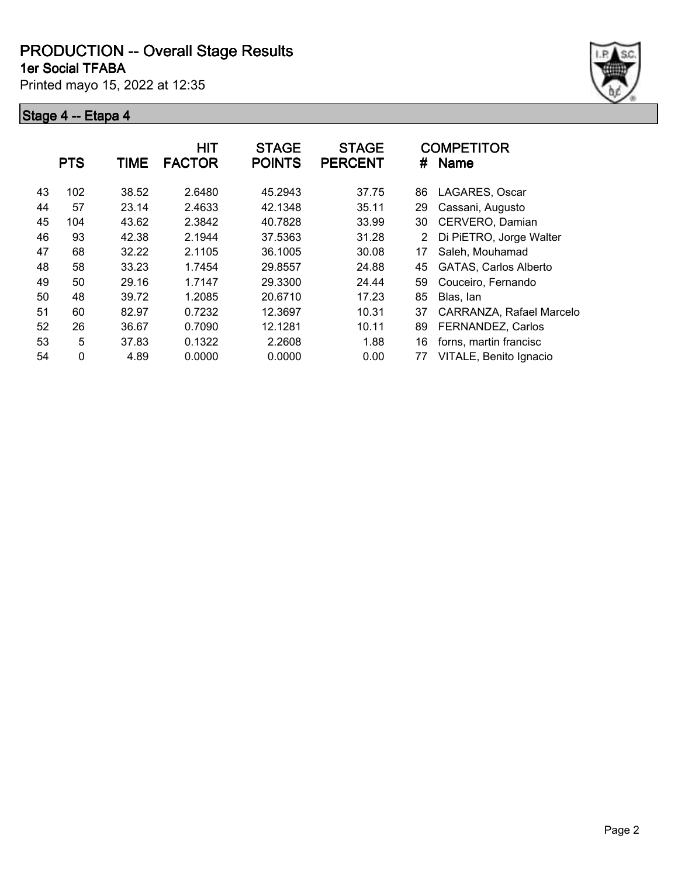**1er Social TFABA**

Printed mayo 15, 2022 at 12:35



|    | <b>PTS</b>   | <b>TIME</b> | <b>HIT</b><br><b>FACTOR</b> | <b>STAGE</b><br><b>POINTS</b> | <b>STAGE</b><br><b>PERCENT</b> | #  | <b>COMPETITOR</b><br><b>Name</b> |
|----|--------------|-------------|-----------------------------|-------------------------------|--------------------------------|----|----------------------------------|
| 43 | 102          | 38.52       | 2.6480                      | 45.2943                       | 37.75                          | 86 | LAGARES, Oscar                   |
| 44 | 57           | 23.14       | 2.4633                      | 42.1348                       | 35.11                          | 29 | Cassani, Augusto                 |
| 45 | 104          | 43.62       | 2.3842                      | 40.7828                       | 33.99                          | 30 | CERVERO, Damian                  |
| 46 | 93           | 42.38       | 2.1944                      | 37.5363                       | 31.28                          | 2  | Di PiETRO, Jorge Walter          |
| 47 | 68           | 32.22       | 2.1105                      | 36.1005                       | 30.08                          | 17 | Saleh, Mouhamad                  |
| 48 | 58           | 33.23       | 1.7454                      | 29.8557                       | 24.88                          | 45 | <b>GATAS, Carlos Alberto</b>     |
| 49 | 50           | 29.16       | 1.7147                      | 29.3300                       | 24.44                          | 59 | Couceiro, Fernando               |
| 50 | 48           | 39.72       | 1.2085                      | 20.6710                       | 17.23                          | 85 | Blas, Ian                        |
| 51 | 60           | 82.97       | 0.7232                      | 12.3697                       | 10.31                          | 37 | CARRANZA, Rafael Marcelo         |
| 52 | 26           | 36.67       | 0.7090                      | 12.1281                       | 10.11                          | 89 | FERNANDEZ, Carlos                |
| 53 | 5            | 37.83       | 0.1322                      | 2.2608                        | 1.88                           | 16 | forns, martin francisc           |
| 54 | $\mathbf{0}$ | 4.89        | 0.0000                      | 0.0000                        | 0.00                           | 77 | VITALE, Benito Ignacio           |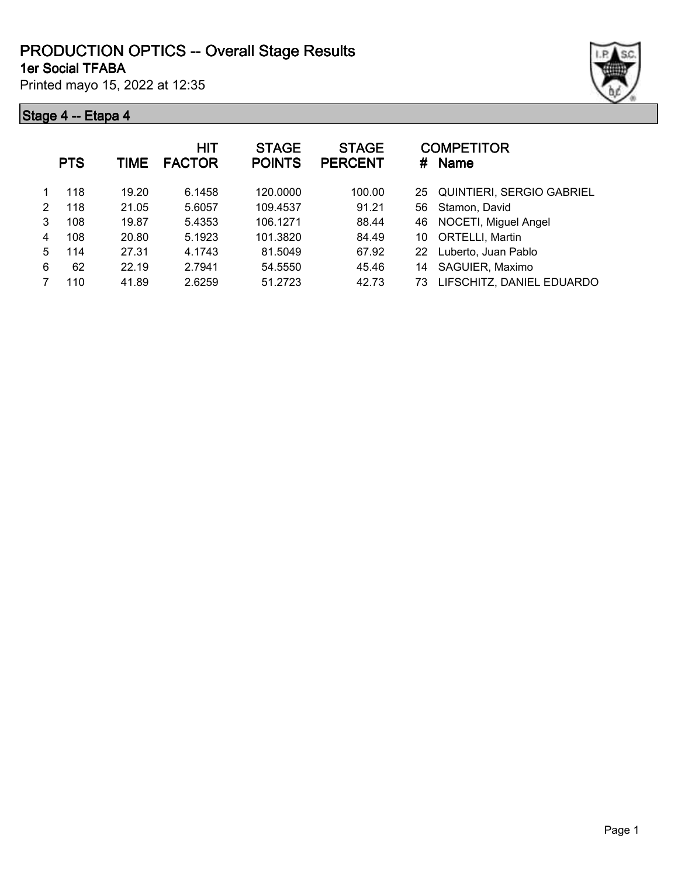#### **1er Social TFABA PRODUCTION OPTICS -- Overall Stage Results**

Printed mayo 15, 2022 at 12:35



|   | <b>PTS</b> | TIME  | HIT<br><b>FACTOR</b> | <b>STAGE</b><br><b>POINTS</b> | <b>STAGE</b><br><b>PERCENT</b> | #  | <b>COMPETITOR</b><br><b>Name</b> |
|---|------------|-------|----------------------|-------------------------------|--------------------------------|----|----------------------------------|
|   | 118        | 19.20 | 6.1458               | 120.0000                      | 100.00                         | 25 | QUINTIERI, SERGIO GABRIEL        |
| 2 | 118        | 21.05 | 5.6057               | 109.4537                      | 91.21                          | 56 | Stamon, David                    |
| 3 | 108        | 19.87 | 5.4353               | 106.1271                      | 88.44                          | 46 | NOCETI, Miguel Angel             |
| 4 | 108        | 20.80 | 5.1923               | 101.3820                      | 84.49                          | 10 | <b>ORTELLI, Martin</b>           |
| 5 | 114        | 27.31 | 4.1743               | 81.5049                       | 67.92                          | 22 | Luberto, Juan Pablo              |
| 6 | 62         | 22.19 | 2.7941               | 54.5550                       | 45.46                          | 14 | SAGUIER, Maximo                  |
|   | 110        | 41.89 | 2.6259               | 51.2723                       | 42.73                          | 73 | LIFSCHITZ, DANIEL EDUARDO        |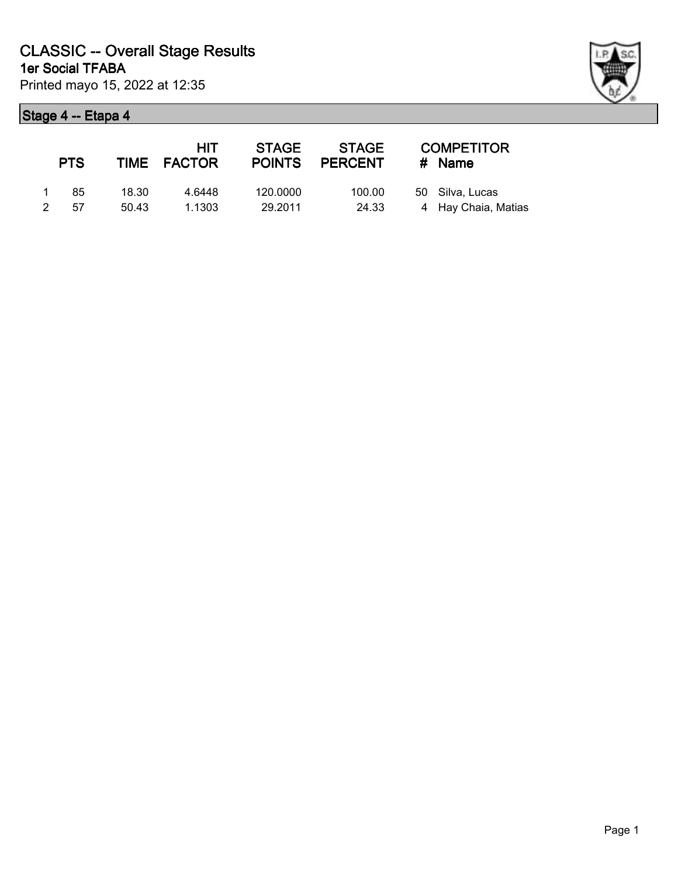

|              | <b>PTS</b> |       | <b>HIT</b><br>TIME FACTOR | STAGE<br><b>POINTS</b> | STAGE<br>PERCENT | <b>COMPETITOR</b><br>$#$ Name |
|--------------|------------|-------|---------------------------|------------------------|------------------|-------------------------------|
| $\mathbf{1}$ | 85         | 18.30 | 4.6448                    | 120.0000               | 100.00           | 50 Silva, Lucas               |
| 2            | .57        | 50.43 | 1.1303                    | 29.2011                | 24.33            | 4 Hay Chaia, Matias           |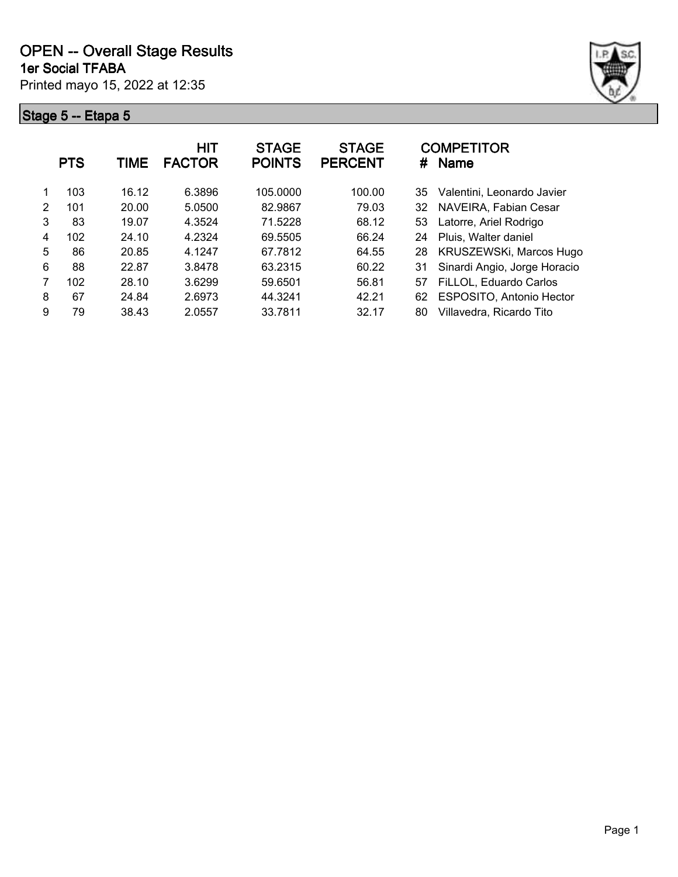

|               | <b>PTS</b> | TIME  | <b>HIT</b><br><b>FACTOR</b> | <b>STAGE</b><br><b>POINTS</b> | <b>STAGE</b><br><b>PERCENT</b> | <b>COMPETITOR</b><br><b>Name</b><br># |  |
|---------------|------------|-------|-----------------------------|-------------------------------|--------------------------------|---------------------------------------|--|
|               | 103        | 16.12 | 6.3896                      | 105.0000                      | 100.00                         | Valentini, Leonardo Javier<br>35      |  |
| $\mathcal{P}$ | 101        | 20.00 | 5.0500                      | 82.9867                       | 79.03                          | NAVEIRA, Fabian Cesar<br>32           |  |
| 3             | 83         | 19.07 | 4.3524                      | 71.5228                       | 68.12                          | Latorre, Ariel Rodrigo<br>53          |  |
| 4             | 102        | 24.10 | 4.2324                      | 69.5505                       | 66.24                          | Pluis, Walter daniel<br>24            |  |
| 5             | 86         | 20.85 | 4.1247                      | 67.7812                       | 64.55                          | KRUSZEWSKi, Marcos Hugo<br>28         |  |
| 6             | 88         | 22.87 | 3.8478                      | 63.2315                       | 60.22                          | Sinardi Angio, Jorge Horacio<br>31    |  |
| 7             | 102        | 28.10 | 3.6299                      | 59.6501                       | 56.81                          | FiLLOL, Eduardo Carlos<br>57          |  |
| 8             | 67         | 24.84 | 2.6973                      | 44.3241                       | 42.21                          | ESPOSITO, Antonio Hector<br>62        |  |
| 9             | 79         | 38.43 | 2.0557                      | 33.7811                       | 32.17                          | Villavedra, Ricardo Tito<br>80        |  |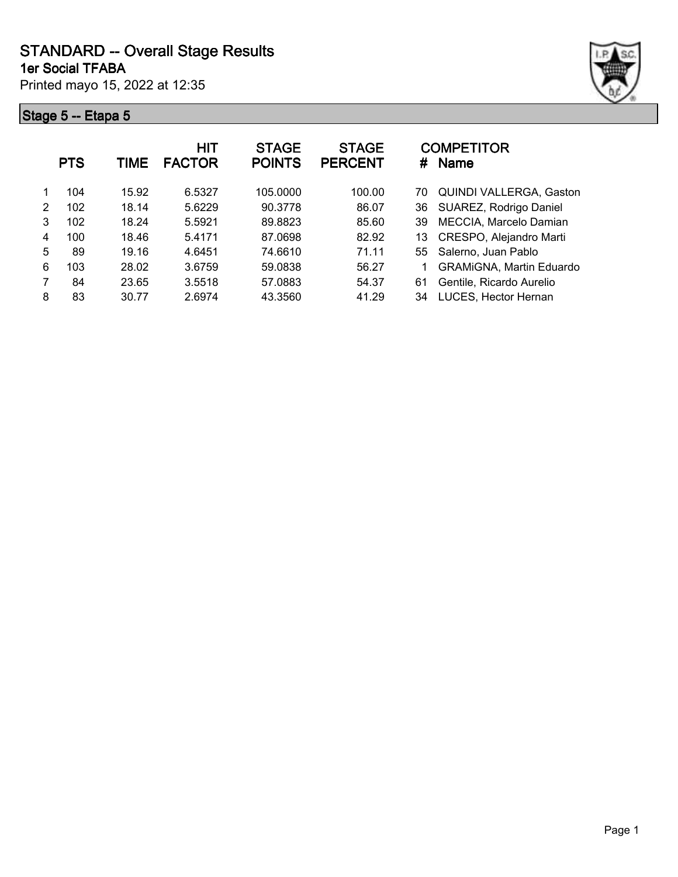Printed mayo 15, 2022 at 12:35 **1er Social TFABA**



|   | <b>PTS</b> | TIME  | <b>HIT</b><br><b>FACTOR</b> | <b>STAGE</b><br><b>POINTS</b> | <b>STAGE</b><br><b>PERCENT</b> | #  | <b>COMPETITOR</b><br><b>Name</b> |
|---|------------|-------|-----------------------------|-------------------------------|--------------------------------|----|----------------------------------|
|   | 104        | 15.92 | 6.5327                      | 105.0000                      | 100.00                         | 70 | <b>QUINDI VALLERGA, Gaston</b>   |
| 2 | 102        | 18.14 | 5.6229                      | 90.3778                       | 86.07                          | 36 | SUAREZ, Rodrigo Daniel           |
| 3 | 102        | 18.24 | 5.5921                      | 89.8823                       | 85.60                          | 39 | MECCIA, Marcelo Damian           |
| 4 | 100        | 18.46 | 5.4171                      | 87.0698                       | 82.92                          | 13 | CRESPO, Alejandro Marti          |
| 5 | 89         | 19.16 | 4.6451                      | 74.6610                       | 71.11                          |    | 55 Salerno, Juan Pablo           |
| 6 | 103        | 28.02 | 3.6759                      | 59.0838                       | 56.27                          |    | <b>GRAMIGNA, Martin Eduardo</b>  |
| 7 | 84         | 23.65 | 3.5518                      | 57.0883                       | 54.37                          | 61 | Gentile, Ricardo Aurelio         |
| 8 | 83         | 30.77 | 2.6974                      | 43.3560                       | 41.29                          | 34 | LUCES, Hector Hernan             |
|   |            |       |                             |                               |                                |    |                                  |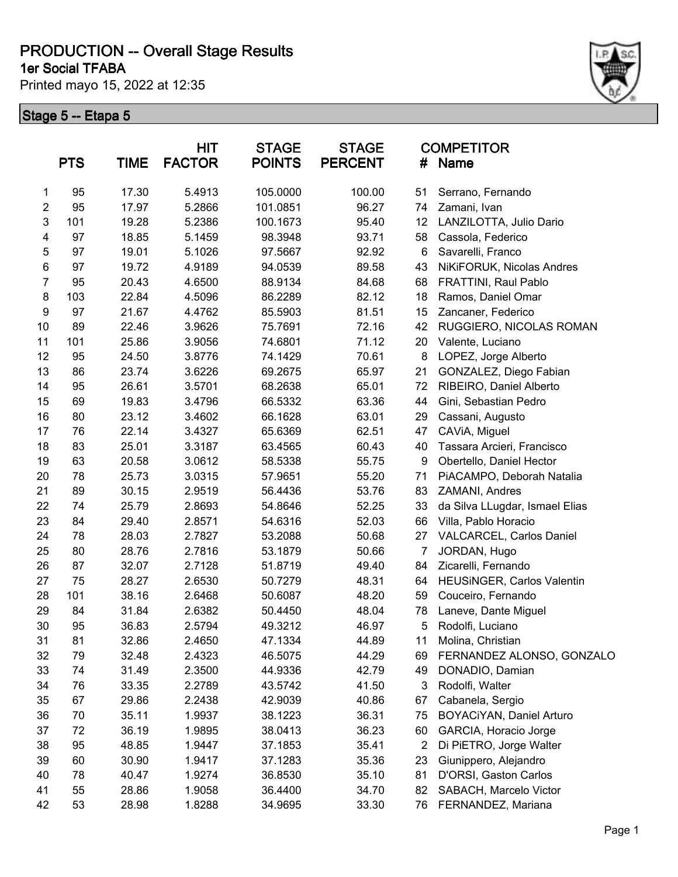**1er Social TFABA**

Printed mayo 15, 2022 at 12:35



|                | <b>PTS</b> | <b>TIME</b> | HIT<br><b>FACTOR</b> | <b>STAGE</b><br><b>POINTS</b> | <b>STAGE</b><br><b>PERCENT</b> | #              | <b>COMPETITOR</b><br><b>Name</b> |
|----------------|------------|-------------|----------------------|-------------------------------|--------------------------------|----------------|----------------------------------|
| 1              | 95         | 17.30       | 5.4913               | 105.0000                      | 100.00                         | 51             | Serrano, Fernando                |
| $\overline{2}$ | 95         | 17.97       | 5.2866               | 101.0851                      | 96.27                          | 74             | Zamani, Ivan                     |
| 3              | 101        | 19.28       | 5.2386               | 100.1673                      | 95.40                          | 12             | LANZILOTTA, Julio Dario          |
| 4              | 97         | 18.85       | 5.1459               | 98.3948                       | 93.71                          | 58             | Cassola, Federico                |
| 5              | 97         | 19.01       | 5.1026               | 97.5667                       | 92.92                          | 6              | Savarelli, Franco                |
| $\,6$          | 97         | 19.72       | 4.9189               | 94.0539                       | 89.58                          | 43             | NiKiFORUK, Nicolas Andres        |
| $\overline{7}$ | 95         | 20.43       | 4.6500               | 88.9134                       | 84.68                          | 68             | FRATTINI, Raul Pablo             |
| 8              | 103        | 22.84       | 4.5096               | 86.2289                       | 82.12                          | 18             | Ramos, Daniel Omar               |
| 9              | 97         | 21.67       | 4.4762               | 85.5903                       | 81.51                          | 15             | Zancaner, Federico               |
| 10             | 89         | 22.46       | 3.9626               | 75.7691                       | 72.16                          | 42             | RUGGIERO, NICOLAS ROMAN          |
| 11             | 101        | 25.86       | 3.9056               | 74.6801                       | 71.12                          | 20             | Valente, Luciano                 |
| 12             | 95         | 24.50       | 3.8776               | 74.1429                       | 70.61                          | 8              | LOPEZ, Jorge Alberto             |
| 13             | 86         | 23.74       | 3.6226               | 69.2675                       | 65.97                          | 21             | GONZALEZ, Diego Fabian           |
| 14             | 95         | 26.61       | 3.5701               | 68.2638                       | 65.01                          | 72             | RIBEIRO, Daniel Alberto          |
| 15             | 69         | 19.83       | 3.4796               | 66.5332                       | 63.36                          | 44             | Gini, Sebastian Pedro            |
| 16             | 80         | 23.12       | 3.4602               | 66.1628                       | 63.01                          | 29             | Cassani, Augusto                 |
| 17             | 76         | 22.14       | 3.4327               | 65.6369                       | 62.51                          | 47             | CAViA, Miguel                    |
| 18             | 83         | 25.01       | 3.3187               | 63.4565                       | 60.43                          | 40             | Tassara Arcieri, Francisco       |
| 19             | 63         | 20.58       | 3.0612               | 58.5338                       | 55.75                          | 9              | Obertello, Daniel Hector         |
| 20             | 78         | 25.73       | 3.0315               | 57.9651                       | 55.20                          | 71             | PiACAMPO, Deborah Natalia        |
| 21             | 89         | 30.15       | 2.9519               | 56.4436                       | 53.76                          | 83             | ZAMANI, Andres                   |
| 22             | 74         | 25.79       | 2.8693               | 54.8646                       | 52.25                          | 33             | da Silva LLugdar, Ismael Elias   |
| 23             | 84         | 29.40       | 2.8571               | 54.6316                       | 52.03                          | 66             | Villa, Pablo Horacio             |
| 24             | 78         | 28.03       | 2.7827               | 53.2088                       | 50.68                          | 27             | VALCARCEL, Carlos Daniel         |
| 25             | 80         | 28.76       | 2.7816               | 53.1879                       | 50.66                          | $\overline{7}$ | JORDAN, Hugo                     |
| 26             | 87         | 32.07       | 2.7128               | 51.8719                       | 49.40                          | 84             | Zicarelli, Fernando              |
| 27             | 75         | 28.27       | 2.6530               | 50.7279                       | 48.31                          | 64             | HEUSINGER, Carlos Valentin       |
| 28             | 101        | 38.16       | 2.6468               | 50.6087                       | 48.20                          | 59             | Couceiro, Fernando               |
| 29             | 84         | 31.84       | 2.6382               | 50.4450                       | 48.04                          | 78             | Laneve, Dante Miguel             |
| 30             | 95         | 36.83       | 2.5794               | 49.3212                       | 46.97                          | 5              | Rodolfi, Luciano                 |
| 31             | 81         | 32.86       | 2.4650               | 47.1334                       | 44.89                          | 11             | Molina, Christian                |
| 32             | 79         | 32.48       | 2.4323               | 46.5075                       | 44.29                          | 69             | FERNANDEZ ALONSO, GONZALO        |
| 33             | 74         | 31.49       | 2.3500               | 44.9336                       | 42.79                          | 49             | DONADIO, Damian                  |
| 34             | 76         | 33.35       | 2.2789               | 43.5742                       | 41.50                          | 3              | Rodolfi, Walter                  |
| 35             | 67         | 29.86       | 2.2438               | 42.9039                       | 40.86                          | 67             | Cabanela, Sergio                 |
| 36             | 70         | 35.11       | 1.9937               | 38.1223                       | 36.31                          | 75             | BOYACiYAN, Daniel Arturo         |
| 37             | 72         | 36.19       | 1.9895               | 38.0413                       | 36.23                          | 60             | GARCIA, Horacio Jorge            |
| 38             | 95         | 48.85       | 1.9447               | 37.1853                       | 35.41                          | $\overline{2}$ | Di PiETRO, Jorge Walter          |
| 39             | 60         | 30.90       | 1.9417               | 37.1283                       | 35.36                          | 23             | Giunippero, Alejandro            |
| 40             | 78         | 40.47       | 1.9274               | 36.8530                       | 35.10                          | 81             | D'ORSI, Gaston Carlos            |
| 41             | 55         | 28.86       | 1.9058               | 36.4400                       | 34.70                          | 82             | SABACH, Marcelo Victor           |
| 42             | 53         | 28.98       | 1.8288               | 34.9695                       | 33.30                          | 76             | FERNANDEZ, Mariana               |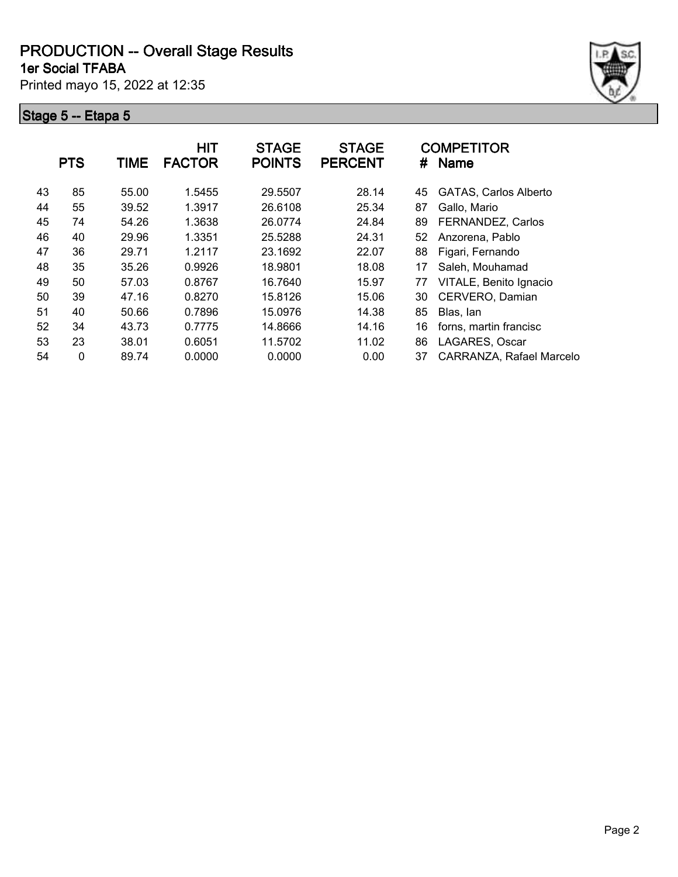**1er Social TFABA**

Printed mayo 15, 2022 at 12:35



|    | <b>PTS</b> | TIME  | <b>HIT</b><br><b>FACTOR</b> | <b>STAGE</b><br><b>POINTS</b> | <b>STAGE</b><br><b>PERCENT</b> | #  | <b>COMPETITOR</b><br><b>Name</b> |
|----|------------|-------|-----------------------------|-------------------------------|--------------------------------|----|----------------------------------|
| 43 | 85         | 55.00 | 1.5455                      | 29.5507                       | 28.14                          | 45 | <b>GATAS, Carlos Alberto</b>     |
| 44 | 55         | 39.52 | 1.3917                      | 26.6108                       | 25.34                          | 87 | Gallo, Mario                     |
| 45 | 74         | 54.26 | 1.3638                      | 26.0774                       | 24.84                          | 89 | FERNANDEZ, Carlos                |
| 46 | 40         | 29.96 | 1.3351                      | 25.5288                       | 24.31                          | 52 | Anzorena, Pablo                  |
| 47 | 36         | 29.71 | 1.2117                      | 23.1692                       | 22.07                          | 88 | Figari, Fernando                 |
| 48 | 35         | 35.26 | 0.9926                      | 18.9801                       | 18.08                          | 17 | Saleh, Mouhamad                  |
| 49 | 50         | 57.03 | 0.8767                      | 16.7640                       | 15.97                          | 77 | VITALE, Benito Ignacio           |
| 50 | 39         | 47.16 | 0.8270                      | 15.8126                       | 15.06                          | 30 | CERVERO, Damian                  |
| 51 | 40         | 50.66 | 0.7896                      | 15.0976                       | 14.38                          | 85 | Blas, lan                        |
| 52 | 34         | 43.73 | 0.7775                      | 14.8666                       | 14.16                          | 16 | forns, martin francisc           |
| 53 | 23         | 38.01 | 0.6051                      | 11.5702                       | 11.02                          | 86 | LAGARES, Oscar                   |
| 54 | 0          | 89.74 | 0.0000                      | 0.0000                        | 0.00                           | 37 | CARRANZA, Rafael Marcelo         |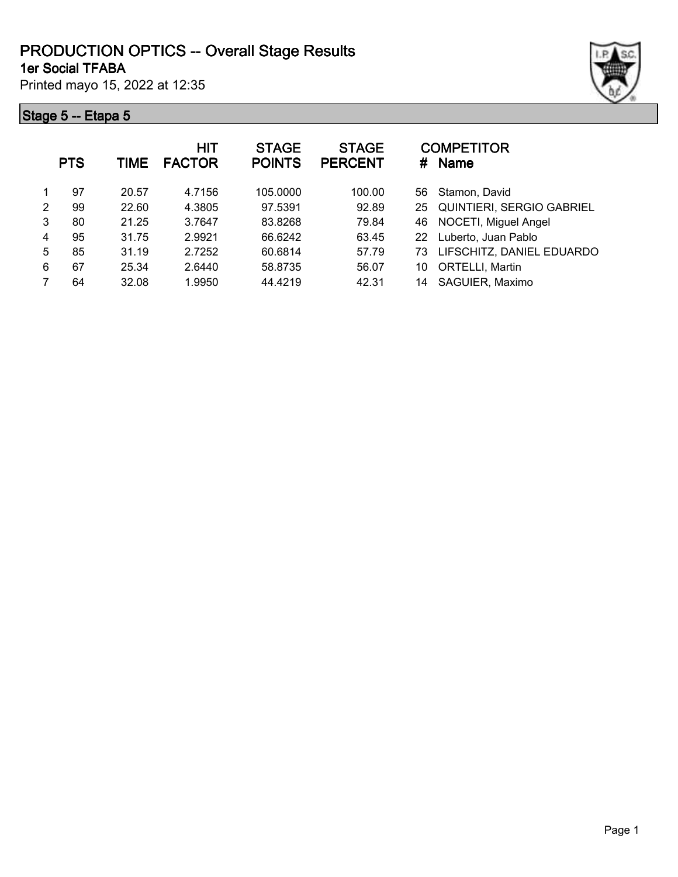#### **1er Social TFABA PRODUCTION OPTICS -- Overall Stage Results**

Printed mayo 15, 2022 at 12:35

|   | <b>PTS</b> | TIME  | <b>HIT</b><br><b>FACTOR</b> | <b>STAGE</b><br><b>POINTS</b> | <b>STAGE</b><br><b>PERCENT</b> |    | <b>COMPETITOR</b><br># Name  |
|---|------------|-------|-----------------------------|-------------------------------|--------------------------------|----|------------------------------|
| 1 | 97         | 20.57 | 4.7156                      | 105.0000                      | 100.00                         | 56 | Stamon, David                |
| 2 | 99         | 22.60 | 4.3805                      | 97.5391                       | 92.89                          | 25 | QUINTIERI, SERGIO GABRIEL    |
| 3 | 80         | 21.25 | 3.7647                      | 83.8268                       | 79.84                          | 46 | NOCETI, Miguel Angel         |
| 4 | 95         | 31.75 | 2.9921                      | 66.6242                       | 63.45                          |    | 22 Luberto, Juan Pablo       |
| 5 | 85         | 31.19 | 2.7252                      | 60.6814                       | 57.79                          |    | 73 LIFSCHITZ, DANIEL EDUARDO |
| 6 | 67         | 25.34 | 2.6440                      | 58.8735                       | 56.07                          | 10 | <b>ORTELLI, Martin</b>       |
|   | 64         | 32.08 | 1.9950                      | 44.4219                       | 42.31                          | 14 | SAGUIER, Maximo              |
|   |            |       |                             |                               |                                |    |                              |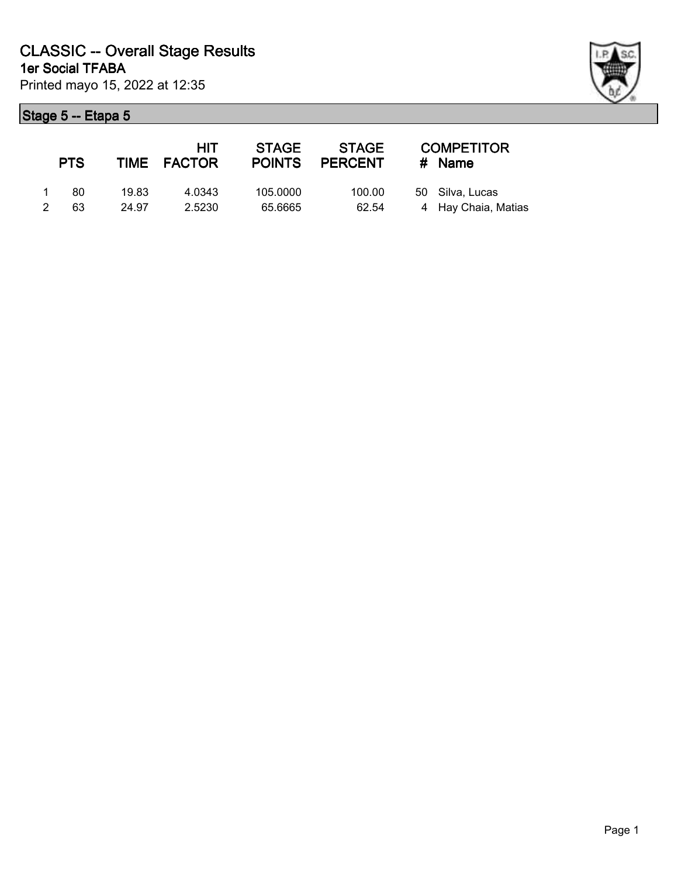|             | <b>PTS</b> |       | <b>HIT</b><br>TIME FACTOR | <b>STAGE</b><br><b>POINTS</b> | STAGE<br><b>PERCENT</b> | <b>COMPETITOR</b><br># Name |
|-------------|------------|-------|---------------------------|-------------------------------|-------------------------|-----------------------------|
| $\mathbf 1$ | 80.        | 19.83 | 4.0343                    | 105.0000                      | 100.00                  | 50 Silva, Lucas             |
| 2           | 63         | 24.97 | 2.5230                    | 65.6665                       | 62.54                   | 4 Hay Chaia, Matias         |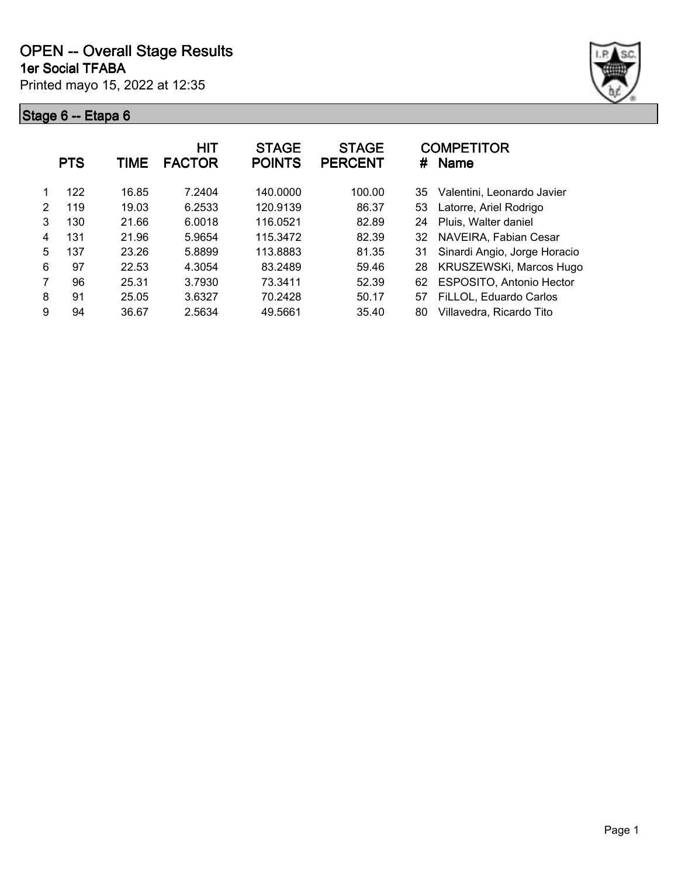

|   | <b>PTS</b> | TIME  | <b>HIT</b><br><b>FACTOR</b> | <b>STAGE</b><br><b>POINTS</b> | <b>STAGE</b><br><b>PERCENT</b> | <b>COMPETITOR</b><br><b>Name</b><br># |  |
|---|------------|-------|-----------------------------|-------------------------------|--------------------------------|---------------------------------------|--|
|   | 122        | 16.85 | 7.2404                      | 140.0000                      | 100.00                         | Valentini, Leonardo Javier<br>35      |  |
| 2 | 119        | 19.03 | 6.2533                      | 120.9139                      | 86.37                          | Latorre, Ariel Rodrigo<br>53          |  |
| 3 | 130        | 21.66 | 6.0018                      | 116.0521                      | 82.89                          | Pluis, Walter daniel<br>24            |  |
| 4 | 131        | 21.96 | 5.9654                      | 115.3472                      | 82.39                          | NAVEIRA, Fabian Cesar<br>32           |  |
| 5 | 137        | 23.26 | 5.8899                      | 113.8883                      | 81.35                          | Sinardi Angio, Jorge Horacio<br>31    |  |
| 6 | 97         | 22.53 | 4.3054                      | 83.2489                       | 59.46                          | KRUSZEWSKi, Marcos Hugo<br>28         |  |
| 7 | 96         | 25.31 | 3.7930                      | 73.3411                       | 52.39                          | ESPOSITO, Antonio Hector<br>62        |  |
| 8 | 91         | 25.05 | 3.6327                      | 70.2428                       | 50.17                          | FiLLOL, Eduardo Carlos<br>57          |  |
| 9 | 94         | 36.67 | 2.5634                      | 49.5661                       | 35.40                          | Villavedra, Ricardo Tito<br>80        |  |
|   |            |       |                             |                               |                                |                                       |  |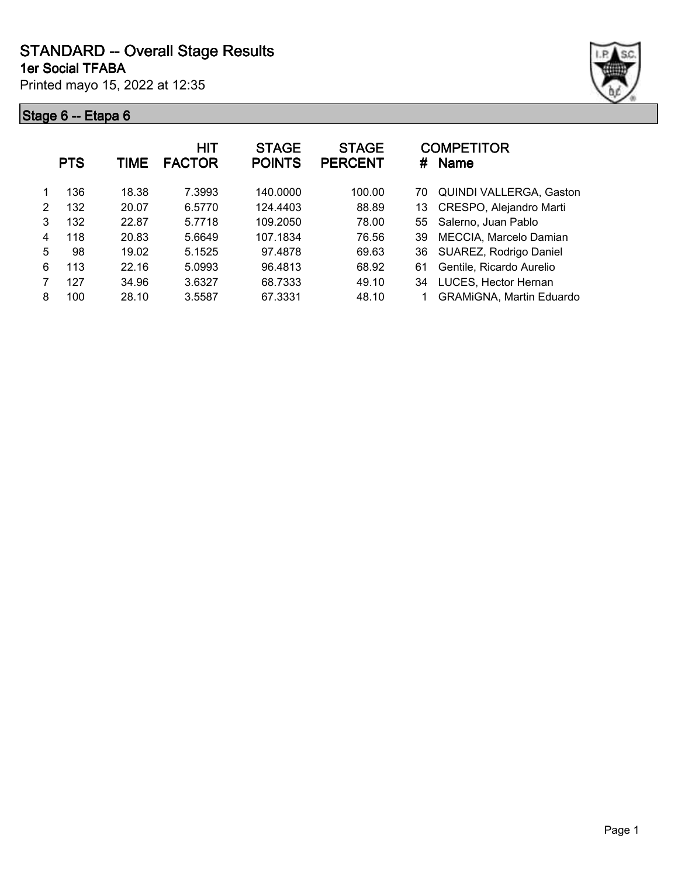Printed mayo 15, 2022 at 12:35



|   | <b>PTS</b> | TIME  | <b>HIT</b><br><b>FACTOR</b> | <b>STAGE</b><br><b>POINTS</b> | <b>STAGE</b><br><b>PERCENT</b> | <b>COMPETITOR</b><br>#<br><b>Name</b> |
|---|------------|-------|-----------------------------|-------------------------------|--------------------------------|---------------------------------------|
|   | 136        | 18.38 | 7.3993                      | 140,0000                      | 100.00                         | <b>QUINDI VALLERGA, Gaston</b><br>70  |
| 2 | 132        | 20.07 | 6.5770                      | 124.4403                      | 88.89                          | CRESPO, Alejandro Marti<br>13         |
| 3 | 132        | 22.87 | 5.7718                      | 109.2050                      | 78.00                          | Salerno, Juan Pablo<br>55             |
| 4 | 118        | 20.83 | 5.6649                      | 107.1834                      | 76.56                          | MECCIA, Marcelo Damian<br>39          |
| 5 | 98         | 19.02 | 5.1525                      | 97.4878                       | 69.63                          | SUAREZ, Rodrigo Daniel<br>36          |
| 6 | 113        | 22.16 | 5.0993                      | 96.4813                       | 68.92                          | Gentile, Ricardo Aurelio<br>61        |
|   | 127        | 34.96 | 3.6327                      | 68.7333                       | 49.10                          | LUCES, Hector Hernan<br>34            |
| 8 | 100        | 28.10 | 3.5587                      | 67.3331                       | 48.10                          | <b>GRAMIGNA, Martin Eduardo</b>       |
|   |            |       |                             |                               |                                |                                       |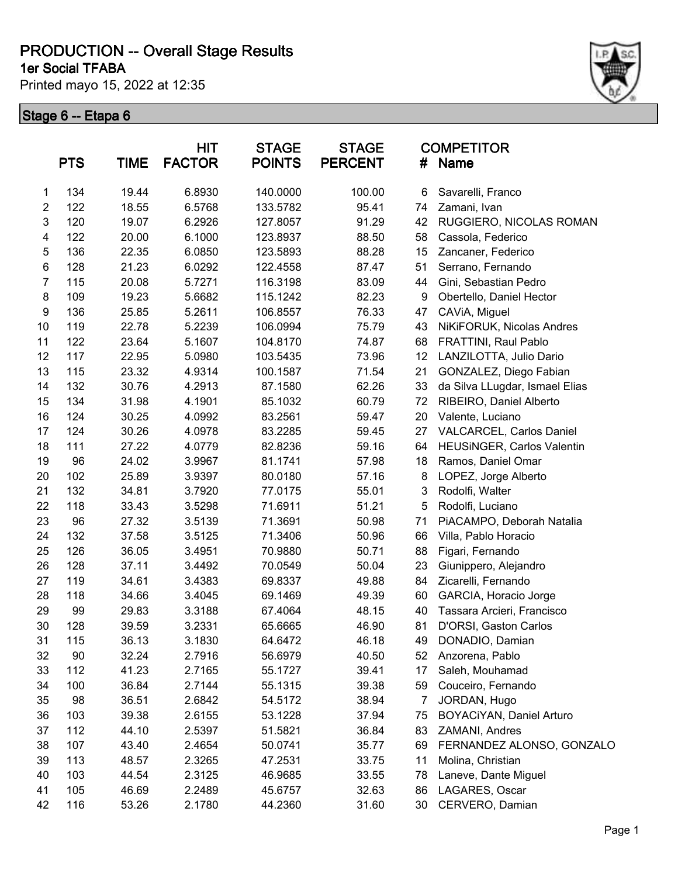**1er Social TFABA**

Printed mayo 15, 2022 at 12:35



|                | <b>PTS</b> | <b>TIME</b> | <b>HIT</b><br><b>FACTOR</b> | <b>STAGE</b><br><b>POINTS</b> | <b>STAGE</b><br><b>PERCENT</b> | #  | <b>COMPETITOR</b><br><b>Name</b> |
|----------------|------------|-------------|-----------------------------|-------------------------------|--------------------------------|----|----------------------------------|
| 1              | 134        | 19.44       | 6.8930                      | 140.0000                      | 100.00                         | 6  | Savarelli, Franco                |
| $\overline{2}$ | 122        | 18.55       | 6.5768                      | 133.5782                      | 95.41                          | 74 | Zamani, Ivan                     |
| 3              | 120        | 19.07       | 6.2926                      | 127.8057                      | 91.29                          | 42 | RUGGIERO, NICOLAS ROMAN          |
| 4              | 122        | 20.00       | 6.1000                      | 123.8937                      | 88.50                          | 58 | Cassola, Federico                |
| $\mathbf 5$    | 136        | 22.35       | 6.0850                      | 123.5893                      | 88.28                          | 15 | Zancaner, Federico               |
| 6              | 128        | 21.23       | 6.0292                      | 122.4558                      | 87.47                          | 51 | Serrano, Fernando                |
| $\overline{7}$ | 115        | 20.08       | 5.7271                      | 116.3198                      | 83.09                          | 44 | Gini, Sebastian Pedro            |
| 8              | 109        | 19.23       | 5.6682                      | 115.1242                      | 82.23                          | 9  | Obertello, Daniel Hector         |
| 9              | 136        | 25.85       | 5.2611                      | 106.8557                      | 76.33                          | 47 | CAViA, Miguel                    |
| 10             | 119        | 22.78       | 5.2239                      | 106.0994                      | 75.79                          | 43 | NiKiFORUK, Nicolas Andres        |
| 11             | 122        | 23.64       | 5.1607                      | 104.8170                      | 74.87                          | 68 | FRATTINI, Raul Pablo             |
| 12             | 117        | 22.95       | 5.0980                      | 103.5435                      | 73.96                          | 12 | LANZILOTTA, Julio Dario          |
| 13             | 115        | 23.32       | 4.9314                      | 100.1587                      | 71.54                          | 21 | GONZALEZ, Diego Fabian           |
| 14             | 132        | 30.76       | 4.2913                      | 87.1580                       | 62.26                          | 33 | da Silva LLugdar, Ismael Elias   |
| 15             | 134        | 31.98       | 4.1901                      | 85.1032                       | 60.79                          | 72 | RIBEIRO, Daniel Alberto          |
| 16             | 124        | 30.25       | 4.0992                      | 83.2561                       | 59.47                          | 20 | Valente, Luciano                 |
| 17             | 124        | 30.26       | 4.0978                      | 83.2285                       | 59.45                          | 27 | <b>VALCARCEL, Carlos Daniel</b>  |
| 18             | 111        | 27.22       | 4.0779                      | 82.8236                       | 59.16                          | 64 | HEUSINGER, Carlos Valentin       |
| 19             | 96         | 24.02       | 3.9967                      | 81.1741                       | 57.98                          | 18 | Ramos, Daniel Omar               |
| 20             | 102        | 25.89       | 3.9397                      | 80.0180                       | 57.16                          | 8  | LOPEZ, Jorge Alberto             |
| 21             | 132        | 34.81       | 3.7920                      | 77.0175                       | 55.01                          | 3  | Rodolfi, Walter                  |
| 22             | 118        | 33.43       | 3.5298                      | 71.6911                       | 51.21                          | 5  | Rodolfi, Luciano                 |
| 23             | 96         | 27.32       | 3.5139                      | 71.3691                       | 50.98                          | 71 | PiACAMPO, Deborah Natalia        |
| 24             | 132        | 37.58       | 3.5125                      | 71.3406                       | 50.96                          | 66 | Villa, Pablo Horacio             |
| 25             | 126        | 36.05       | 3.4951                      | 70.9880                       | 50.71                          | 88 | Figari, Fernando                 |
| 26             | 128        | 37.11       | 3.4492                      | 70.0549                       | 50.04                          | 23 | Giunippero, Alejandro            |
| 27             | 119        | 34.61       | 3.4383                      | 69.8337                       | 49.88                          | 84 | Zicarelli, Fernando              |
| 28             | 118        | 34.66       | 3.4045                      | 69.1469                       | 49.39                          | 60 | GARCIA, Horacio Jorge            |
| 29             | 99         | 29.83       | 3.3188                      | 67.4064                       | 48.15                          | 40 | Tassara Arcieri, Francisco       |
| 30             | 128        | 39.59       | 3.2331                      | 65.6665                       | 46.90                          | 81 | D'ORSI, Gaston Carlos            |
| 31             | 115        | 36.13       | 3.1830                      | 64.6472                       | 46.18                          | 49 | DONADIO, Damian                  |
| 32             | 90         | 32.24       | 2.7916                      | 56.6979                       | 40.50                          | 52 | Anzorena, Pablo                  |
| 33             | 112        | 41.23       | 2.7165                      | 55.1727                       | 39.41                          | 17 | Saleh, Mouhamad                  |
| 34             | 100        | 36.84       | 2.7144                      | 55.1315                       | 39.38                          | 59 | Couceiro, Fernando               |
| 35             | 98         | 36.51       | 2.6842                      | 54.5172                       | 38.94                          | 7  | JORDAN, Hugo                     |
| 36             | 103        | 39.38       | 2.6155                      | 53.1228                       | 37.94                          | 75 | BOYACiYAN, Daniel Arturo         |
| 37             | 112        | 44.10       | 2.5397                      | 51.5821                       | 36.84                          | 83 | ZAMANI, Andres                   |
| 38             | 107        | 43.40       | 2.4654                      | 50.0741                       | 35.77                          | 69 | FERNANDEZ ALONSO, GONZALO        |
| 39             | 113        | 48.57       | 2.3265                      | 47.2531                       | 33.75                          | 11 | Molina, Christian                |
| 40             | 103        | 44.54       | 2.3125                      | 46.9685                       | 33.55                          | 78 | Laneve, Dante Miguel             |
| 41             | 105        | 46.69       | 2.2489                      | 45.6757                       | 32.63                          | 86 | LAGARES, Oscar                   |
| 42             | 116        | 53.26       | 2.1780                      | 44.2360                       | 31.60                          | 30 | CERVERO, Damian                  |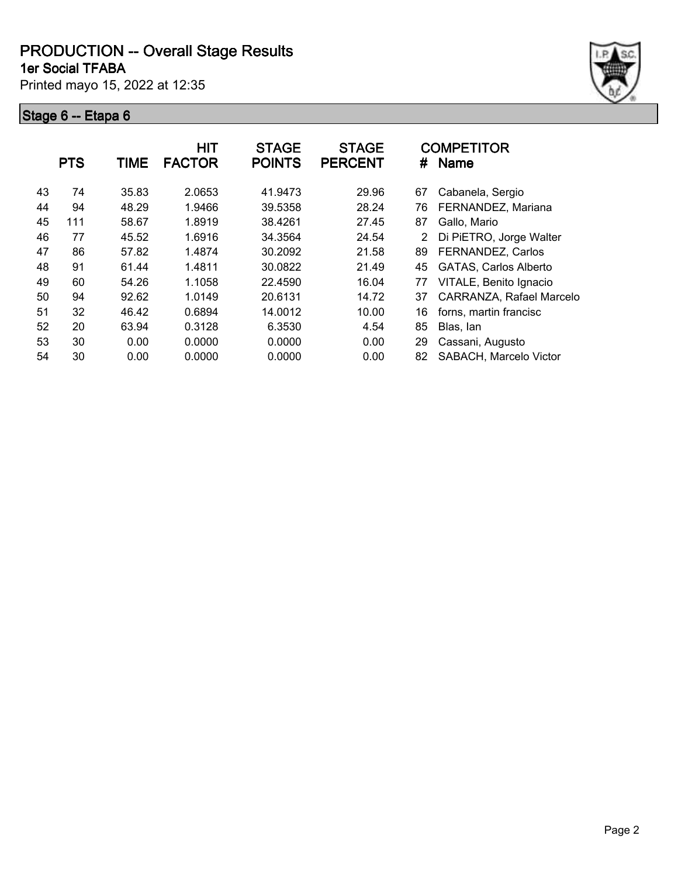**1er Social TFABA**

Printed mayo 15, 2022 at 12:35



|    | <b>PTS</b> | TIME  | <b>HIT</b><br><b>FACTOR</b> | <b>STAGE</b><br><b>POINTS</b> | <b>STAGE</b><br><b>PERCENT</b> | #  | <b>COMPETITOR</b><br><b>Name</b> |
|----|------------|-------|-----------------------------|-------------------------------|--------------------------------|----|----------------------------------|
| 43 | 74         | 35.83 | 2.0653                      | 41.9473                       | 29.96                          | 67 | Cabanela, Sergio                 |
| 44 | 94         | 48.29 | 1.9466                      | 39.5358                       | 28.24                          | 76 | FERNANDEZ, Mariana               |
| 45 | 111        | 58.67 | 1.8919                      | 38.4261                       | 27.45                          | 87 | Gallo, Mario                     |
| 46 | 77         | 45.52 | 1.6916                      | 34.3564                       | 24.54                          | 2  | Di PiETRO, Jorge Walter          |
| 47 | 86         | 57.82 | 1.4874                      | 30.2092                       | 21.58                          | 89 | FERNANDEZ, Carlos                |
| 48 | 91         | 61.44 | 1.4811                      | 30.0822                       | 21.49                          | 45 | <b>GATAS, Carlos Alberto</b>     |
| 49 | 60         | 54.26 | 1.1058                      | 22.4590                       | 16.04                          | 77 | VITALE, Benito Ignacio           |
| 50 | 94         | 92.62 | 1.0149                      | 20.6131                       | 14.72                          | 37 | CARRANZA, Rafael Marcelo         |
| 51 | 32         | 46.42 | 0.6894                      | 14.0012                       | 10.00                          | 16 | forns, martin francisc           |
| 52 | 20         | 63.94 | 0.3128                      | 6.3530                        | 4.54                           | 85 | Blas, lan                        |
| 53 | 30         | 0.00  | 0.0000                      | 0.0000                        | 0.00                           | 29 | Cassani, Augusto                 |
| 54 | 30         | 0.00  | 0.0000                      | 0.0000                        | 0.00                           | 82 | SABACH, Marcelo Victor           |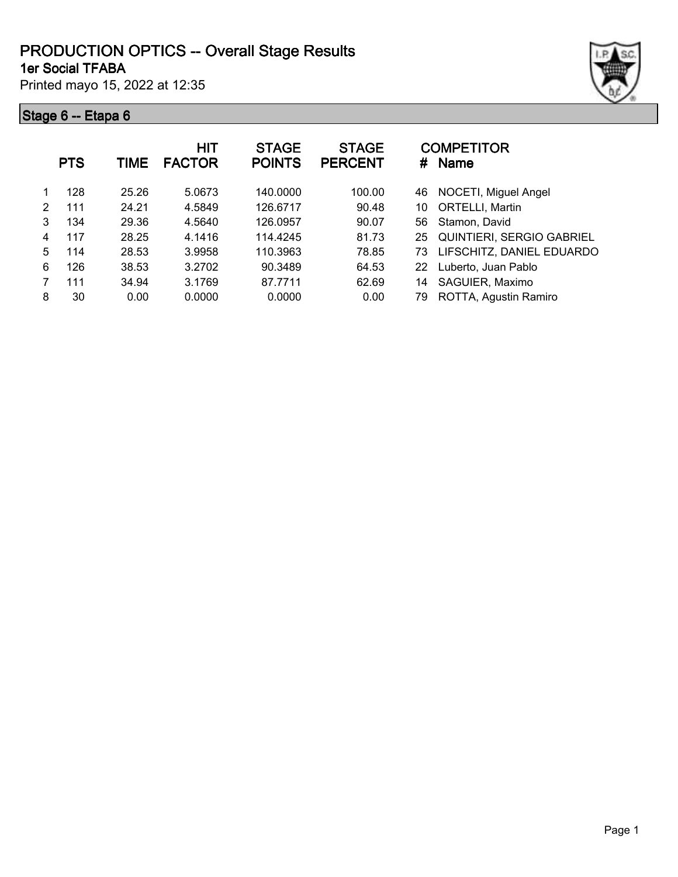#### **1er Social TFABA PRODUCTION OPTICS -- Overall Stage Results**

Printed mayo 15, 2022 at 12:35



|   | <b>PTS</b> | TIME  | <b>HIT</b><br><b>FACTOR</b> | <b>STAGE</b><br><b>POINTS</b> | <b>STAGE</b><br><b>PERCENT</b> |    | <b>COMPETITOR</b><br># Name      |
|---|------------|-------|-----------------------------|-------------------------------|--------------------------------|----|----------------------------------|
|   | 128        | 25.26 | 5.0673                      | 140,0000                      | 100.00                         | 46 | NOCETI, Miguel Angel             |
| 2 | 111        | 24.21 | 4.5849                      | 126.6717                      | 90.48                          | 10 | ORTELLI, Martin                  |
| 3 | 134        | 29.36 | 4.5640                      | 126.0957                      | 90.07                          | 56 | Stamon, David                    |
| 4 | 117        | 28.25 | 4.1416                      | 114.4245                      | 81.73                          | 25 | <b>QUINTIERI, SERGIO GABRIEL</b> |
| 5 | 114        | 28.53 | 3.9958                      | 110.3963                      | 78.85                          | 73 | LIFSCHITZ, DANIEL EDUARDO        |
| 6 | 126        | 38.53 | 3.2702                      | 90.3489                       | 64.53                          | 22 | Luberto, Juan Pablo              |
| 7 | 111        | 34.94 | 3.1769                      | 87.7711                       | 62.69                          | 14 | SAGUIER, Maximo                  |
| 8 | 30         | 0.00  | 0.0000                      | 0.0000                        | 0.00                           | 79 | ROTTA, Agustin Ramiro            |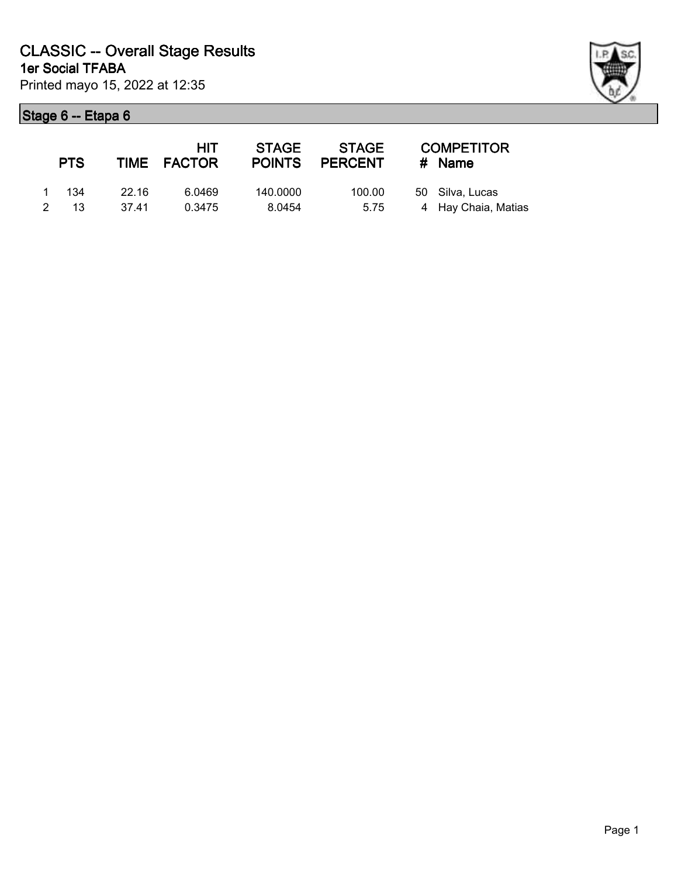| <b>PTS</b> |       | <b>HIT</b><br>TIME FACTOR | STAGE    | STAGE<br>POINTS PERCENT | <b>COMPETITOR</b><br># Name |
|------------|-------|---------------------------|----------|-------------------------|-----------------------------|
| 1 134      | 22.16 | 6.0469                    | 140.0000 | 100.00                  | 50 Silva, Lucas             |
| 2 13       | 37.41 | 0.3475                    | 8.0454   | 5.75                    | 4 Hay Chaia, Matias         |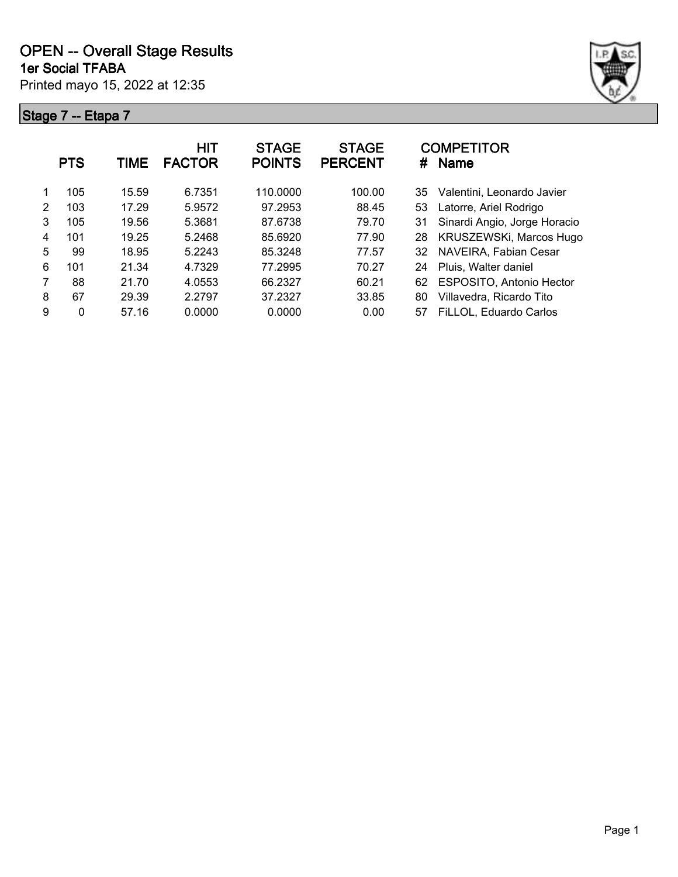



|   | <b>PTS</b> | TIME  | HIT<br><b>FACTOR</b> | <b>STAGE</b><br><b>POINTS</b> | <b>STAGE</b><br><b>PERCENT</b> | <b>COMPETITOR</b><br><b>Name</b><br># |
|---|------------|-------|----------------------|-------------------------------|--------------------------------|---------------------------------------|
|   | 105        | 15.59 | 6.7351               | 110.0000                      | 100.00                         | Valentini, Leonardo Javier<br>35      |
| 2 | 103        | 17.29 | 5.9572               | 97.2953                       | 88.45                          | Latorre, Ariel Rodrigo<br>53          |
| 3 | 105        | 19.56 | 5.3681               | 87.6738                       | 79.70                          | Sinardi Angio, Jorge Horacio<br>31    |
| 4 | 101        | 19.25 | 5.2468               | 85.6920                       | 77.90                          | KRUSZEWSKi, Marcos Hugo<br>28         |
| 5 | 99         | 18.95 | 5.2243               | 85.3248                       | 77.57                          | NAVEIRA, Fabian Cesar<br>32           |
| 6 | 101        | 21.34 | 4.7329               | 77.2995                       | 70.27                          | Pluis, Walter daniel<br>24            |
| 7 | 88         | 21.70 | 4.0553               | 66.2327                       | 60.21                          | ESPOSITO, Antonio Hector<br>62        |
| 8 | 67         | 29.39 | 2.2797               | 37.2327                       | 33.85                          | Villavedra, Ricardo Tito<br>80        |
| 9 | 0          | 57.16 | 0.0000               | 0.0000                        | 0.00                           | FiLLOL, Eduardo Carlos<br>57          |
|   |            |       |                      |                               |                                |                                       |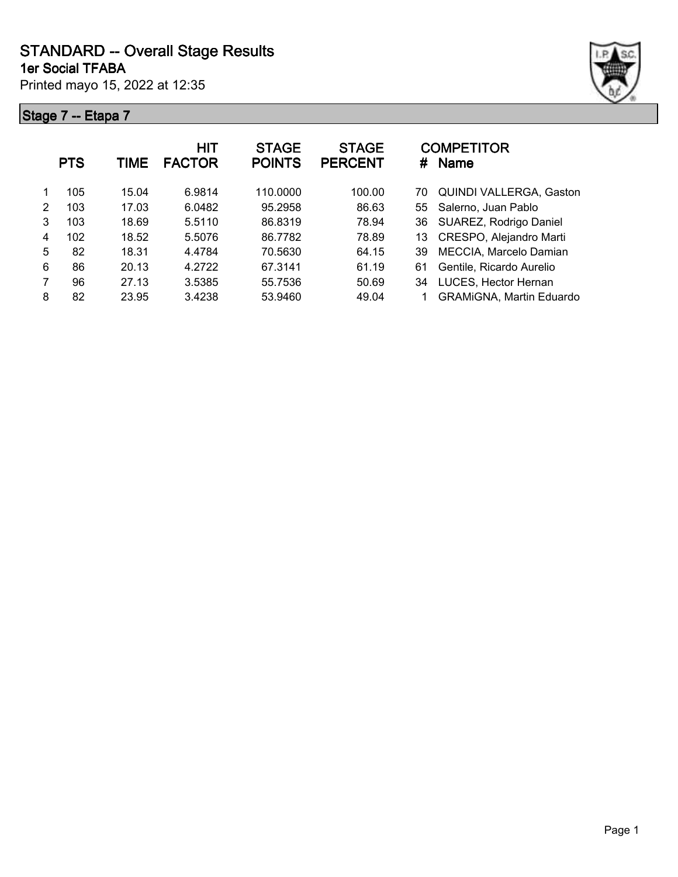**STANDARD -- Overall Stage Results**

**1er Social TFABA**

Printed mayo 15, 2022 at 12:35



|   | <b>PTS</b> | TIME  | <b>HIT</b><br><b>FACTOR</b> | <b>STAGE</b><br><b>POINTS</b> | <b>STAGE</b><br><b>PERCENT</b> | <b>COMPETITOR</b><br>#<br><b>Name</b> |
|---|------------|-------|-----------------------------|-------------------------------|--------------------------------|---------------------------------------|
|   | 105        | 15.04 | 6.9814                      | 110.0000                      | 100.00                         | QUINDI VALLERGA, Gaston<br>70         |
| 2 | 103        | 17.03 | 6.0482                      | 95.2958                       | 86.63                          | 55 Salerno, Juan Pablo                |
| 3 | 103        | 18.69 | 5.5110                      | 86.8319                       | 78.94                          | SUAREZ, Rodrigo Daniel<br>36          |
| 4 | 102        | 18.52 | 5.5076                      | 86.7782                       | 78.89                          | CRESPO, Alejandro Marti<br>13         |
| 5 | 82         | 18.31 | 4.4784                      | 70.5630                       | 64.15                          | MECCIA, Marcelo Damian<br>39          |
| 6 | 86         | 20.13 | 4.2722                      | 67.3141                       | 61.19                          | Gentile, Ricardo Aurelio<br>61        |
| 7 | 96         | 27.13 | 3.5385                      | 55.7536                       | 50.69                          | LUCES, Hector Hernan<br>34            |
| 8 | 82         | 23.95 | 3.4238                      | 53.9460                       | 49.04                          | <b>GRAMiGNA, Martin Eduardo</b>       |
|   |            |       |                             |                               |                                |                                       |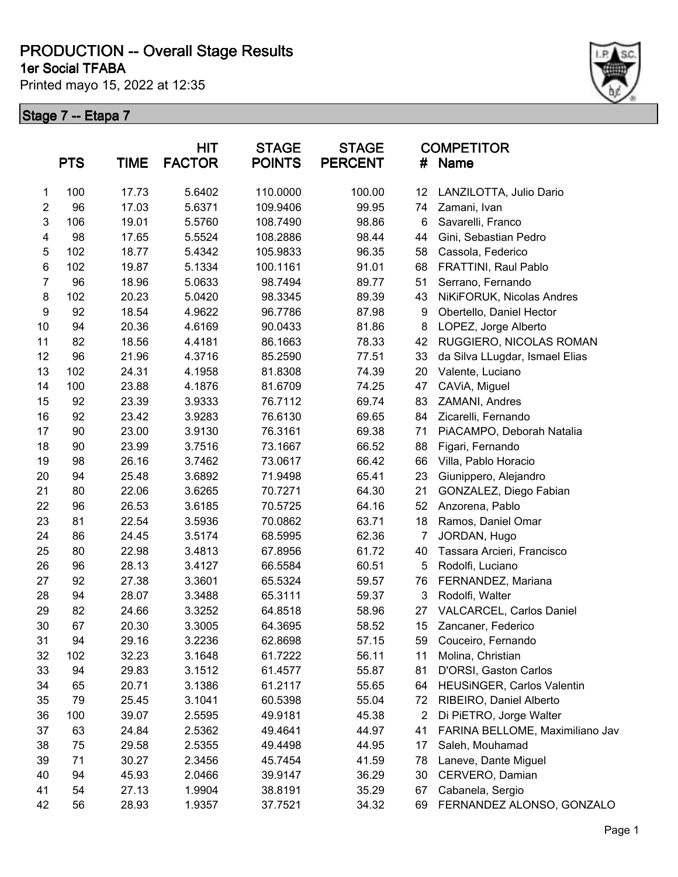**1er Social TFABA**

Printed mayo 15, 2022 at 12:35



|                | <b>PTS</b> | <b>TIME</b> | <b>HIT</b><br><b>FACTOR</b> | <b>STAGE</b><br><b>POINTS</b> | <b>STAGE</b><br><b>PERCENT</b> | #  | <b>COMPETITOR</b><br><b>Name</b> |
|----------------|------------|-------------|-----------------------------|-------------------------------|--------------------------------|----|----------------------------------|
| 1              | 100        | 17.73       | 5.6402                      | 110.0000                      | 100.00                         | 12 | LANZILOTTA, Julio Dario          |
| $\mathbf{2}$   | 96         | 17.03       | 5.6371                      | 109.9406                      | 99.95                          | 74 | Zamani, Ivan                     |
| 3              | 106        | 19.01       | 5.5760                      | 108.7490                      | 98.86                          | 6  | Savarelli, Franco                |
| 4              | 98         | 17.65       | 5.5524                      | 108.2886                      | 98.44                          | 44 | Gini, Sebastian Pedro            |
| 5              | 102        | 18.77       | 5.4342                      | 105.9833                      | 96.35                          | 58 | Cassola, Federico                |
| 6              | 102        | 19.87       | 5.1334                      | 100.1161                      | 91.01                          | 68 | FRATTINI, Raul Pablo             |
| $\overline{7}$ | 96         | 18.96       | 5.0633                      | 98.7494                       | 89.77                          | 51 | Serrano, Fernando                |
| 8              | 102        | 20.23       | 5.0420                      | 98.3345                       | 89.39                          | 43 | NiKiFORUK, Nicolas Andres        |
| 9              | 92         | 18.54       | 4.9622                      | 96.7786                       | 87.98                          | 9  | Obertello, Daniel Hector         |
| 10             | 94         | 20.36       | 4.6169                      | 90.0433                       | 81.86                          | 8  | LOPEZ, Jorge Alberto             |
| 11             | 82         | 18.56       | 4.4181                      | 86.1663                       | 78.33                          | 42 | RUGGIERO, NICOLAS ROMAN          |
| 12             | 96         | 21.96       | 4.3716                      | 85.2590                       | 77.51                          | 33 | da Silva LLugdar, Ismael Elias   |
| 13             | 102        | 24.31       | 4.1958                      | 81.8308                       | 74.39                          | 20 | Valente, Luciano                 |
| 14             | 100        | 23.88       | 4.1876                      | 81.6709                       | 74.25                          | 47 | CAViA, Miguel                    |
| 15             | 92         | 23.39       | 3.9333                      | 76.7112                       | 69.74                          | 83 | ZAMANI, Andres                   |
| 16             | 92         | 23.42       | 3.9283                      | 76.6130                       | 69.65                          | 84 | Zicarelli, Fernando              |
| 17             | 90         | 23.00       | 3.9130                      | 76.3161                       | 69.38                          | 71 | PiACAMPO, Deborah Natalia        |
| 18             | 90         | 23.99       | 3.7516                      | 73.1667                       | 66.52                          | 88 | Figari, Fernando                 |
| 19             | 98         | 26.16       | 3.7462                      | 73.0617                       | 66.42                          | 66 | Villa, Pablo Horacio             |
| 20             | 94         | 25.48       | 3.6892                      | 71.9498                       | 65.41                          | 23 | Giunippero, Alejandro            |
| 21             | 80         | 22.06       | 3.6265                      | 70.7271                       | 64.30                          | 21 | GONZALEZ, Diego Fabian           |
| 22             | 96         | 26.53       | 3.6185                      | 70.5725                       | 64.16                          | 52 | Anzorena, Pablo                  |
| 23             | 81         | 22.54       | 3.5936                      | 70.0862                       | 63.71                          | 18 | Ramos, Daniel Omar               |
| 24             | 86         | 24.45       | 3.5174                      | 68.5995                       | 62.36                          | 7  | JORDAN, Hugo                     |
| 25             | 80         | 22.98       | 3.4813                      | 67.8956                       | 61.72                          | 40 | Tassara Arcieri, Francisco       |
| 26             | 96         | 28.13       | 3.4127                      | 66.5584                       | 60.51                          | 5  | Rodolfi, Luciano                 |
| 27             | 92         | 27.38       | 3.3601                      | 65.5324                       | 59.57                          | 76 | FERNANDEZ, Mariana               |
| 28             | 94         | 28.07       | 3.3488                      | 65.3111                       | 59.37                          | 3  | Rodolfi, Walter                  |
| 29             | 82         | 24.66       | 3.3252                      | 64.8518                       | 58.96                          | 27 | VALCARCEL, Carlos Daniel         |
| 30             | 67         | 20.30       | 3.3005                      | 64.3695                       | 58.52                          | 15 | Zancaner, Federico               |
| 31             | 94         | 29.16       | 3.2236                      | 62.8698                       | 57.15                          | 59 | Couceiro, Fernando               |
| 32             | 102        | 32.23       | 3.1648                      | 61.7222                       | 56.11                          | 11 | Molina, Christian                |
| 33             | 94         | 29.83       | 3.1512                      | 61.4577                       | 55.87                          | 81 | D'ORSI, Gaston Carlos            |
| 34             | 65         | 20.71       | 3.1386                      | 61.2117                       | 55.65                          | 64 | HEUSINGER, Carlos Valentin       |
| 35             | 79         | 25.45       | 3.1041                      | 60.5398                       | 55.04                          | 72 | RIBEIRO, Daniel Alberto          |
| 36             | 100        | 39.07       | 2.5595                      | 49.9181                       | 45.38                          | 2  | Di PiETRO, Jorge Walter          |
| 37             | 63         | 24.84       | 2.5362                      | 49.4641                       | 44.97                          | 41 | FARINA BELLOME, Maximiliano Jav  |
| 38             | 75         | 29.58       | 2.5355                      | 49.4498                       | 44.95                          | 17 | Saleh, Mouhamad                  |
| 39             | 71         | 30.27       | 2.3456                      | 45.7454                       | 41.59                          | 78 | Laneve, Dante Miguel             |
| 40             | 94         | 45.93       | 2.0466                      | 39.9147                       | 36.29                          | 30 | CERVERO, Damian                  |
| 41             | 54         | 27.13       | 1.9904                      | 38.8191                       | 35.29                          | 67 | Cabanela, Sergio                 |
| 42             | 56         | 28.93       | 1.9357                      | 37.7521                       | 34.32                          | 69 | FERNANDEZ ALONSO, GONZALO        |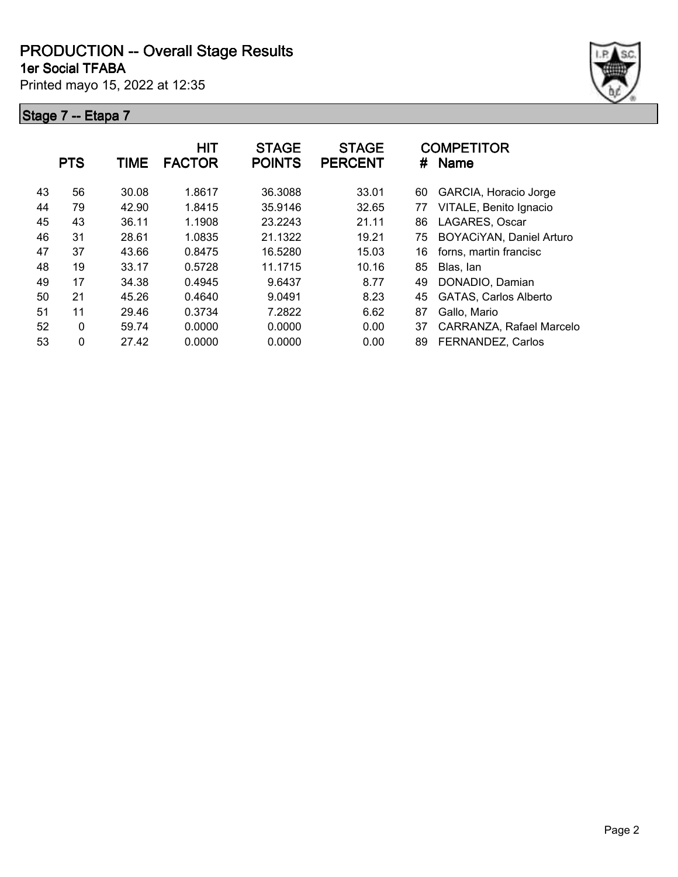**1er Social TFABA**

Printed mayo 15, 2022 at 12:35



|    | <b>PTS</b>  | <b>TIME</b> | <b>HIT</b><br><b>FACTOR</b> | <b>STAGE</b><br><b>POINTS</b> | <b>STAGE</b><br><b>PERCENT</b> | #  | <b>COMPETITOR</b><br><b>Name</b> |
|----|-------------|-------------|-----------------------------|-------------------------------|--------------------------------|----|----------------------------------|
| 43 | 56          | 30.08       | 1.8617                      | 36.3088                       | 33.01                          | 60 | GARCIA, Horacio Jorge            |
| 44 | 79          | 42.90       | 1.8415                      | 35.9146                       | 32.65                          | 77 | VITALE, Benito Ignacio           |
| 45 | 43          | 36.11       | 1.1908                      | 23.2243                       | 21.11                          | 86 | LAGARES, Oscar                   |
| 46 | 31          | 28.61       | 1.0835                      | 21.1322                       | 19.21                          | 75 | BOYACiYAN, Daniel Arturo         |
| 47 | 37          | 43.66       | 0.8475                      | 16.5280                       | 15.03                          | 16 | forns, martin francisc           |
| 48 | 19          | 33.17       | 0.5728                      | 11.1715                       | 10.16                          | 85 | Blas, lan                        |
| 49 | 17          | 34.38       | 0.4945                      | 9.6437                        | 8.77                           | 49 | DONADIO, Damian                  |
| 50 | 21          | 45.26       | 0.4640                      | 9.0491                        | 8.23                           | 45 | <b>GATAS, Carlos Alberto</b>     |
| 51 | 11          | 29.46       | 0.3734                      | 7.2822                        | 6.62                           | 87 | Gallo, Mario                     |
| 52 | $\mathbf 0$ | 59.74       | 0.0000                      | 0.0000                        | 0.00                           | 37 | CARRANZA, Rafael Marcelo         |
| 53 | 0           | 27.42       | 0.0000                      | 0.0000                        | 0.00                           | 89 | FERNANDEZ, Carlos                |
|    |             |             |                             |                               |                                |    |                                  |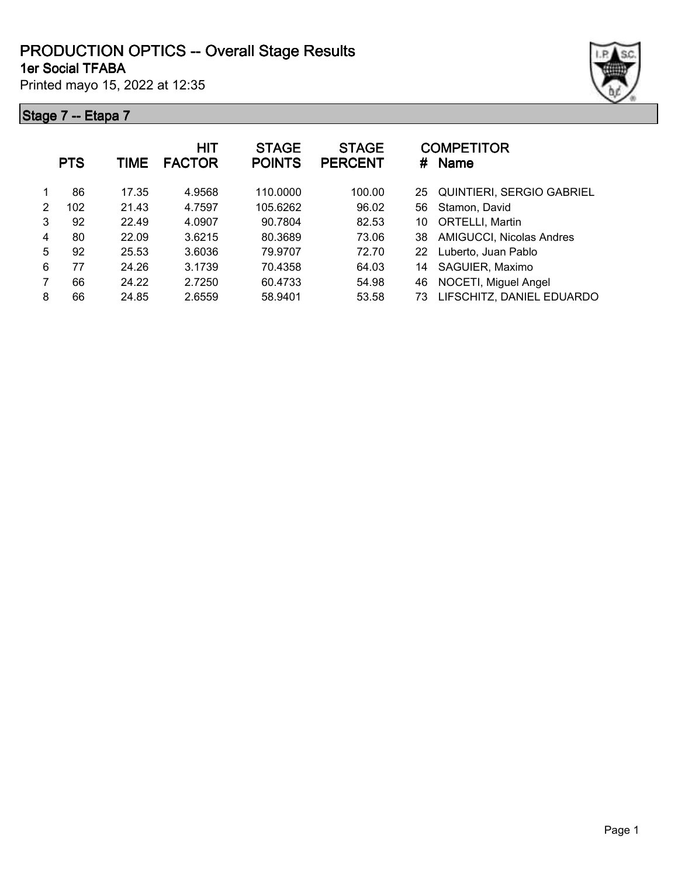#### **1er Social TFABA PRODUCTION OPTICS -- Overall Stage Results**

Printed mayo 15, 2022 at 12:35

|   | <b>PTS</b> | TIME  | <b>HIT</b><br><b>FACTOR</b> | <b>STAGE</b><br><b>POINTS</b> | <b>STAGE</b><br><b>PERCENT</b> | #  | <b>COMPETITOR</b><br><b>Name</b> |
|---|------------|-------|-----------------------------|-------------------------------|--------------------------------|----|----------------------------------|
| 1 | 86         | 17.35 | 4.9568                      | 110.0000                      | 100.00                         | 25 | <b>QUINTIERI, SERGIO GABRIEL</b> |
| 2 | 102        | 21.43 | 4.7597                      | 105.6262                      | 96.02                          | 56 | Stamon, David                    |
| 3 | 92         | 22.49 | 4.0907                      | 90.7804                       | 82.53                          | 10 | <b>ORTELLI, Martin</b>           |
| 4 | 80         | 22.09 | 3.6215                      | 80.3689                       | 73.06                          | 38 | AMIGUCCI, Nicolas Andres         |
| 5 | 92         | 25.53 | 3.6036                      | 79.9707                       | 72.70                          | 22 | Luberto, Juan Pablo              |
| 6 | 77         | 24.26 | 3.1739                      | 70.4358                       | 64.03                          | 14 | SAGUIER, Maximo                  |
|   | 66         | 24.22 | 2.7250                      | 60.4733                       | 54.98                          | 46 | NOCETI, Miguel Angel             |
| 8 | 66         | 24.85 | 2.6559                      | 58.9401                       | 53.58                          | 73 | LIFSCHITZ, DANIEL EDUARDO        |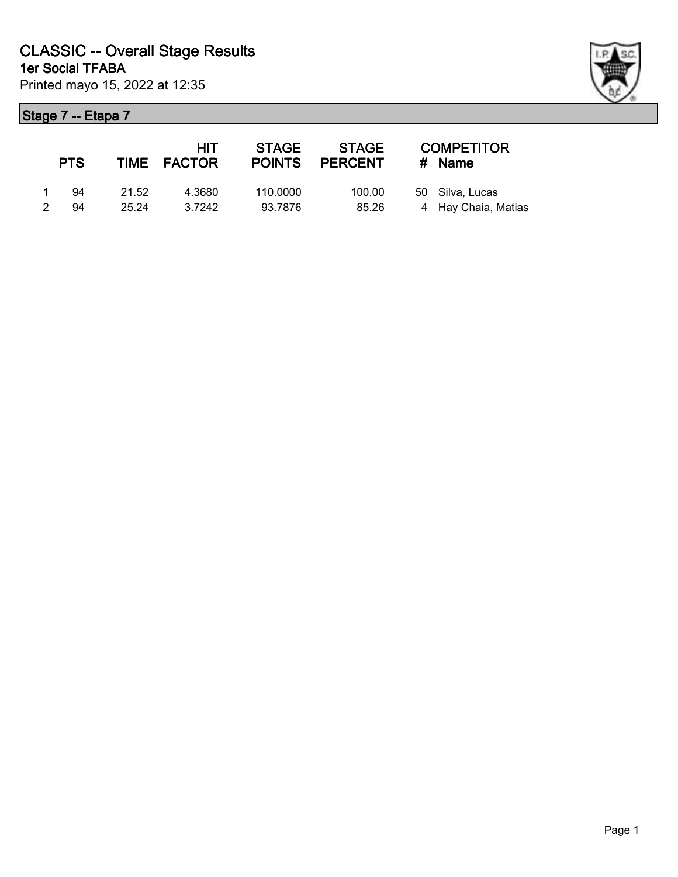|               | <b>PTS</b> |       | <b>HIT</b><br>TIME FACTOR | <b>STAGE</b><br><b>POINTS</b> | STAGE<br><b>PERCENT</b> | <b>COMPETITOR</b><br># Name |
|---------------|------------|-------|---------------------------|-------------------------------|-------------------------|-----------------------------|
|               | 94         | 21.52 | 4.3680                    | 110.0000                      | 100.00                  | 50 Silva, Lucas             |
| $\mathcal{P}$ | 94         | 25.24 | 3.7242                    | 93.7876                       | 85.26                   | 4 Hay Chaia, Matias         |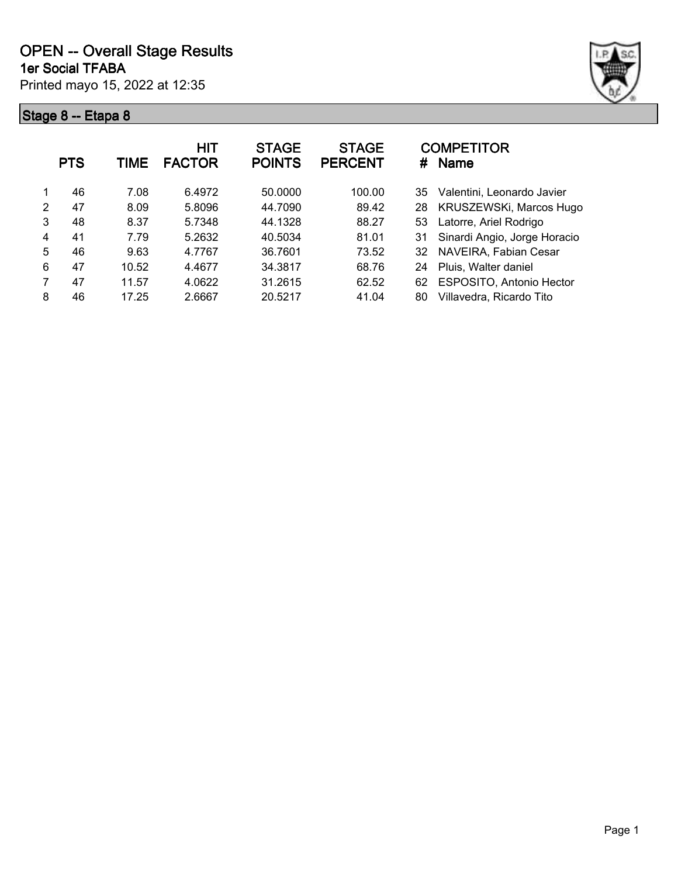

|                | <b>PTS</b> | TIME  | HIT<br><b>FACTOR</b> | <b>STAGE</b><br><b>POINTS</b> | <b>STAGE</b><br><b>PERCENT</b> | <b>COMPETITOR</b><br><b>Name</b><br># |
|----------------|------------|-------|----------------------|-------------------------------|--------------------------------|---------------------------------------|
|                | 46         | 7.08  | 6.4972               | 50.0000                       | 100.00                         | Valentini, Leonardo Javier<br>35      |
| $\mathfrak{p}$ | 47         | 8.09  | 5.8096               | 44.7090                       | 89.42                          | KRUSZEWSKi, Marcos Hugo<br>28         |
| 3              | 48         | 8.37  | 5.7348               | 44.1328                       | 88.27                          | Latorre, Ariel Rodrigo<br>53          |
| 4              | 41         | 7.79  | 5.2632               | 40.5034                       | 81.01                          | Sinardi Angio, Jorge Horacio<br>31    |
| 5              | 46         | 9.63  | 4.7767               | 36.7601                       | 73.52                          | NAVEIRA, Fabian Cesar<br>32           |
| 6              | 47         | 10.52 | 4.4677               | 34.3817                       | 68.76                          | Pluis, Walter daniel<br>24            |
|                | 47         | 11.57 | 4.0622               | 31.2615                       | 62.52                          | ESPOSITO, Antonio Hector<br>62        |
| 8              | 46         | 17.25 | 2.6667               | 20.5217                       | 41.04                          | Villavedra, Ricardo Tito<br>80        |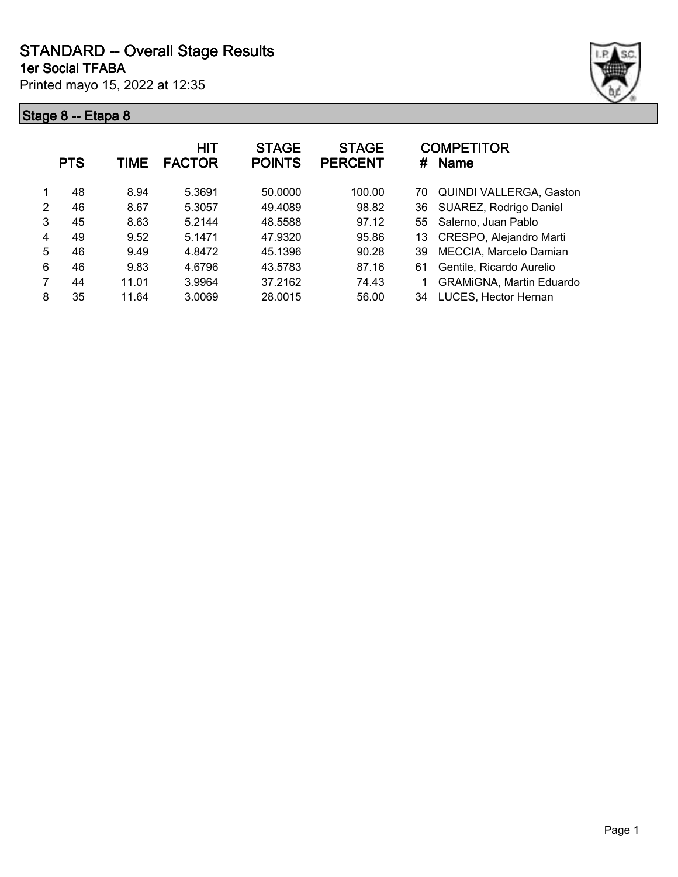**1er Social TFABA**

Printed mayo 15, 2022 at 12:35



|   | <b>PTS</b> | TIME  | <b>HIT</b><br><b>FACTOR</b> | <b>STAGE</b><br><b>POINTS</b> | <b>STAGE</b><br><b>PERCENT</b> | <b>COMPETITOR</b><br>#<br>Name       |
|---|------------|-------|-----------------------------|-------------------------------|--------------------------------|--------------------------------------|
|   | 48         | 8.94  | 5.3691                      | 50.0000                       | 100.00                         | <b>QUINDI VALLERGA, Gaston</b><br>70 |
| 2 | 46         | 8.67  | 5.3057                      | 49.4089                       | 98.82                          | SUAREZ, Rodrigo Daniel<br>36         |
| 3 | 45         | 8.63  | 5.2144                      | 48.5588                       | 97.12                          | 55 Salerno, Juan Pablo               |
| 4 | 49         | 9.52  | 5.1471                      | 47.9320                       | 95.86                          | CRESPO, Alejandro Marti<br>13        |
| 5 | 46         | 9.49  | 4.8472                      | 45.1396                       | 90.28                          | MECCIA, Marcelo Damian<br>39         |
| 6 | 46         | 9.83  | 4.6796                      | 43.5783                       | 87.16                          | Gentile, Ricardo Aurelio<br>61       |
| 7 | 44         | 11.01 | 3.9964                      | 37.2162                       | 74.43                          | <b>GRAMIGNA, Martin Eduardo</b>      |
| 8 | 35         | 11.64 | 3.0069                      | 28.0015                       | 56.00                          | LUCES, Hector Hernan<br>34           |
|   |            |       |                             |                               |                                |                                      |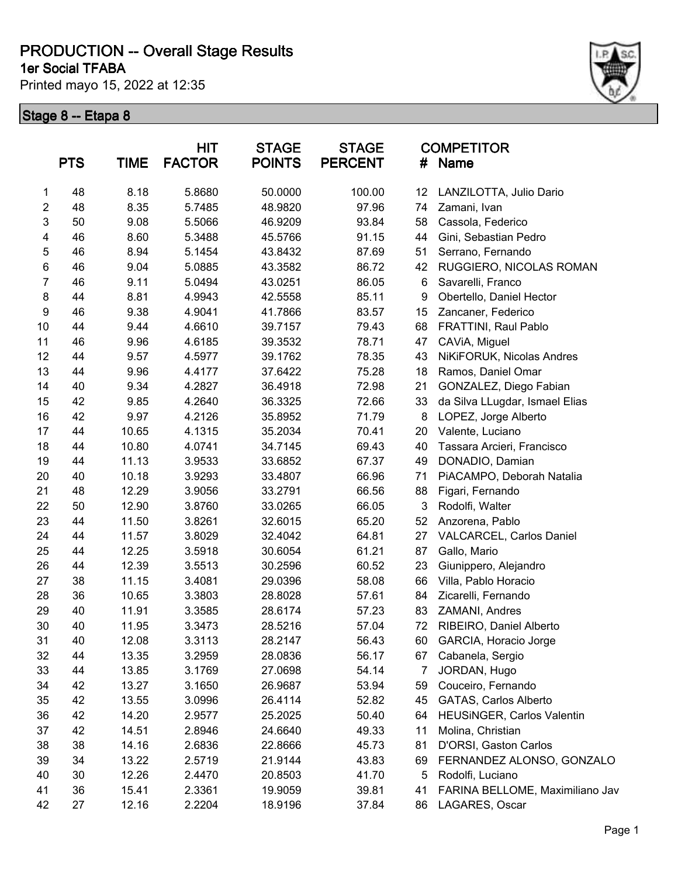**1er Social TFABA**

Printed mayo 15, 2022 at 12:35



|                  | <b>PTS</b> | <b>TIME</b> | <b>HIT</b><br><b>FACTOR</b> | <b>STAGE</b><br><b>POINTS</b> | <b>STAGE</b><br><b>PERCENT</b> | #  | <b>COMPETITOR</b><br>Name       |
|------------------|------------|-------------|-----------------------------|-------------------------------|--------------------------------|----|---------------------------------|
| 1                | 48         | 8.18        | 5.8680                      | 50.0000                       | 100.00                         | 12 | LANZILOTTA, Julio Dario         |
| $\overline{2}$   | 48         | 8.35        | 5.7485                      | 48.9820                       | 97.96                          | 74 | Zamani, Ivan                    |
| 3                | 50         | 9.08        | 5.5066                      | 46.9209                       | 93.84                          | 58 | Cassola, Federico               |
| 4                | 46         | 8.60        | 5.3488                      | 45.5766                       | 91.15                          | 44 | Gini, Sebastian Pedro           |
| 5                | 46         | 8.94        | 5.1454                      | 43.8432                       | 87.69                          | 51 | Serrano, Fernando               |
| $\,6$            | 46         | 9.04        | 5.0885                      | 43.3582                       | 86.72                          | 42 | RUGGIERO, NICOLAS ROMAN         |
| $\overline{7}$   | 46         | 9.11        | 5.0494                      | 43.0251                       | 86.05                          | 6  | Savarelli, Franco               |
| $\bf 8$          | 44         | 8.81        | 4.9943                      | 42.5558                       | 85.11                          | 9  | Obertello, Daniel Hector        |
| $\boldsymbol{9}$ | 46         | 9.38        | 4.9041                      | 41.7866                       | 83.57                          | 15 | Zancaner, Federico              |
| 10               | 44         | 9.44        | 4.6610                      | 39.7157                       | 79.43                          | 68 | FRATTINI, Raul Pablo            |
| 11               | 46         | 9.96        | 4.6185                      | 39.3532                       | 78.71                          | 47 | CAViA, Miguel                   |
| 12               | 44         | 9.57        | 4.5977                      | 39.1762                       | 78.35                          | 43 | NiKiFORUK, Nicolas Andres       |
| 13               | 44         | 9.96        | 4.4177                      | 37.6422                       | 75.28                          | 18 | Ramos, Daniel Omar              |
| 14               | 40         | 9.34        | 4.2827                      | 36.4918                       | 72.98                          | 21 | GONZALEZ, Diego Fabian          |
| 15               | 42         | 9.85        | 4.2640                      | 36.3325                       | 72.66                          | 33 | da Silva LLugdar, Ismael Elias  |
| 16               | 42         | 9.97        | 4.2126                      | 35.8952                       | 71.79                          | 8  | LOPEZ, Jorge Alberto            |
| 17               | 44         | 10.65       | 4.1315                      | 35.2034                       | 70.41                          | 20 | Valente, Luciano                |
| 18               | 44         | 10.80       | 4.0741                      | 34.7145                       | 69.43                          | 40 | Tassara Arcieri, Francisco      |
| 19               | 44         | 11.13       | 3.9533                      | 33.6852                       | 67.37                          | 49 | DONADIO, Damian                 |
| 20               | 40         | 10.18       | 3.9293                      | 33.4807                       | 66.96                          | 71 | PiACAMPO, Deborah Natalia       |
| 21               | 48         | 12.29       | 3.9056                      | 33.2791                       | 66.56                          | 88 | Figari, Fernando                |
| 22               | 50         | 12.90       | 3.8760                      | 33.0265                       | 66.05                          | 3  | Rodolfi, Walter                 |
| 23               | 44         | 11.50       | 3.8261                      | 32.6015                       | 65.20                          | 52 | Anzorena, Pablo                 |
| 24               | 44         | 11.57       | 3.8029                      | 32.4042                       | 64.81                          | 27 | VALCARCEL, Carlos Daniel        |
| 25               | 44         | 12.25       | 3.5918                      | 30.6054                       | 61.21                          | 87 | Gallo, Mario                    |
| 26               | 44         | 12.39       | 3.5513                      | 30.2596                       | 60.52                          | 23 | Giunippero, Alejandro           |
| 27               | 38         | 11.15       | 3.4081                      | 29.0396                       | 58.08                          | 66 | Villa, Pablo Horacio            |
| 28               | 36         | 10.65       | 3.3803                      | 28.8028                       | 57.61                          | 84 | Zicarelli, Fernando             |
| 29               | 40         | 11.91       | 3.3585                      | 28.6174                       | 57.23                          | 83 | ZAMANI, Andres                  |
| 30               | 40         | 11.95       | 3.3473                      | 28.5216                       | 57.04                          | 72 | RIBEIRO, Daniel Alberto         |
| 31               | 40         | 12.08       | 3.3113                      | 28.2147                       | 56.43                          | 60 | GARCIA, Horacio Jorge           |
| 32               | 44         | 13.35       | 3.2959                      | 28.0836                       | 56.17                          | 67 | Cabanela, Sergio                |
| 33               | 44         | 13.85       | 3.1769                      | 27.0698                       | 54.14                          | 7  | JORDAN, Hugo                    |
| 34               | 42         | 13.27       | 3.1650                      | 26.9687                       | 53.94                          | 59 | Couceiro, Fernando              |
| 35               | 42         | 13.55       | 3.0996                      | 26.4114                       | 52.82                          | 45 | GATAS, Carlos Alberto           |
| 36               | 42         | 14.20       | 2.9577                      | 25.2025                       | 50.40                          | 64 | HEUSINGER, Carlos Valentin      |
| 37               | 42         | 14.51       | 2.8946                      | 24.6640                       | 49.33                          | 11 | Molina, Christian               |
| 38               | 38         | 14.16       | 2.6836                      | 22.8666                       | 45.73                          | 81 | D'ORSI, Gaston Carlos           |
| 39               | 34         | 13.22       | 2.5719                      | 21.9144                       | 43.83                          | 69 | FERNANDEZ ALONSO, GONZALO       |
| 40               | 30         | 12.26       | 2.4470                      | 20.8503                       | 41.70                          | 5  | Rodolfi, Luciano                |
| 41               | 36         | 15.41       | 2.3361                      | 19.9059                       | 39.81                          | 41 | FARINA BELLOME, Maximiliano Jav |
| 42               | 27         | 12.16       | 2.2204                      | 18.9196                       | 37.84                          | 86 | LAGARES, Oscar                  |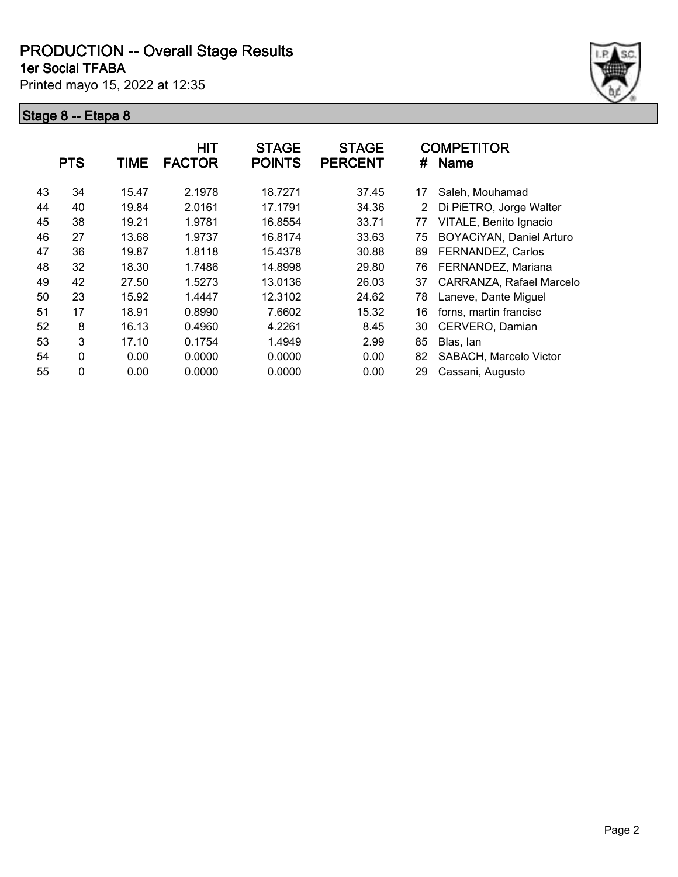**1er Social TFABA**

Printed mayo 15, 2022 at 12:35



|    | <b>PTS</b> | TIME  | <b>HIT</b><br><b>FACTOR</b> | <b>STAGE</b><br><b>POINTS</b> | <b>STAGE</b><br><b>PERCENT</b> | #  | <b>COMPETITOR</b><br><b>Name</b> |
|----|------------|-------|-----------------------------|-------------------------------|--------------------------------|----|----------------------------------|
| 43 | 34         | 15.47 | 2.1978                      | 18.7271                       | 37.45                          | 17 | Saleh, Mouhamad                  |
| 44 | 40         | 19.84 | 2.0161                      | 17.1791                       | 34.36                          | 2  | Di PiETRO, Jorge Walter          |
| 45 | 38         | 19.21 | 1.9781                      | 16.8554                       | 33.71                          | 77 | VITALE, Benito Ignacio           |
| 46 | 27         | 13.68 | 1.9737                      | 16.8174                       | 33.63                          | 75 | BOYACiYAN, Daniel Arturo         |
| 47 | 36         | 19.87 | 1.8118                      | 15.4378                       | 30.88                          | 89 | FERNANDEZ, Carlos                |
| 48 | 32         | 18.30 | 1.7486                      | 14.8998                       | 29.80                          | 76 | FERNANDEZ, Mariana               |
| 49 | 42         | 27.50 | 1.5273                      | 13.0136                       | 26.03                          | 37 | CARRANZA, Rafael Marcelo         |
| 50 | 23         | 15.92 | 1.4447                      | 12.3102                       | 24.62                          | 78 | Laneve, Dante Miguel             |
| 51 | 17         | 18.91 | 0.8990                      | 7.6602                        | 15.32                          | 16 | forns, martin francisc           |
| 52 | 8          | 16.13 | 0.4960                      | 4.2261                        | 8.45                           | 30 | CERVERO, Damian                  |
| 53 | 3          | 17.10 | 0.1754                      | 1.4949                        | 2.99                           | 85 | Blas, lan                        |
| 54 | 0          | 0.00  | 0.0000                      | 0.0000                        | 0.00                           | 82 | SABACH, Marcelo Victor           |
| 55 | 0          | 0.00  | 0.0000                      | 0.0000                        | 0.00                           | 29 | Cassani, Augusto                 |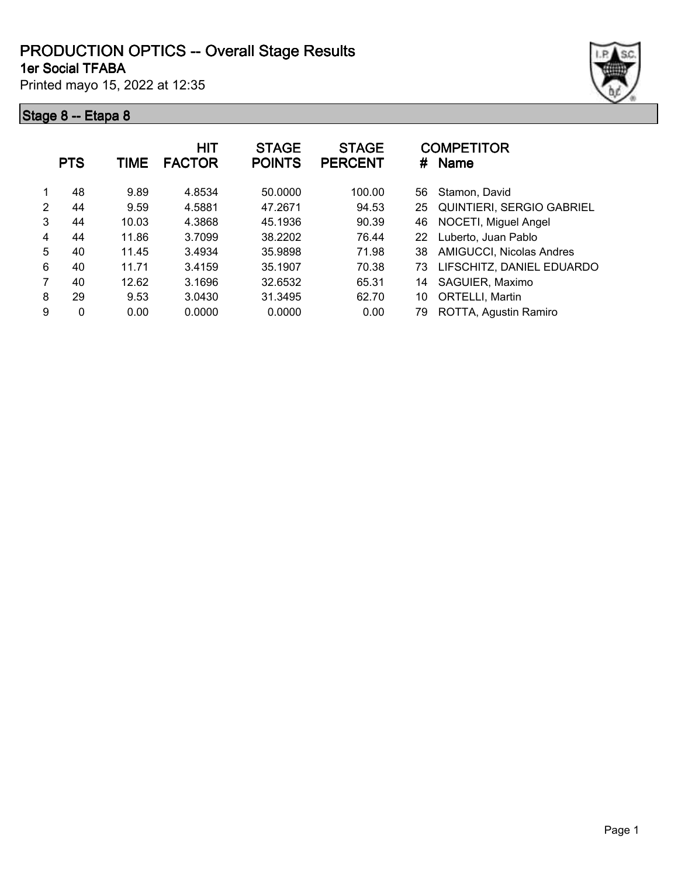#### **1er Social TFABA PRODUCTION OPTICS -- Overall Stage Results**

Printed mayo 15, 2022 at 12:35



|   | <b>PTS</b>  | <b>TIME</b> | <b>HIT</b><br><b>FACTOR</b> | <b>STAGE</b><br><b>POINTS</b> | <b>STAGE</b><br><b>PERCENT</b> | #  | <b>COMPETITOR</b><br><b>Name</b> |
|---|-------------|-------------|-----------------------------|-------------------------------|--------------------------------|----|----------------------------------|
|   | 48          | 9.89        | 4.8534                      | 50.0000                       | 100.00                         | 56 | Stamon, David                    |
| 2 | 44          | 9.59        | 4.5881                      | 47.2671                       | 94.53                          | 25 | <b>QUINTIERI, SERGIO GABRIEL</b> |
| 3 | 44          | 10.03       | 4.3868                      | 45.1936                       | 90.39                          | 46 | NOCETI, Miguel Angel             |
| 4 | 44          | 11.86       | 3.7099                      | 38.2202                       | 76.44                          | 22 | Luberto, Juan Pablo              |
| 5 | 40          | 11.45       | 3.4934                      | 35.9898                       | 71.98                          | 38 | AMIGUCCI, Nicolas Andres         |
| 6 | 40          | 11.71       | 3.4159                      | 35.1907                       | 70.38                          | 73 | LIFSCHITZ, DANIEL EDUARDO        |
| 7 | 40          | 12.62       | 3.1696                      | 32.6532                       | 65.31                          | 14 | SAGUIER, Maximo                  |
| 8 | 29          | 9.53        | 3.0430                      | 31.3495                       | 62.70                          | 10 | ORTELLI, Martin                  |
| 9 | $\mathbf 0$ | 0.00        | 0.0000                      | 0.0000                        | 0.00                           | 79 | ROTTA, Agustin Ramiro            |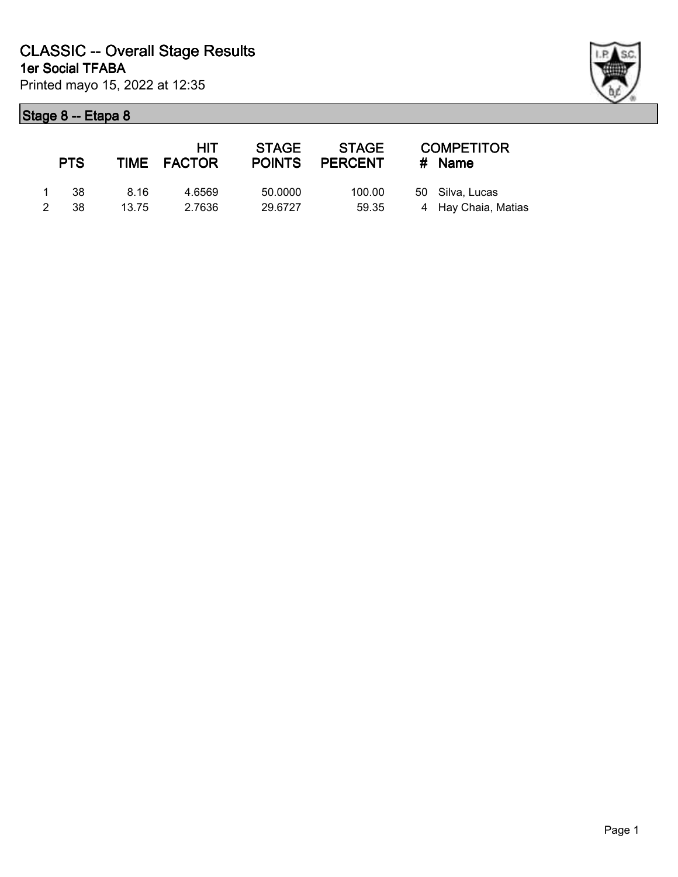

|   | <b>PTS</b> |       | HIT.<br>TIME FACTOR | <b>STAGE</b><br><b>POINTS</b> | STAGE<br>PERCENT | <b>COMPETITOR</b><br># Name |
|---|------------|-------|---------------------|-------------------------------|------------------|-----------------------------|
|   | 1 38       | 8.16  | 4.6569              | 50.0000                       | 100.00           | 50 Silva, Lucas             |
| 2 | - 38       | 13.75 | 2.7636              | 29.6727                       | 59.35            | 4 Hay Chaia, Matias         |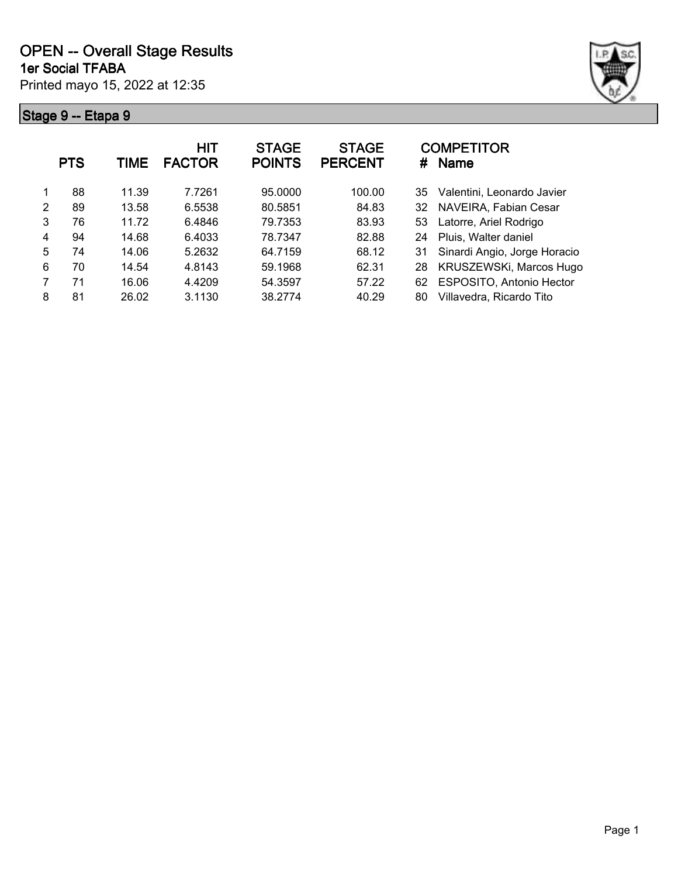

|   | <b>PTS</b> | TIME  | <b>HIT</b><br><b>FACTOR</b> | <b>STAGE</b><br><b>POINTS</b> | <b>STAGE</b><br><b>PERCENT</b> | <b>COMPETITOR</b><br><b>Name</b><br># |
|---|------------|-------|-----------------------------|-------------------------------|--------------------------------|---------------------------------------|
|   | 88         | 11.39 | 7.7261                      | 95.0000                       | 100.00                         | Valentini, Leonardo Javier<br>35      |
| 2 | 89         | 13.58 | 6.5538                      | 80.5851                       | 84.83                          | NAVEIRA, Fabian Cesar<br>32           |
| 3 | 76         | 11.72 | 6.4846                      | 79.7353                       | 83.93                          | Latorre, Ariel Rodrigo<br>53          |
| 4 | 94         | 14.68 | 6.4033                      | 78.7347                       | 82.88                          | Pluis, Walter daniel<br>24            |
| 5 | 74         | 14.06 | 5.2632                      | 64.7159                       | 68.12                          | Sinardi Angio, Jorge Horacio<br>31    |
| 6 | 70         | 14.54 | 4.8143                      | 59.1968                       | 62.31                          | KRUSZEWSKi, Marcos Hugo<br>28         |
|   | 71         | 16.06 | 4.4209                      | 54.3597                       | 57.22                          | ESPOSITO, Antonio Hector<br>62        |
| 8 | 81         | 26.02 | 3.1130                      | 38.2774                       | 40.29                          | Villavedra, Ricardo Tito<br>80        |
|   |            |       |                             |                               |                                |                                       |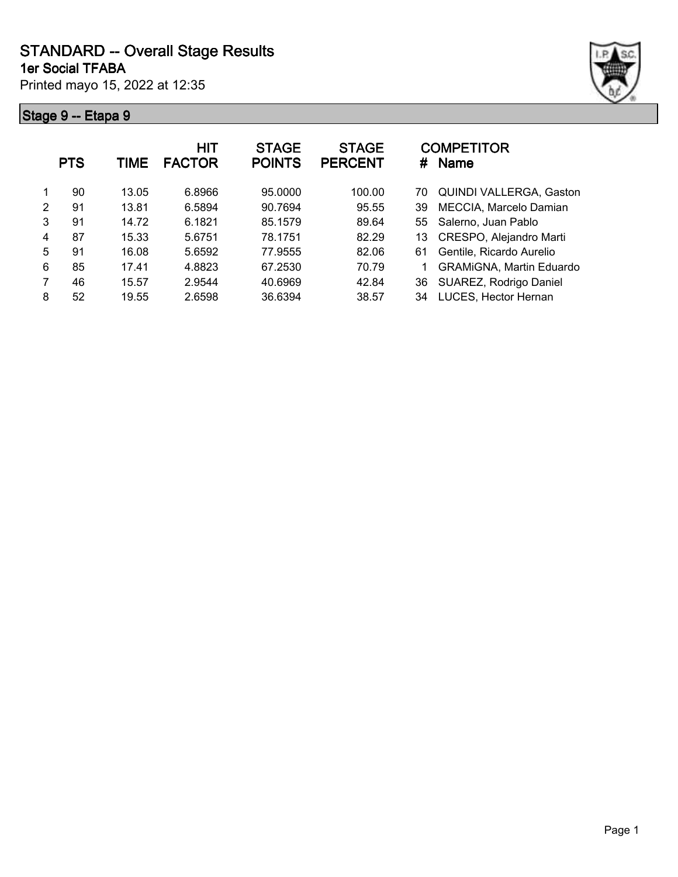Printed mayo 15, 2022 at 12:35 **1er Social TFABA**



|   | <b>PTS</b> | TIME  | <b>HIT</b><br><b>FACTOR</b> | <b>STAGE</b><br><b>POINTS</b> | <b>STAGE</b><br><b>PERCENT</b> | <b>COMPETITOR</b><br><b>Name</b><br># |
|---|------------|-------|-----------------------------|-------------------------------|--------------------------------|---------------------------------------|
|   | 90         | 13.05 | 6.8966                      | 95,0000                       | 100.00                         | <b>QUINDI VALLERGA, Gaston</b><br>70  |
| 2 | 91         | 13.81 | 6.5894                      | 90.7694                       | 95.55                          | MECCIA, Marcelo Damian<br>39          |
| 3 | 91         | 14.72 | 6.1821                      | 85.1579                       | 89.64                          | 55 Salerno, Juan Pablo                |
| 4 | 87         | 15.33 | 5.6751                      | 78.1751                       | 82.29                          | CRESPO, Alejandro Marti<br>13         |
| 5 | 91         | 16.08 | 5.6592                      | 77.9555                       | 82.06                          | Gentile, Ricardo Aurelio<br>61        |
| 6 | 85         | 17.41 | 4.8823                      | 67.2530                       | 70.79                          | <b>GRAMIGNA, Martin Eduardo</b>       |
| 7 | 46         | 15.57 | 2.9544                      | 40.6969                       | 42.84                          | SUAREZ, Rodrigo Daniel<br>36          |
| 8 | 52         | 19.55 | 2.6598                      | 36.6394                       | 38.57                          | LUCES, Hector Hernan<br>34            |
|   |            |       |                             |                               |                                |                                       |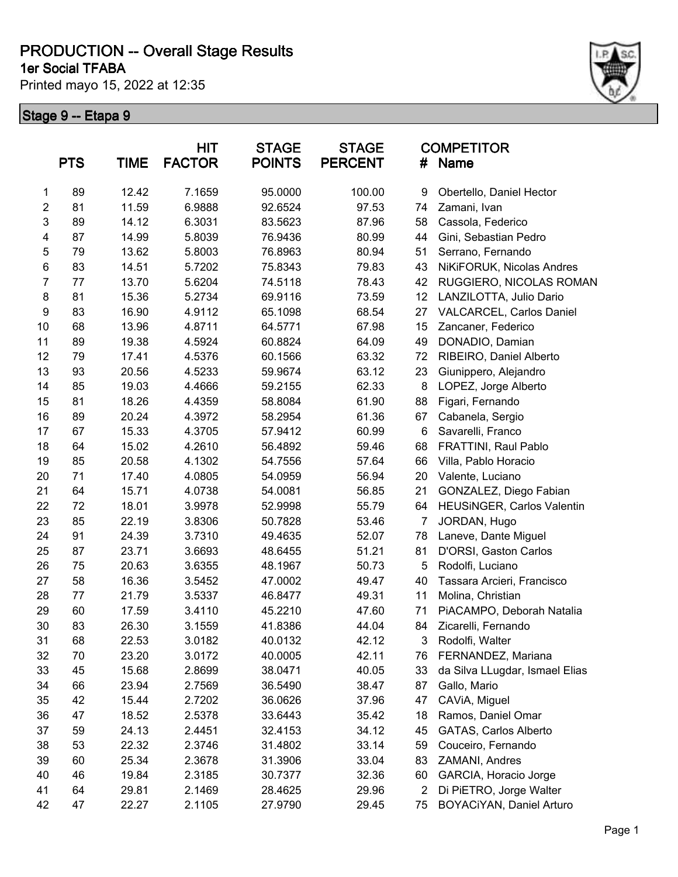**1er Social TFABA**

Printed mayo 15, 2022 at 12:35



|                | <b>PTS</b> | <b>TIME</b> | <b>HIT</b><br><b>FACTOR</b> | <b>STAGE</b><br><b>POINTS</b> | <b>STAGE</b><br><b>PERCENT</b> | #              | <b>COMPETITOR</b><br>Name      |
|----------------|------------|-------------|-----------------------------|-------------------------------|--------------------------------|----------------|--------------------------------|
| 1              | 89         | 12.42       | 7.1659                      | 95.0000                       | 100.00                         | 9              | Obertello, Daniel Hector       |
| $\overline{2}$ | 81         | 11.59       | 6.9888                      | 92.6524                       | 97.53                          | 74             | Zamani, Ivan                   |
| 3              | 89         | 14.12       | 6.3031                      | 83.5623                       | 87.96                          | 58             | Cassola, Federico              |
| 4              | 87         | 14.99       | 5.8039                      | 76.9436                       | 80.99                          | 44             | Gini, Sebastian Pedro          |
| 5              | 79         | 13.62       | 5.8003                      | 76.8963                       | 80.94                          | 51             | Serrano, Fernando              |
| 6              | 83         | 14.51       | 5.7202                      | 75.8343                       | 79.83                          | 43             | NiKiFORUK, Nicolas Andres      |
| $\overline{7}$ | 77         | 13.70       | 5.6204                      | 74.5118                       | 78.43                          | 42             | RUGGIERO, NICOLAS ROMAN        |
| 8              | 81         | 15.36       | 5.2734                      | 69.9116                       | 73.59                          | 12             | LANZILOTTA, Julio Dario        |
| 9              | 83         | 16.90       | 4.9112                      | 65.1098                       | 68.54                          | 27             | VALCARCEL, Carlos Daniel       |
| 10             | 68         | 13.96       | 4.8711                      | 64.5771                       | 67.98                          | 15             | Zancaner, Federico             |
| 11             | 89         | 19.38       | 4.5924                      | 60.8824                       | 64.09                          | 49             | DONADIO, Damian                |
| 12             | 79         | 17.41       | 4.5376                      | 60.1566                       | 63.32                          | 72             | RIBEIRO, Daniel Alberto        |
| 13             | 93         | 20.56       | 4.5233                      | 59.9674                       | 63.12                          | 23             | Giunippero, Alejandro          |
| 14             | 85         | 19.03       | 4.4666                      | 59.2155                       | 62.33                          | 8              | LOPEZ, Jorge Alberto           |
| 15             | 81         | 18.26       | 4.4359                      | 58.8084                       | 61.90                          | 88             | Figari, Fernando               |
| 16             | 89         | 20.24       | 4.3972                      | 58.2954                       | 61.36                          | 67             | Cabanela, Sergio               |
| 17             | 67         | 15.33       | 4.3705                      | 57.9412                       | 60.99                          | $\,6$          | Savarelli, Franco              |
| 18             | 64         | 15.02       | 4.2610                      | 56.4892                       | 59.46                          | 68             | FRATTINI, Raul Pablo           |
| 19             | 85         | 20.58       | 4.1302                      | 54.7556                       | 57.64                          | 66             | Villa, Pablo Horacio           |
| 20             | 71         | 17.40       | 4.0805                      | 54.0959                       | 56.94                          | 20             | Valente, Luciano               |
| 21             | 64         | 15.71       | 4.0738                      | 54.0081                       | 56.85                          | 21             | GONZALEZ, Diego Fabian         |
| 22             | 72         | 18.01       | 3.9978                      | 52.9998                       | 55.79                          | 64             | HEUSINGER, Carlos Valentin     |
| 23             | 85         | 22.19       | 3.8306                      | 50.7828                       | 53.46                          | 7              | JORDAN, Hugo                   |
| 24             | 91         | 24.39       | 3.7310                      | 49.4635                       | 52.07                          | 78             | Laneve, Dante Miguel           |
| 25             | 87         | 23.71       | 3.6693                      | 48.6455                       | 51.21                          | 81             | D'ORSI, Gaston Carlos          |
| 26             | 75         | 20.63       | 3.6355                      | 48.1967                       | 50.73                          | 5              | Rodolfi, Luciano               |
| 27             | 58         | 16.36       | 3.5452                      | 47.0002                       | 49.47                          | 40             | Tassara Arcieri, Francisco     |
| 28             | 77         | 21.79       | 3.5337                      | 46.8477                       | 49.31                          | 11             | Molina, Christian              |
| 29             | 60         | 17.59       | 3.4110                      | 45.2210                       | 47.60                          | 71             | PiACAMPO, Deborah Natalia      |
| 30             | 83         | 26.30       | 3.1559                      | 41.8386                       | 44.04                          | 84             | Zicarelli, Fernando            |
| 31             | 68         | 22.53       | 3.0182                      | 40.0132                       | 42.12                          | 3              | Rodolfi, Walter                |
| 32             | 70         | 23.20       | 3.0172                      | 40.0005                       | 42.11                          | 76             | FERNANDEZ, Mariana             |
| 33             | 45         | 15.68       | 2.8699                      | 38.0471                       | 40.05                          | 33             | da Silva LLugdar, Ismael Elias |
| 34             | 66         | 23.94       | 2.7569                      | 36.5490                       | 38.47                          | 87             | Gallo, Mario                   |
| 35             | 42         | 15.44       | 2.7202                      | 36.0626                       | 37.96                          | 47             | CAViA, Miguel                  |
| 36             | 47         | 18.52       | 2.5378                      | 33.6443                       | 35.42                          | 18             | Ramos, Daniel Omar             |
| 37             | 59         | 24.13       | 2.4451                      | 32.4153                       | 34.12                          | 45             | GATAS, Carlos Alberto          |
| 38             | 53         | 22.32       | 2.3746                      | 31.4802                       | 33.14                          | 59             | Couceiro, Fernando             |
| 39             | 60         | 25.34       | 2.3678                      | 31.3906                       | 33.04                          | 83             | ZAMANI, Andres                 |
| 40             | 46         | 19.84       | 2.3185                      | 30.7377                       | 32.36                          | 60             | GARCIA, Horacio Jorge          |
| 41             | 64         | 29.81       | 2.1469                      | 28.4625                       | 29.96                          | $\overline{2}$ | Di PiETRO, Jorge Walter        |
| 42             | 47         | 22.27       | 2.1105                      | 27.9790                       | 29.45                          | 75             | BOYACiYAN, Daniel Arturo       |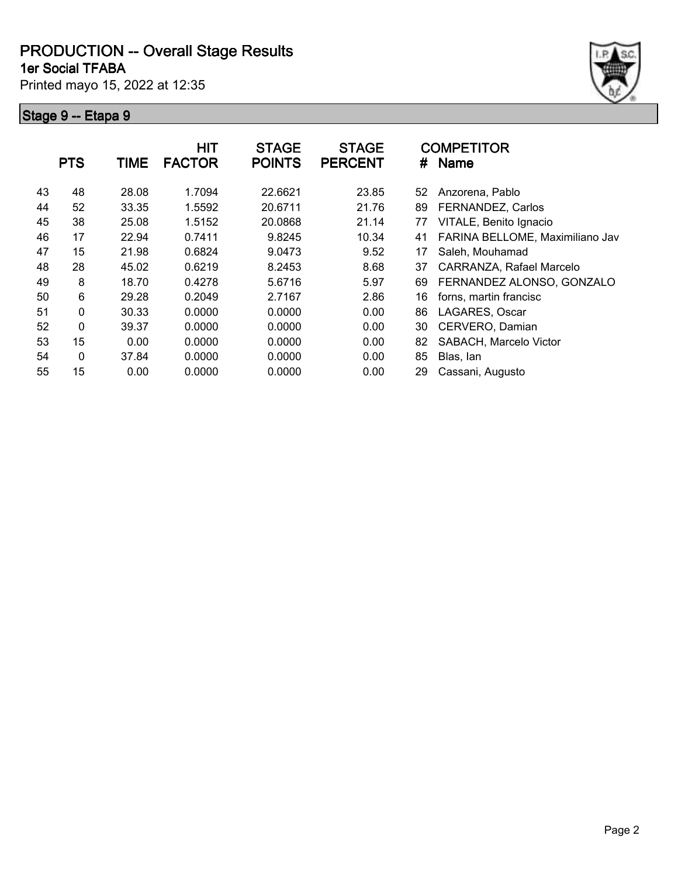**1er Social TFABA**

Printed mayo 15, 2022 at 12:35



|    | <b>PTS</b> | <b>TIME</b> | <b>HIT</b><br><b>FACTOR</b> | <b>STAGE</b><br><b>POINTS</b> | <b>STAGE</b><br><b>PERCENT</b> | #  | <b>COMPETITOR</b><br><b>Name</b> |
|----|------------|-------------|-----------------------------|-------------------------------|--------------------------------|----|----------------------------------|
| 43 | 48         | 28.08       | 1.7094                      | 22.6621                       | 23.85                          | 52 | Anzorena, Pablo                  |
| 44 | 52         | 33.35       | 1.5592                      | 20.6711                       | 21.76                          | 89 | FERNANDEZ, Carlos                |
| 45 | 38         | 25.08       | 1.5152                      | 20.0868                       | 21.14                          | 77 | VITALE, Benito Ignacio           |
| 46 | 17         | 22.94       | 0.7411                      | 9.8245                        | 10.34                          | 41 | FARINA BELLOME, Maximiliano Jav  |
| 47 | 15         | 21.98       | 0.6824                      | 9.0473                        | 9.52                           | 17 | Saleh, Mouhamad                  |
| 48 | 28         | 45.02       | 0.6219                      | 8.2453                        | 8.68                           | 37 | CARRANZA, Rafael Marcelo         |
| 49 | 8          | 18.70       | 0.4278                      | 5.6716                        | 5.97                           | 69 | FERNANDEZ ALONSO, GONZALO        |
| 50 | 6          | 29.28       | 0.2049                      | 2.7167                        | 2.86                           | 16 | forns, martin francisc           |
| 51 | 0          | 30.33       | 0.0000                      | 0.0000                        | 0.00                           | 86 | LAGARES, Oscar                   |
| 52 | 0          | 39.37       | 0.0000                      | 0.0000                        | 0.00                           | 30 | CERVERO, Damian                  |
| 53 | 15         | 0.00        | 0.0000                      | 0.0000                        | 0.00                           | 82 | SABACH, Marcelo Victor           |
| 54 | 0          | 37.84       | 0.0000                      | 0.0000                        | 0.00                           | 85 | Blas, lan                        |
| 55 | 15         | 0.00        | 0.0000                      | 0.0000                        | 0.00                           | 29 | Cassani, Augusto                 |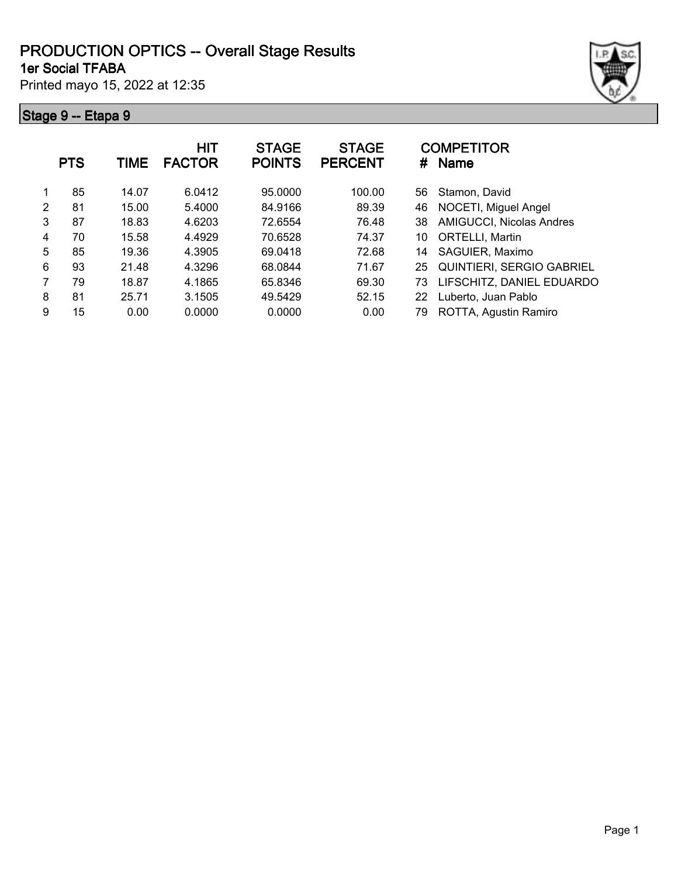#### **1er Social TFABA PRODUCTION OPTICS -- Overall Stage Results**

Printed mayo 15, 2022 at 12:35



|               | <b>PTS</b> | <b>TIME</b> | <b>HIT</b><br><b>FACTOR</b> | <b>STAGE</b><br><b>POINTS</b> | <b>STAGE</b><br><b>PERCENT</b> | #  | <b>COMPETITOR</b><br><b>Name</b> |
|---------------|------------|-------------|-----------------------------|-------------------------------|--------------------------------|----|----------------------------------|
|               | 85         | 14.07       | 6.0412                      | 95.0000                       | 100.00                         | 56 | Stamon, David                    |
| $\mathcal{P}$ | 81         | 15.00       | 5.4000                      | 84.9166                       | 89.39                          | 46 | NOCETI, Miguel Angel             |
| 3             | 87         | 18.83       | 4.6203                      | 72.6554                       | 76.48                          | 38 | AMIGUCCI, Nicolas Andres         |
| 4             | 70         | 15.58       | 4.4929                      | 70.6528                       | 74.37                          | 10 | ORTELLI, Martin                  |
| 5             | 85         | 19.36       | 4.3905                      | 69.0418                       | 72.68                          | 14 | SAGUIER, Maximo                  |
| 6             | 93         | 21.48       | 4.3296                      | 68.0844                       | 71.67                          | 25 | <b>QUINTIERI, SERGIO GABRIEL</b> |
| 7             | 79         | 18.87       | 4.1865                      | 65.8346                       | 69.30                          | 73 | LIFSCHITZ, DANIEL EDUARDO        |
| 8             | 81         | 25.71       | 3.1505                      | 49.5429                       | 52.15                          | 22 | Luberto, Juan Pablo              |
| 9             | 15         | 0.00        | 0.0000                      | 0.0000                        | 0.00                           | 79 | ROTTA, Agustin Ramiro            |
|               |            |             |                             |                               |                                |    |                                  |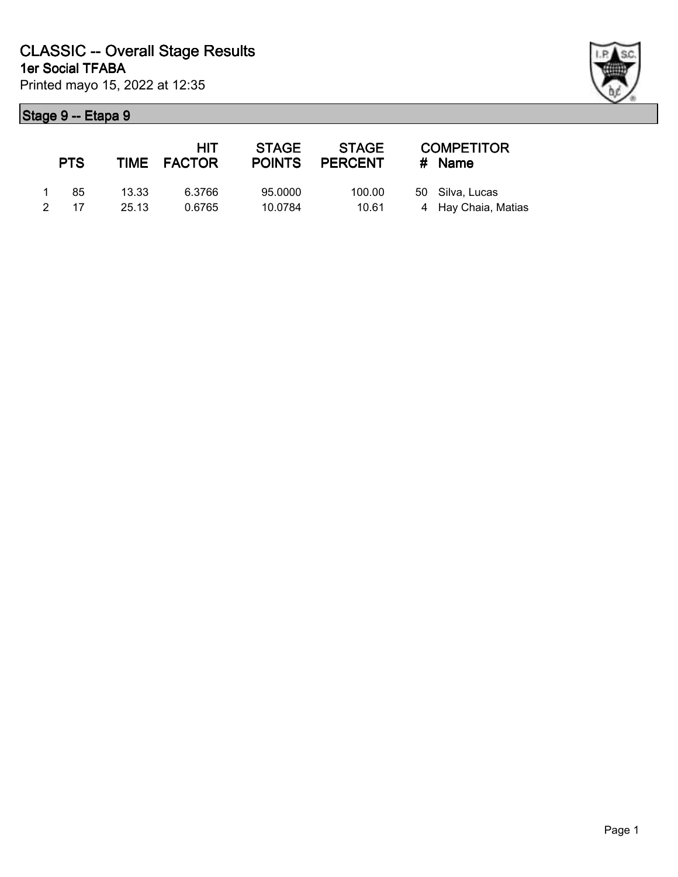| ł |  |
|---|--|

|          | <b>PTS</b> |       | <b>HIT</b><br>TIME FACTOR | <b>STAGE</b><br><b>POINTS</b> | STAGE<br><b>PERCENT</b> | <b>COMPETITOR</b><br># Name |
|----------|------------|-------|---------------------------|-------------------------------|-------------------------|-----------------------------|
| $\sim$ 1 | -85        | 13.33 | 6.3766                    | 95.0000                       | 100.00                  | 50 Silva, Lucas             |
|          | 2 17       | 25.13 | 0.6765                    | 10.0784                       | 10.61                   | 4 Hay Chaia, Matias         |